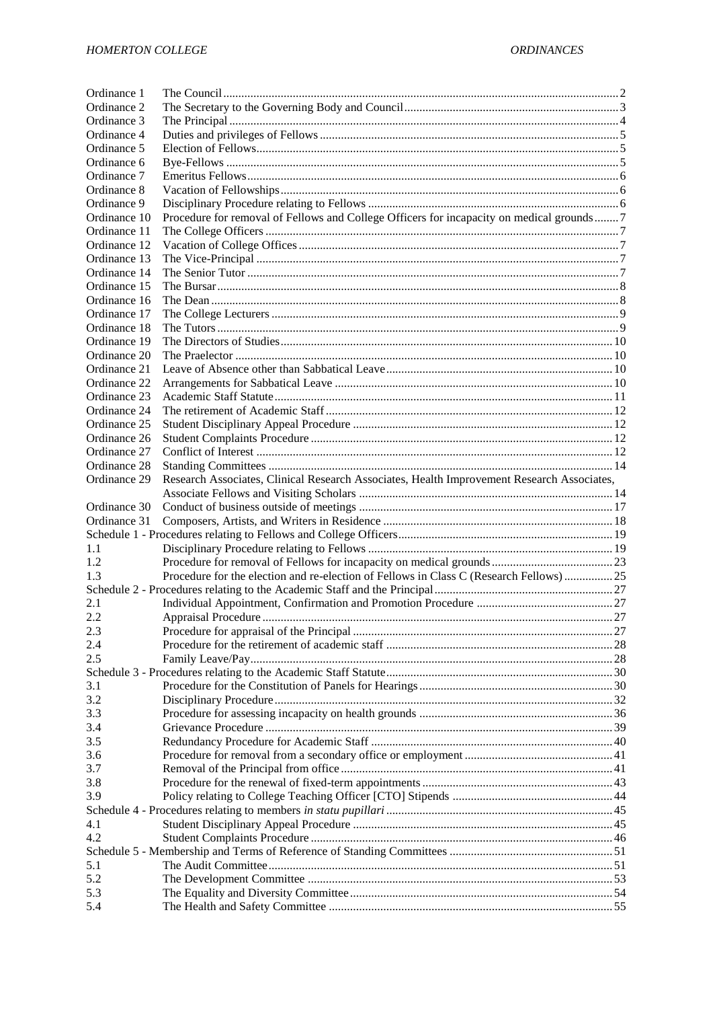| Ordinance 1  |                                                                                            |  |
|--------------|--------------------------------------------------------------------------------------------|--|
| Ordinance 2  |                                                                                            |  |
| Ordinance 3  |                                                                                            |  |
| Ordinance 4  |                                                                                            |  |
| Ordinance 5  |                                                                                            |  |
| Ordinance 6  |                                                                                            |  |
| Ordinance 7  |                                                                                            |  |
| Ordinance 8  |                                                                                            |  |
| Ordinance 9  |                                                                                            |  |
| Ordinance 10 | Procedure for removal of Fellows and College Officers for incapacity on medical grounds 7  |  |
| Ordinance 11 |                                                                                            |  |
| Ordinance 12 |                                                                                            |  |
| Ordinance 13 |                                                                                            |  |
| Ordinance 14 |                                                                                            |  |
| Ordinance 15 |                                                                                            |  |
| Ordinance 16 |                                                                                            |  |
| Ordinance 17 |                                                                                            |  |
| Ordinance 18 |                                                                                            |  |
| Ordinance 19 |                                                                                            |  |
| Ordinance 20 |                                                                                            |  |
|              |                                                                                            |  |
| Ordinance 21 |                                                                                            |  |
| Ordinance 22 |                                                                                            |  |
| Ordinance 23 |                                                                                            |  |
| Ordinance 24 |                                                                                            |  |
| Ordinance 25 |                                                                                            |  |
| Ordinance 26 |                                                                                            |  |
| Ordinance 27 |                                                                                            |  |
| Ordinance 28 |                                                                                            |  |
| Ordinance 29 | Research Associates, Clinical Research Associates, Health Improvement Research Associates, |  |
|              |                                                                                            |  |
| Ordinance 30 |                                                                                            |  |
| Ordinance 31 |                                                                                            |  |
|              |                                                                                            |  |
| 1.1          |                                                                                            |  |
| 1.2          |                                                                                            |  |
| 1.3          | Procedure for the election and re-election of Fellows in Class C (Research Fellows) 25     |  |
|              |                                                                                            |  |
| 2.1          |                                                                                            |  |
| 2.2          |                                                                                            |  |
| 2.3          |                                                                                            |  |
| 2.4          |                                                                                            |  |
| 2.5          |                                                                                            |  |
|              |                                                                                            |  |
| 3.1          |                                                                                            |  |
| 3.2          |                                                                                            |  |
| 3.3          |                                                                                            |  |
| 3.4          |                                                                                            |  |
| 3.5          |                                                                                            |  |
| 3.6          |                                                                                            |  |
| 3.7          |                                                                                            |  |
|              |                                                                                            |  |
| 3.8<br>3.9   |                                                                                            |  |
|              |                                                                                            |  |
|              |                                                                                            |  |
| 4.1          |                                                                                            |  |
| 4.2          |                                                                                            |  |
|              |                                                                                            |  |
| 5.1          |                                                                                            |  |
| 5.2          |                                                                                            |  |
| 5.3<br>5.4   |                                                                                            |  |
|              |                                                                                            |  |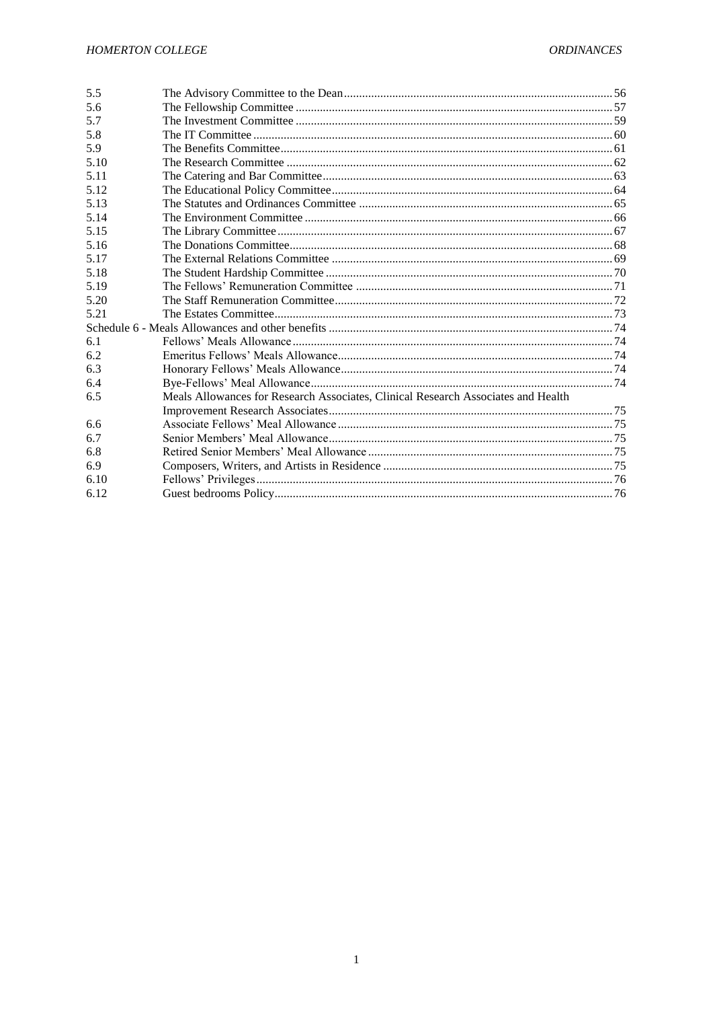| 5.6<br>5.7<br>5.8<br>5.9<br>5.10<br>5.11<br>5.12<br>5.13                                 |  |  |
|------------------------------------------------------------------------------------------|--|--|
|                                                                                          |  |  |
|                                                                                          |  |  |
|                                                                                          |  |  |
|                                                                                          |  |  |
|                                                                                          |  |  |
|                                                                                          |  |  |
|                                                                                          |  |  |
|                                                                                          |  |  |
| 5.14                                                                                     |  |  |
| 5.15                                                                                     |  |  |
| 5.16                                                                                     |  |  |
| 5.17                                                                                     |  |  |
| 5.18                                                                                     |  |  |
| 5.19                                                                                     |  |  |
| 5.20                                                                                     |  |  |
| 5.21                                                                                     |  |  |
|                                                                                          |  |  |
| 6.1                                                                                      |  |  |
| 6.2                                                                                      |  |  |
| 6.3                                                                                      |  |  |
| 6.4                                                                                      |  |  |
| Meals Allowances for Research Associates, Clinical Research Associates and Health<br>6.5 |  |  |
|                                                                                          |  |  |
| 6.6                                                                                      |  |  |
| 6.7                                                                                      |  |  |
| 6.8                                                                                      |  |  |
| 6.9                                                                                      |  |  |
| 6.10                                                                                     |  |  |
| 6.12                                                                                     |  |  |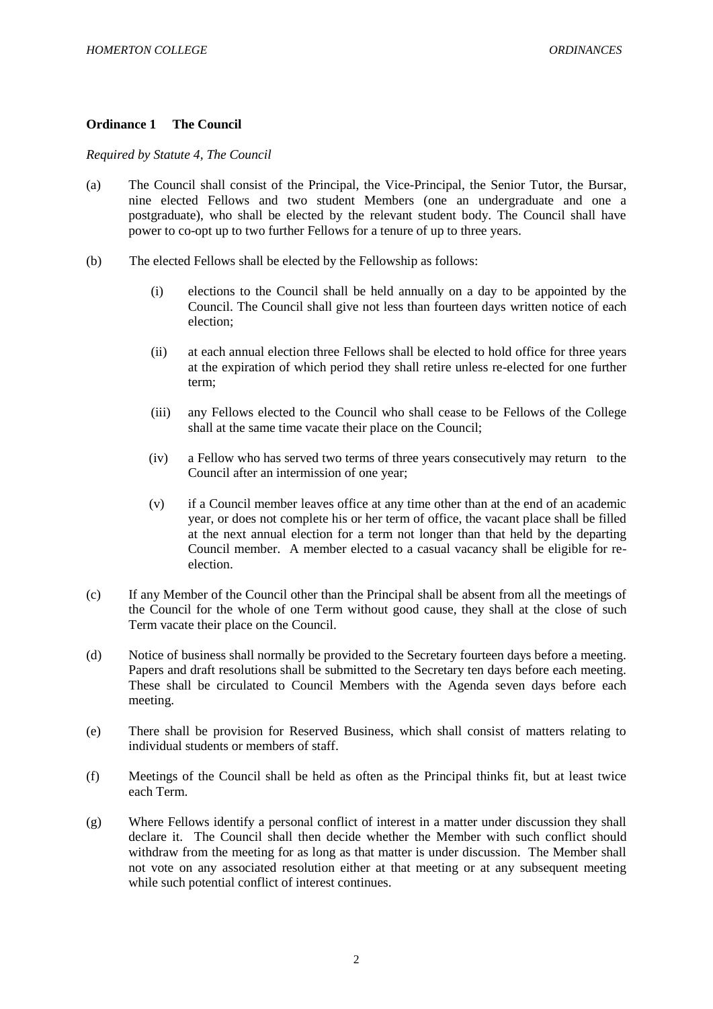### <span id="page-2-0"></span>**Ordinance 1 The Council**

*Required by Statute 4, The Council*

- (a) The Council shall consist of the Principal, the Vice-Principal, the Senior Tutor, the Bursar, nine elected Fellows and two student Members (one an undergraduate and one a postgraduate), who shall be elected by the relevant student body. The Council shall have power to co-opt up to two further Fellows for a tenure of up to three years.
- (b) The elected Fellows shall be elected by the Fellowship as follows:
	- (i) elections to the Council shall be held annually on a day to be appointed by the Council. The Council shall give not less than fourteen days written notice of each election;
	- (ii) at each annual election three Fellows shall be elected to hold office for three years at the expiration of which period they shall retire unless re-elected for one further term;
	- (iii) any Fellows elected to the Council who shall cease to be Fellows of the College shall at the same time vacate their place on the Council;
	- (iv) a Fellow who has served two terms of three years consecutively may return to the Council after an intermission of one year;
	- (v) if a Council member leaves office at any time other than at the end of an academic year, or does not complete his or her term of office, the vacant place shall be filled at the next annual election for a term not longer than that held by the departing Council member. A member elected to a casual vacancy shall be eligible for reelection.
- (c) If any Member of the Council other than the Principal shall be absent from all the meetings of the Council for the whole of one Term without good cause, they shall at the close of such Term vacate their place on the Council.
- (d) Notice of business shall normally be provided to the Secretary fourteen days before a meeting. Papers and draft resolutions shall be submitted to the Secretary ten days before each meeting. These shall be circulated to Council Members with the Agenda seven days before each meeting.
- (e) There shall be provision for Reserved Business, which shall consist of matters relating to individual students or members of staff.
- (f) Meetings of the Council shall be held as often as the Principal thinks fit, but at least twice each Term.
- (g) Where Fellows identify a personal conflict of interest in a matter under discussion they shall declare it. The Council shall then decide whether the Member with such conflict should withdraw from the meeting for as long as that matter is under discussion. The Member shall not vote on any associated resolution either at that meeting or at any subsequent meeting while such potential conflict of interest continues.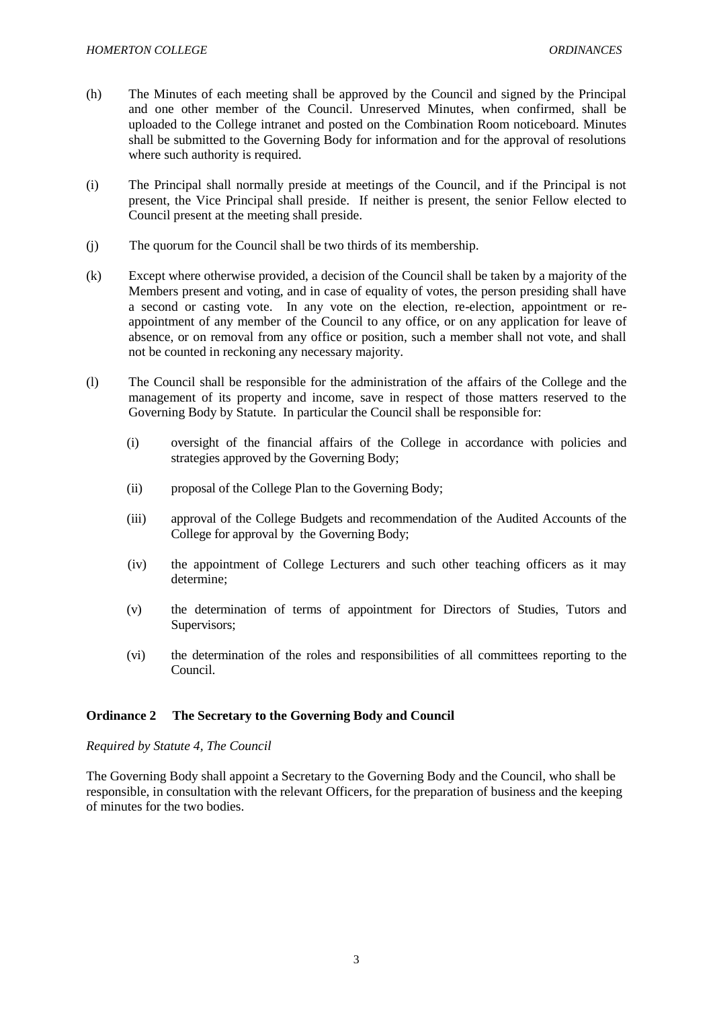- (h) The Minutes of each meeting shall be approved by the Council and signed by the Principal and one other member of the Council. Unreserved Minutes, when confirmed, shall be uploaded to the College intranet and posted on the Combination Room noticeboard. Minutes shall be submitted to the Governing Body for information and for the approval of resolutions where such authority is required.
- (i) The Principal shall normally preside at meetings of the Council, and if the Principal is not present, the Vice Principal shall preside. If neither is present, the senior Fellow elected to Council present at the meeting shall preside.
- (j) The quorum for the Council shall be two thirds of its membership.
- (k) Except where otherwise provided, a decision of the Council shall be taken by a majority of the Members present and voting, and in case of equality of votes, the person presiding shall have a second or casting vote. In any vote on the election, re-election, appointment or reappointment of any member of the Council to any office, or on any application for leave of absence, or on removal from any office or position, such a member shall not vote, and shall not be counted in reckoning any necessary majority.
- (l) The Council shall be responsible for the administration of the affairs of the College and the management of its property and income, save in respect of those matters reserved to the Governing Body by Statute. In particular the Council shall be responsible for:
	- (i) oversight of the financial affairs of the College in accordance with policies and strategies approved by the Governing Body;
	- (ii) proposal of the College Plan to the Governing Body;
	- (iii) approval of the College Budgets and recommendation of the Audited Accounts of the College for approval by the Governing Body;
	- (iv) the appointment of College Lecturers and such other teaching officers as it may determine;
	- (v) the determination of terms of appointment for Directors of Studies, Tutors and Supervisors;
	- (vi) the determination of the roles and responsibilities of all committees reporting to the Council.

## <span id="page-3-0"></span>**Ordinance 2 The Secretary to the Governing Body and Council**

## *Required by Statute 4, The Council*

The Governing Body shall appoint a Secretary to the Governing Body and the Council, who shall be responsible, in consultation with the relevant Officers, for the preparation of business and the keeping of minutes for the two bodies.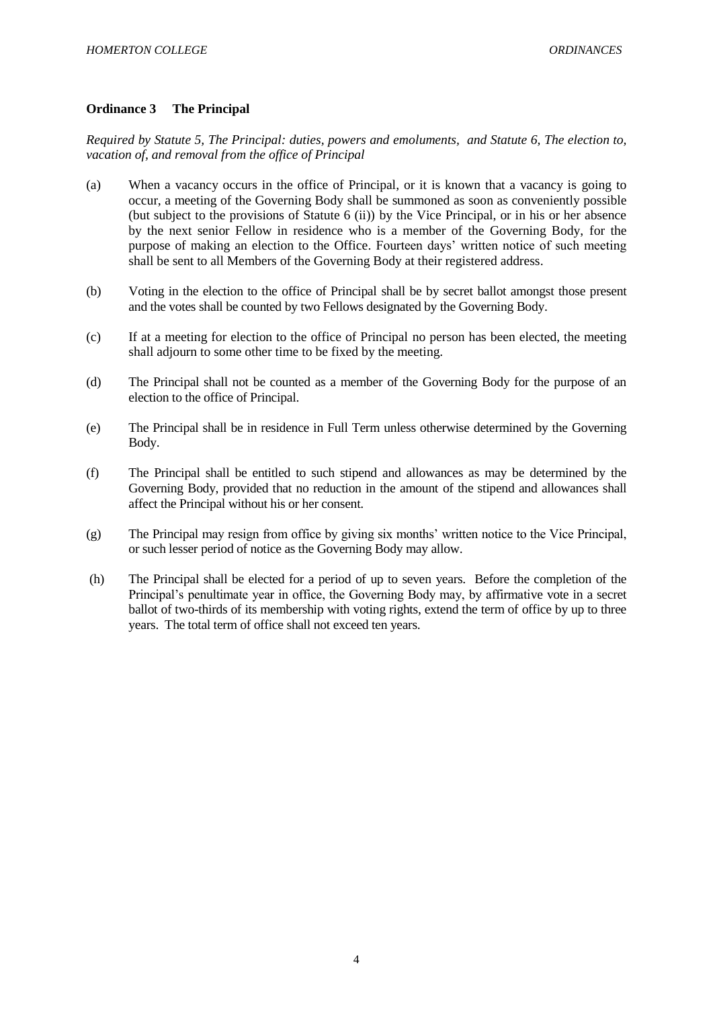## <span id="page-4-0"></span>**Ordinance 3 The Principal**

*Required by Statute 5, The Principal: duties, powers and emoluments, and Statute 6, The election to, vacation of, and removal from the office of Principal*

- (a) When a vacancy occurs in the office of Principal, or it is known that a vacancy is going to occur, a meeting of the Governing Body shall be summoned as soon as conveniently possible (but subject to the provisions of Statute 6 (ii)) by the Vice Principal, or in his or her absence by the next senior Fellow in residence who is a member of the Governing Body, for the purpose of making an election to the Office. Fourteen days' written notice of such meeting shall be sent to all Members of the Governing Body at their registered address.
- (b) Voting in the election to the office of Principal shall be by secret ballot amongst those present and the votes shall be counted by two Fellows designated by the Governing Body.
- (c) If at a meeting for election to the office of Principal no person has been elected, the meeting shall adjourn to some other time to be fixed by the meeting.
- (d) The Principal shall not be counted as a member of the Governing Body for the purpose of an election to the office of Principal.
- (e) The Principal shall be in residence in Full Term unless otherwise determined by the Governing Body.
- (f) The Principal shall be entitled to such stipend and allowances as may be determined by the Governing Body, provided that no reduction in the amount of the stipend and allowances shall affect the Principal without his or her consent.
- (g) The Principal may resign from office by giving six months' written notice to the Vice Principal, or such lesser period of notice as the Governing Body may allow.
- (h) The Principal shall be elected for a period of up to seven years. Before the completion of the Principal's penultimate year in office, the Governing Body may, by affirmative vote in a secret ballot of two-thirds of its membership with voting rights, extend the term of office by up to three years. The total term of office shall not exceed ten years.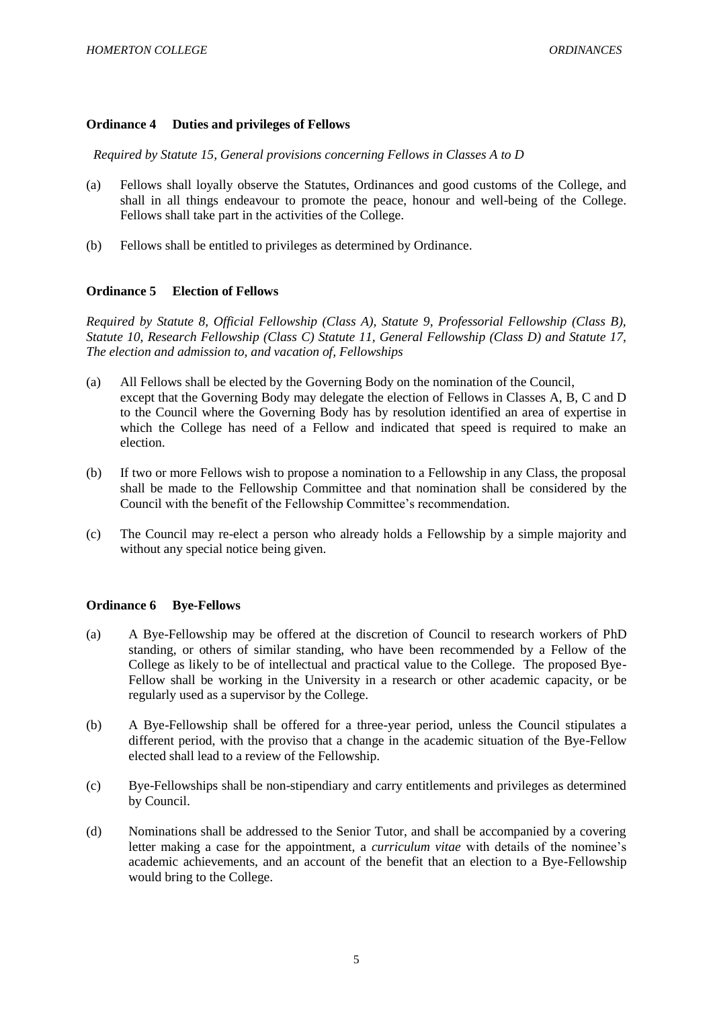## <span id="page-5-0"></span>**Ordinance 4 Duties and privileges of Fellows**

*Required by Statute 15, General provisions concerning Fellows in Classes A to D*

- (a) Fellows shall loyally observe the Statutes, Ordinances and good customs of the College, and shall in all things endeavour to promote the peace, honour and well-being of the College. Fellows shall take part in the activities of the College.
- (b) Fellows shall be entitled to privileges as determined by Ordinance.

## <span id="page-5-1"></span>**Ordinance 5 Election of Fellows**

*Required by Statute 8, Official Fellowship (Class A), Statute 9, Professorial Fellowship (Class B), Statute 10, Research Fellowship (Class C) Statute 11, General Fellowship (Class D) and Statute 17, The election and admission to, and vacation of, Fellowships*

- (a) All Fellows shall be elected by the Governing Body on the nomination of the Council, except that the Governing Body may delegate the election of Fellows in Classes A, B, C and D to the Council where the Governing Body has by resolution identified an area of expertise in which the College has need of a Fellow and indicated that speed is required to make an election.
- (b) If two or more Fellows wish to propose a nomination to a Fellowship in any Class, the proposal shall be made to the Fellowship Committee and that nomination shall be considered by the Council with the benefit of the Fellowship Committee's recommendation.
- (c) The Council may re-elect a person who already holds a Fellowship by a simple majority and without any special notice being given.

## <span id="page-5-2"></span>**Ordinance 6 Bye-Fellows**

- (a) A Bye-Fellowship may be offered at the discretion of Council to research workers of PhD standing, or others of similar standing, who have been recommended by a Fellow of the College as likely to be of intellectual and practical value to the College. The proposed Bye-Fellow shall be working in the University in a research or other academic capacity, or be regularly used as a supervisor by the College.
- (b) A Bye-Fellowship shall be offered for a three-year period, unless the Council stipulates a different period, with the proviso that a change in the academic situation of the Bye-Fellow elected shall lead to a review of the Fellowship.
- (c) Bye-Fellowships shall be non-stipendiary and carry entitlements and privileges as determined by Council.
- (d) Nominations shall be addressed to the Senior Tutor, and shall be accompanied by a covering letter making a case for the appointment, a *curriculum vitae* with details of the nominee's academic achievements, and an account of the benefit that an election to a Bye-Fellowship would bring to the College.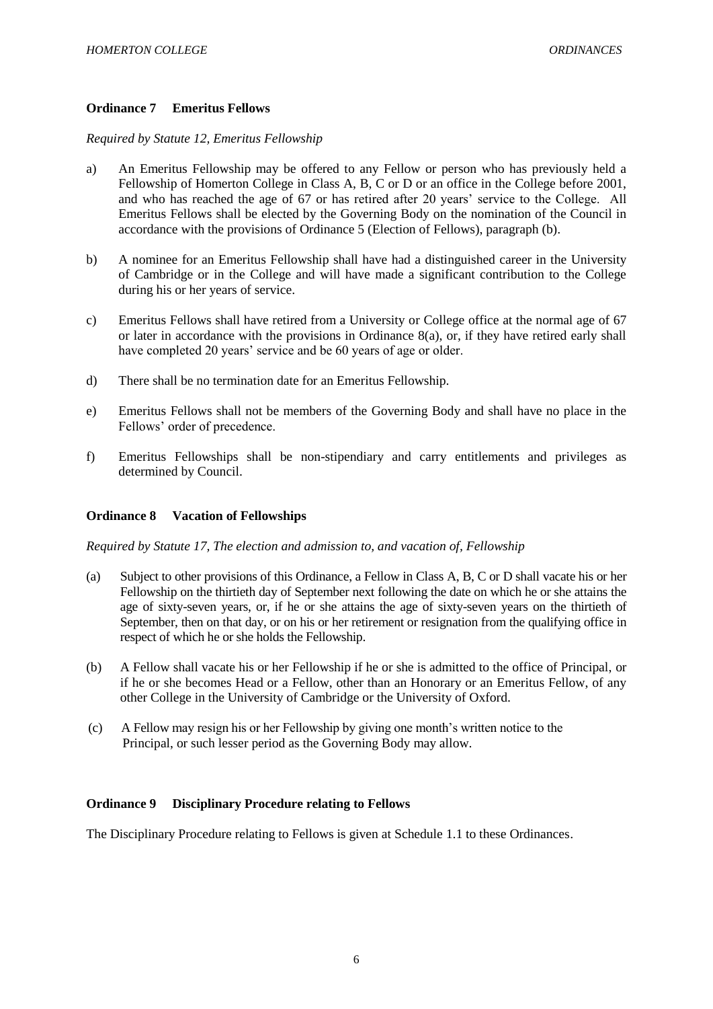## <span id="page-6-0"></span>**Ordinance 7 Emeritus Fellows**

## *Required by Statute 12, Emeritus Fellowship*

- a) An Emeritus Fellowship may be offered to any Fellow or person who has previously held a Fellowship of Homerton College in Class A, B, C or D or an office in the College before 2001, and who has reached the age of 67 or has retired after 20 years' service to the College. All Emeritus Fellows shall be elected by the Governing Body on the nomination of the Council in accordance with the provisions of Ordinance 5 (Election of Fellows), paragraph (b).
- b) A nominee for an Emeritus Fellowship shall have had a distinguished career in the University of Cambridge or in the College and will have made a significant contribution to the College during his or her years of service.
- c) Emeritus Fellows shall have retired from a University or College office at the normal age of 67 or later in accordance with the provisions in Ordinance 8(a), or, if they have retired early shall have completed 20 years' service and be 60 years of age or older.
- d) There shall be no termination date for an Emeritus Fellowship.
- e) Emeritus Fellows shall not be members of the Governing Body and shall have no place in the Fellows' order of precedence.
- f) Emeritus Fellowships shall be non-stipendiary and carry entitlements and privileges as determined by Council.

## <span id="page-6-1"></span>**Ordinance 8 Vacation of Fellowships**

*Required by Statute 17, The election and admission to, and vacation of, Fellowship*

- (a) Subject to other provisions of this Ordinance, a Fellow in Class A, B, C or D shall vacate his or her Fellowship on the thirtieth day of September next following the date on which he or she attains the age of sixty-seven years, or, if he or she attains the age of sixty-seven years on the thirtieth of September, then on that day, or on his or her retirement or resignation from the qualifying office in respect of which he or she holds the Fellowship.
- (b) A Fellow shall vacate his or her Fellowship if he or she is admitted to the office of Principal, or if he or she becomes Head or a Fellow, other than an Honorary or an Emeritus Fellow, of any other College in the University of Cambridge or the University of Oxford.
- (c) A Fellow may resign his or her Fellowship by giving one month's written notice to the Principal, or such lesser period as the Governing Body may allow.

## <span id="page-6-2"></span>**Ordinance 9 Disciplinary Procedure relating to Fellows**

The Disciplinary Procedure relating to Fellows is given at Schedule 1.1 to these Ordinances.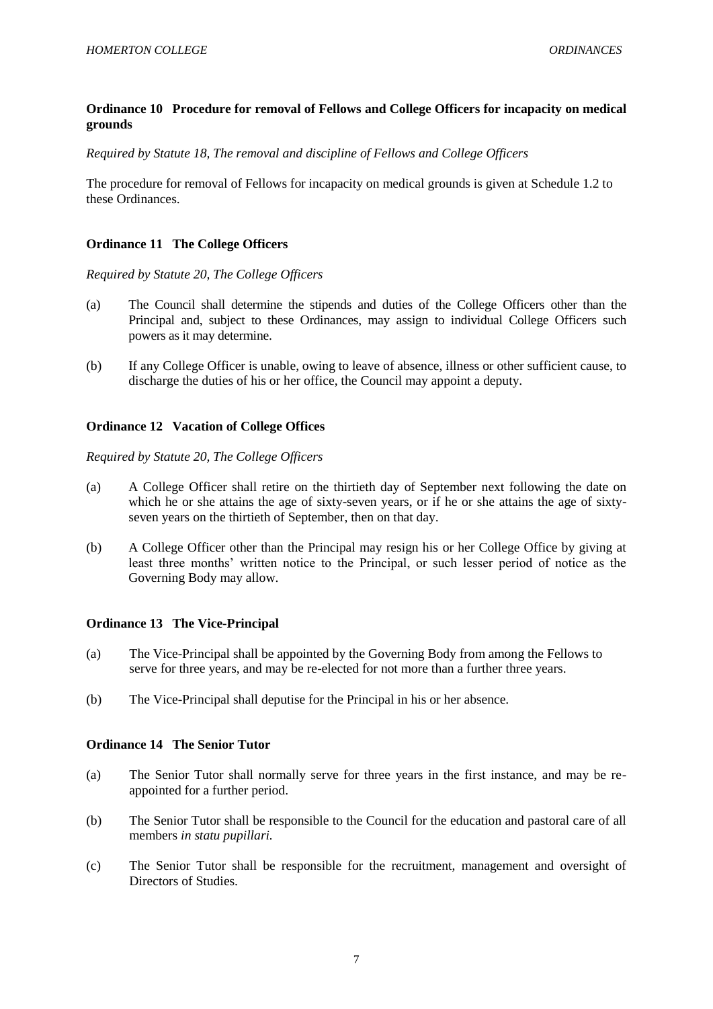## <span id="page-7-0"></span>**Ordinance 10 Procedure for removal of Fellows and College Officers for incapacity on medical grounds**

*Required by Statute 18, The removal and discipline of Fellows and College Officers*

The procedure for removal of Fellows for incapacity on medical grounds is given at Schedule 1.2 to these Ordinances.

### <span id="page-7-1"></span>**Ordinance 11 The College Officers**

*Required by Statute 20, The College Officers*

- (a) The Council shall determine the stipends and duties of the College Officers other than the Principal and, subject to these Ordinances, may assign to individual College Officers such powers as it may determine.
- (b) If any College Officer is unable, owing to leave of absence, illness or other sufficient cause, to discharge the duties of his or her office, the Council may appoint a deputy.

## <span id="page-7-2"></span>**Ordinance 12 Vacation of College Offices**

*Required by Statute 20, The College Officers*

- (a) A College Officer shall retire on the thirtieth day of September next following the date on which he or she attains the age of sixty-seven years, or if he or she attains the age of sixtyseven years on the thirtieth of September, then on that day.
- (b) A College Officer other than the Principal may resign his or her College Office by giving at least three months' written notice to the Principal, or such lesser period of notice as the Governing Body may allow.

## <span id="page-7-3"></span>**Ordinance 13 The Vice-Principal**

- (a) The Vice-Principal shall be appointed by the Governing Body from among the Fellows to serve for three years, and may be re-elected for not more than a further three years.
- (b) The Vice-Principal shall deputise for the Principal in his or her absence.

#### <span id="page-7-4"></span>**Ordinance 14 The Senior Tutor**

- (a) The Senior Tutor shall normally serve for three years in the first instance, and may be reappointed for a further period.
- (b) The Senior Tutor shall be responsible to the Council for the education and pastoral care of all members *in statu pupillari.*
- (c) The Senior Tutor shall be responsible for the recruitment, management and oversight of Directors of Studies.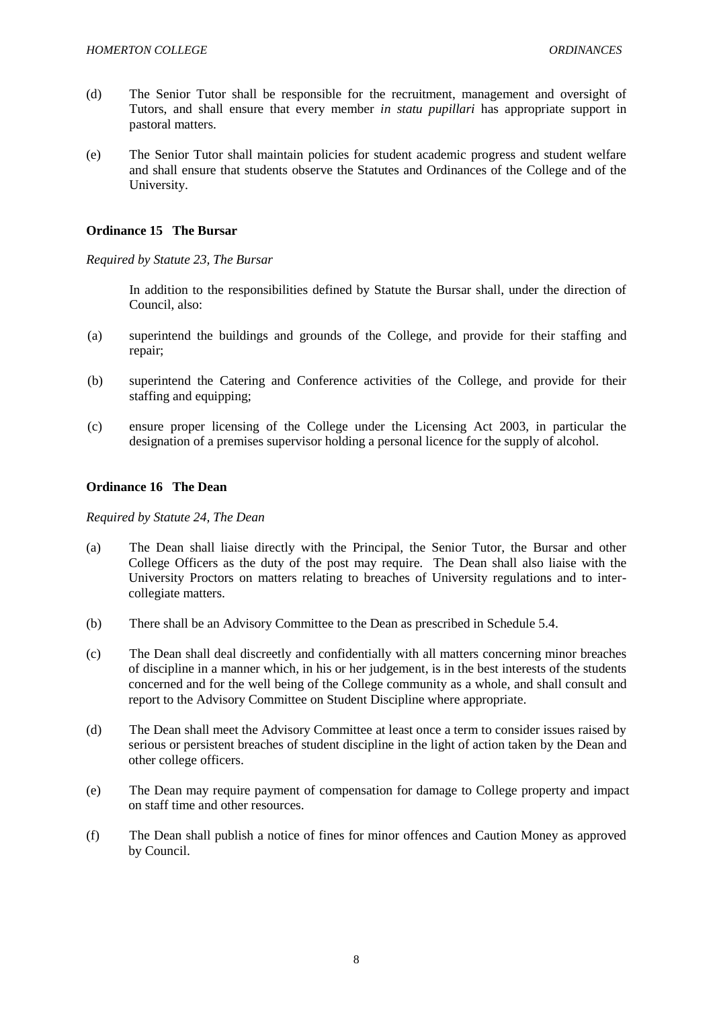- (d) The Senior Tutor shall be responsible for the recruitment, management and oversight of Tutors, and shall ensure that every member *in statu pupillari* has appropriate support in pastoral matters.
- (e) The Senior Tutor shall maintain policies for student academic progress and student welfare and shall ensure that students observe the Statutes and Ordinances of the College and of the University.

### <span id="page-8-0"></span>**Ordinance 15 The Bursar**

*Required by Statute 23, The Bursar*

In addition to the responsibilities defined by Statute the Bursar shall, under the direction of Council, also:

- (a) superintend the buildings and grounds of the College, and provide for their staffing and repair;
- (b) superintend the Catering and Conference activities of the College, and provide for their staffing and equipping;
- (c) ensure proper licensing of the College under the Licensing Act 2003, in particular the designation of a premises supervisor holding a personal licence for the supply of alcohol.

## <span id="page-8-1"></span>**Ordinance 16 The Dean**

#### *Required by Statute 24, The Dean*

- (a) The Dean shall liaise directly with the Principal, the Senior Tutor, the Bursar and other College Officers as the duty of the post may require. The Dean shall also liaise with the University Proctors on matters relating to breaches of University regulations and to intercollegiate matters.
- (b) There shall be an Advisory Committee to the Dean as prescribed in Schedule 5.4.
- (c) The Dean shall deal discreetly and confidentially with all matters concerning minor breaches of discipline in a manner which, in his or her judgement, is in the best interests of the students concerned and for the well being of the College community as a whole, and shall consult and report to the Advisory Committee on Student Discipline where appropriate.
- (d) The Dean shall meet the Advisory Committee at least once a term to consider issues raised by serious or persistent breaches of student discipline in the light of action taken by the Dean and other college officers.
- (e) The Dean may require payment of compensation for damage to College property and impact on staff time and other resources.
- (f) The Dean shall publish a notice of fines for minor offences and Caution Money as approved by Council.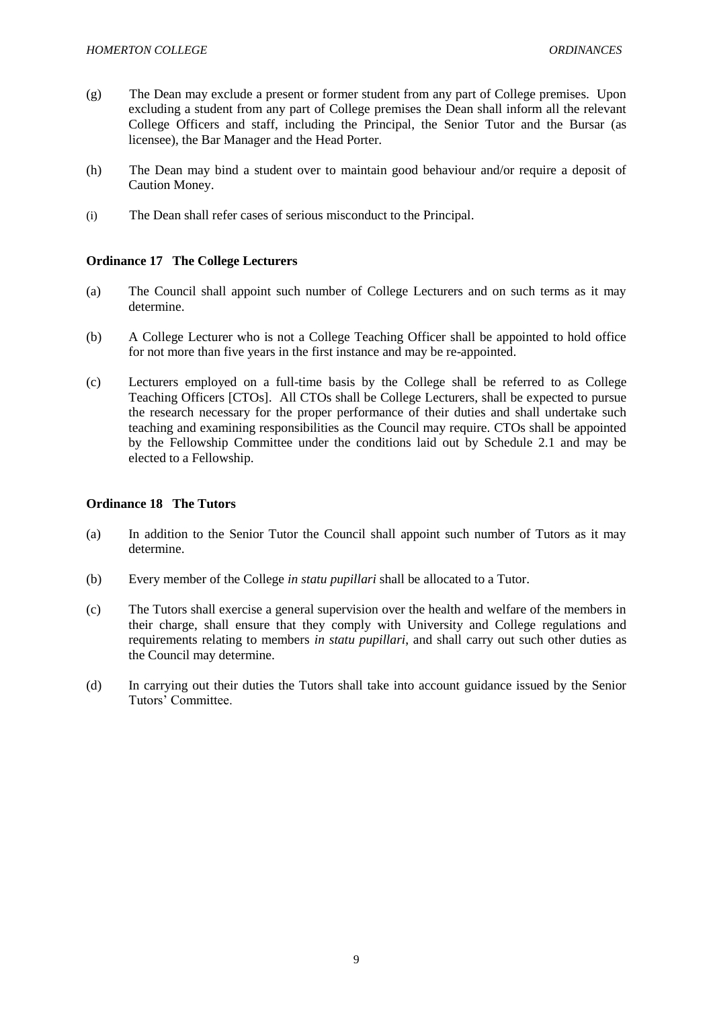- (g) The Dean may exclude a present or former student from any part of College premises. Upon excluding a student from any part of College premises the Dean shall inform all the relevant College Officers and staff, including the Principal, the Senior Tutor and the Bursar (as licensee), the Bar Manager and the Head Porter.
- (h) The Dean may bind a student over to maintain good behaviour and/or require a deposit of Caution Money.
- (i) The Dean shall refer cases of serious misconduct to the Principal.

## <span id="page-9-0"></span>**Ordinance 17 The College Lecturers**

- (a) The Council shall appoint such number of College Lecturers and on such terms as it may determine.
- (b) A College Lecturer who is not a College Teaching Officer shall be appointed to hold office for not more than five years in the first instance and may be re-appointed.
- (c) Lecturers employed on a full-time basis by the College shall be referred to as College Teaching Officers [CTOs]. All CTOs shall be College Lecturers, shall be expected to pursue the research necessary for the proper performance of their duties and shall undertake such teaching and examining responsibilities as the Council may require. CTOs shall be appointed by the Fellowship Committee under the conditions laid out by Schedule 2.1 and may be elected to a Fellowship.

## <span id="page-9-1"></span>**Ordinance 18 The Tutors**

- (a) In addition to the Senior Tutor the Council shall appoint such number of Tutors as it may determine.
- (b) Every member of the College *in statu pupillari* shall be allocated to a Tutor.
- (c) The Tutors shall exercise a general supervision over the health and welfare of the members in their charge, shall ensure that they comply with University and College regulations and requirements relating to members *in statu pupillari*, and shall carry out such other duties as the Council may determine.
- (d) In carrying out their duties the Tutors shall take into account guidance issued by the Senior Tutors' Committee.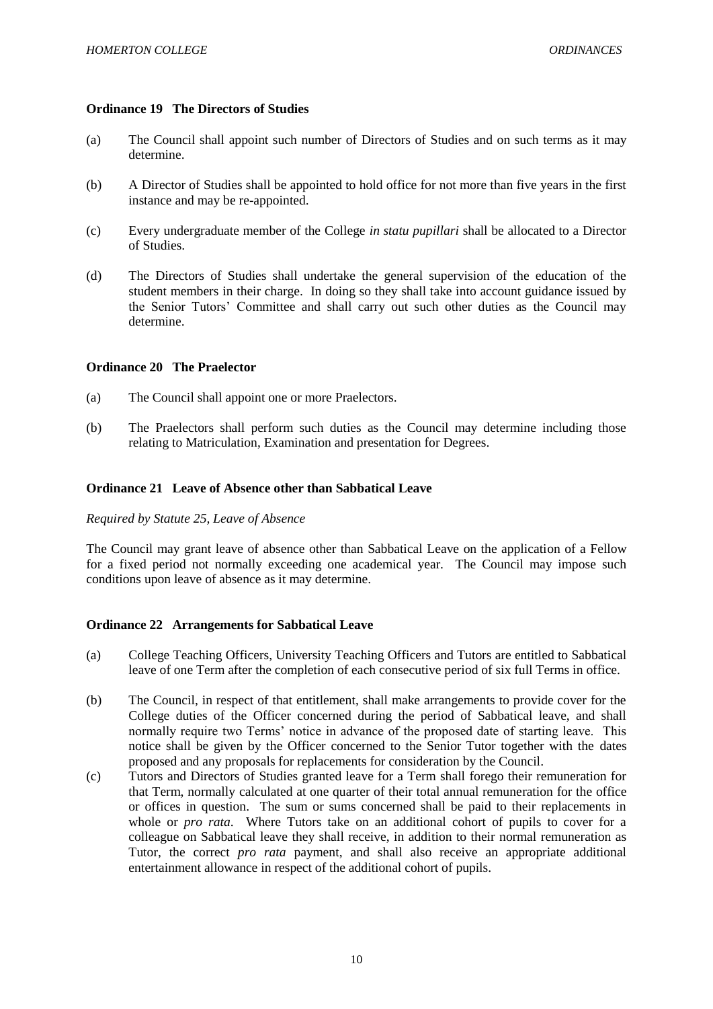### <span id="page-10-0"></span>**Ordinance 19 The Directors of Studies**

- (a) The Council shall appoint such number of Directors of Studies and on such terms as it may determine.
- (b) A Director of Studies shall be appointed to hold office for not more than five years in the first instance and may be re-appointed.
- (c) Every undergraduate member of the College *in statu pupillari* shall be allocated to a Director of Studies.
- (d) The Directors of Studies shall undertake the general supervision of the education of the student members in their charge. In doing so they shall take into account guidance issued by the Senior Tutors' Committee and shall carry out such other duties as the Council may determine.

### <span id="page-10-1"></span>**Ordinance 20 The Praelector**

- (a) The Council shall appoint one or more Praelectors.
- (b) The Praelectors shall perform such duties as the Council may determine including those relating to Matriculation, Examination and presentation for Degrees.

### <span id="page-10-2"></span>**Ordinance 21 Leave of Absence other than Sabbatical Leave**

### *Required by Statute 25, Leave of Absence*

The Council may grant leave of absence other than Sabbatical Leave on the application of a Fellow for a fixed period not normally exceeding one academical year. The Council may impose such conditions upon leave of absence as it may determine.

### <span id="page-10-3"></span>**Ordinance 22 Arrangements for Sabbatical Leave**

- (a) College Teaching Officers, University Teaching Officers and Tutors are entitled to Sabbatical leave of one Term after the completion of each consecutive period of six full Terms in office.
- (b) The Council, in respect of that entitlement, shall make arrangements to provide cover for the College duties of the Officer concerned during the period of Sabbatical leave, and shall normally require two Terms' notice in advance of the proposed date of starting leave. This notice shall be given by the Officer concerned to the Senior Tutor together with the dates proposed and any proposals for replacements for consideration by the Council.
- (c) Tutors and Directors of Studies granted leave for a Term shall forego their remuneration for that Term, normally calculated at one quarter of their total annual remuneration for the office or offices in question. The sum or sums concerned shall be paid to their replacements in whole or *pro rata*. Where Tutors take on an additional cohort of pupils to cover for a colleague on Sabbatical leave they shall receive, in addition to their normal remuneration as Tutor, the correct *pro rata* payment, and shall also receive an appropriate additional entertainment allowance in respect of the additional cohort of pupils.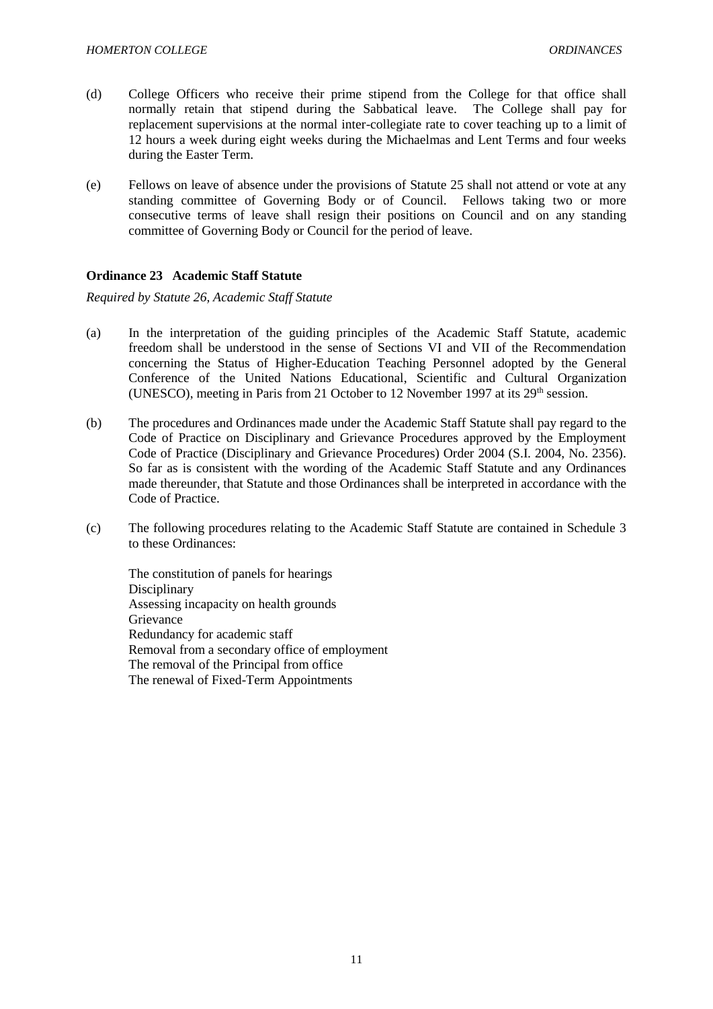- (d) College Officers who receive their prime stipend from the College for that office shall normally retain that stipend during the Sabbatical leave. The College shall pay for replacement supervisions at the normal inter-collegiate rate to cover teaching up to a limit of 12 hours a week during eight weeks during the Michaelmas and Lent Terms and four weeks during the Easter Term.
- (e) Fellows on leave of absence under the provisions of Statute 25 shall not attend or vote at any standing committee of Governing Body or of Council. Fellows taking two or more consecutive terms of leave shall resign their positions on Council and on any standing committee of Governing Body or Council for the period of leave.

## <span id="page-11-0"></span>**Ordinance 23 Academic Staff Statute**

*Required by Statute 26, Academic Staff Statute*

- (a) In the interpretation of the guiding principles of the Academic Staff Statute, academic freedom shall be understood in the sense of Sections VI and VII of the Recommendation concerning the Status of Higher-Education Teaching Personnel adopted by the General Conference of the United Nations Educational, Scientific and Cultural Organization (UNESCO), meeting in Paris from 21 October to 12 November 1997 at its  $29<sup>th</sup>$  session.
- (b) The procedures and Ordinances made under the Academic Staff Statute shall pay regard to the Code of Practice on Disciplinary and Grievance Procedures approved by the Employment Code of Practice (Disciplinary and Grievance Procedures) Order 2004 (S.I. 2004, No. 2356). So far as is consistent with the wording of the Academic Staff Statute and any Ordinances made thereunder, that Statute and those Ordinances shall be interpreted in accordance with the Code of Practice.
- (c) The following procedures relating to the Academic Staff Statute are contained in Schedule 3 to these Ordinances:

The constitution of panels for hearings **Disciplinary** Assessing incapacity on health grounds Grievance Redundancy for academic staff Removal from a secondary office of employment The removal of the Principal from office The renewal of Fixed-Term Appointments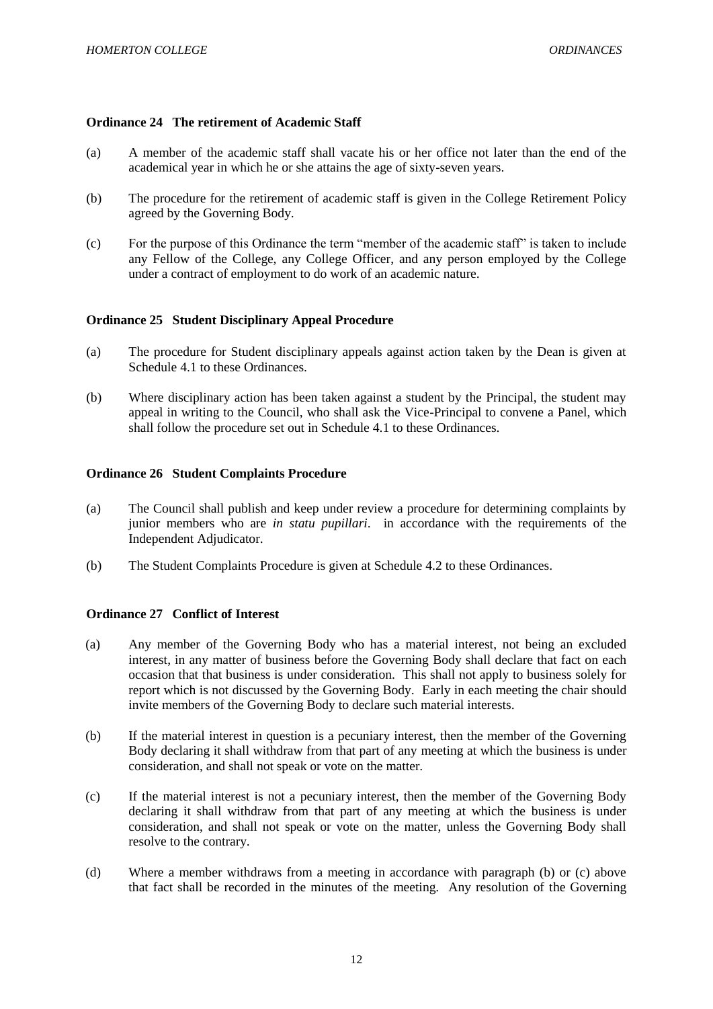## <span id="page-12-0"></span>**Ordinance 24 The retirement of Academic Staff**

- (a) A member of the academic staff shall vacate his or her office not later than the end of the academical year in which he or she attains the age of sixty-seven years.
- (b) The procedure for the retirement of academic staff is given in the College Retirement Policy agreed by the Governing Body.
- (c) For the purpose of this Ordinance the term "member of the academic staff" is taken to include any Fellow of the College, any College Officer, and any person employed by the College under a contract of employment to do work of an academic nature.

## <span id="page-12-1"></span>**Ordinance 25 Student Disciplinary Appeal Procedure**

- (a) The procedure for Student disciplinary appeals against action taken by the Dean is given at Schedule 4.1 to these Ordinances.
- (b) Where disciplinary action has been taken against a student by the Principal, the student may appeal in writing to the Council, who shall ask the Vice-Principal to convene a Panel, which shall follow the procedure set out in Schedule 4.1 to these Ordinances.

### <span id="page-12-2"></span>**Ordinance 26 Student Complaints Procedure**

- (a) The Council shall publish and keep under review a procedure for determining complaints by junior members who are *in statu pupillari*. in accordance with the requirements of the Independent Adjudicator.
- (b) The Student Complaints Procedure is given at Schedule 4.2 to these Ordinances.

## <span id="page-12-3"></span>**Ordinance 27 Conflict of Interest**

- (a) Any member of the Governing Body who has a material interest, not being an excluded interest, in any matter of business before the Governing Body shall declare that fact on each occasion that that business is under consideration. This shall not apply to business solely for report which is not discussed by the Governing Body. Early in each meeting the chair should invite members of the Governing Body to declare such material interests.
- (b) If the material interest in question is a pecuniary interest, then the member of the Governing Body declaring it shall withdraw from that part of any meeting at which the business is under consideration, and shall not speak or vote on the matter.
- (c) If the material interest is not a pecuniary interest, then the member of the Governing Body declaring it shall withdraw from that part of any meeting at which the business is under consideration, and shall not speak or vote on the matter, unless the Governing Body shall resolve to the contrary.
- (d) Where a member withdraws from a meeting in accordance with paragraph (b) or (c) above that fact shall be recorded in the minutes of the meeting. Any resolution of the Governing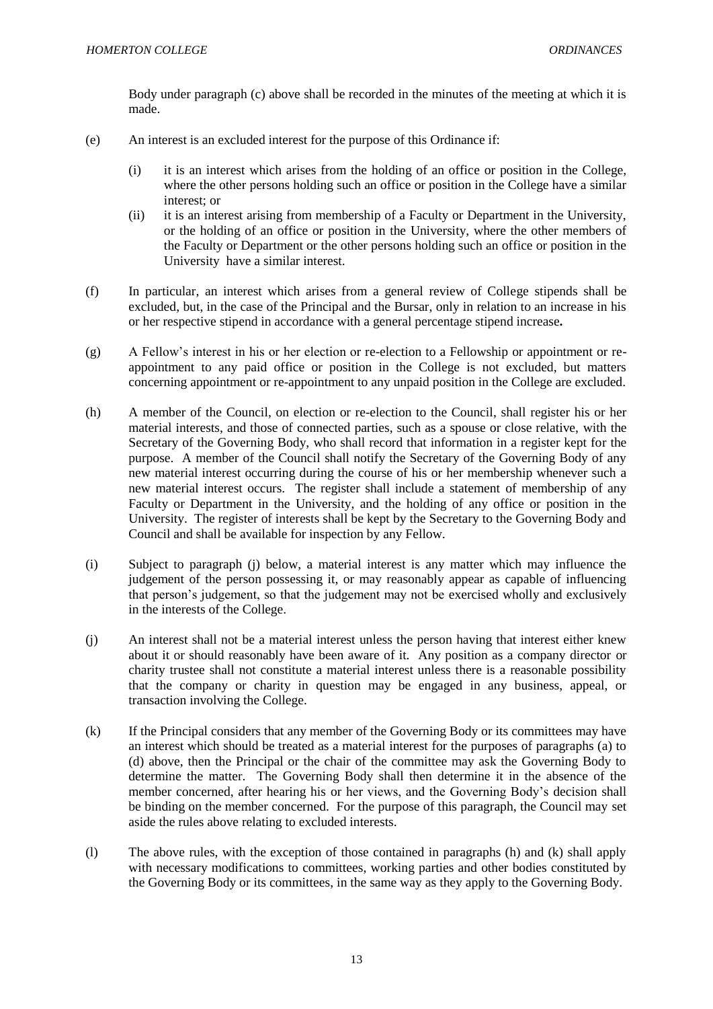Body under paragraph (c) above shall be recorded in the minutes of the meeting at which it is made.

- (e) An interest is an excluded interest for the purpose of this Ordinance if:
	- (i) it is an interest which arises from the holding of an office or position in the College, where the other persons holding such an office or position in the College have a similar interest; or
	- (ii) it is an interest arising from membership of a Faculty or Department in the University, or the holding of an office or position in the University, where the other members of the Faculty or Department or the other persons holding such an office or position in the University have a similar interest.
- (f) In particular, an interest which arises from a general review of College stipends shall be excluded, but, in the case of the Principal and the Bursar, only in relation to an increase in his or her respective stipend in accordance with a general percentage stipend increase*.*
- (g) A Fellow's interest in his or her election or re-election to a Fellowship or appointment or reappointment to any paid office or position in the College is not excluded, but matters concerning appointment or re-appointment to any unpaid position in the College are excluded.
- (h) A member of the Council, on election or re-election to the Council, shall register his or her material interests, and those of connected parties, such as a spouse or close relative, with the Secretary of the Governing Body, who shall record that information in a register kept for the purpose. A member of the Council shall notify the Secretary of the Governing Body of any new material interest occurring during the course of his or her membership whenever such a new material interest occurs. The register shall include a statement of membership of any Faculty or Department in the University, and the holding of any office or position in the University. The register of interests shall be kept by the Secretary to the Governing Body and Council and shall be available for inspection by any Fellow.
- (i) Subject to paragraph (j) below, a material interest is any matter which may influence the judgement of the person possessing it, or may reasonably appear as capable of influencing that person's judgement, so that the judgement may not be exercised wholly and exclusively in the interests of the College.
- (j) An interest shall not be a material interest unless the person having that interest either knew about it or should reasonably have been aware of it. Any position as a company director or charity trustee shall not constitute a material interest unless there is a reasonable possibility that the company or charity in question may be engaged in any business, appeal, or transaction involving the College.
- (k) If the Principal considers that any member of the Governing Body or its committees may have an interest which should be treated as a material interest for the purposes of paragraphs (a) to (d) above, then the Principal or the chair of the committee may ask the Governing Body to determine the matter. The Governing Body shall then determine it in the absence of the member concerned, after hearing his or her views, and the Governing Body's decision shall be binding on the member concerned. For the purpose of this paragraph, the Council may set aside the rules above relating to excluded interests.
- (l) The above rules, with the exception of those contained in paragraphs (h) and (k) shall apply with necessary modifications to committees, working parties and other bodies constituted by the Governing Body or its committees, in the same way as they apply to the Governing Body.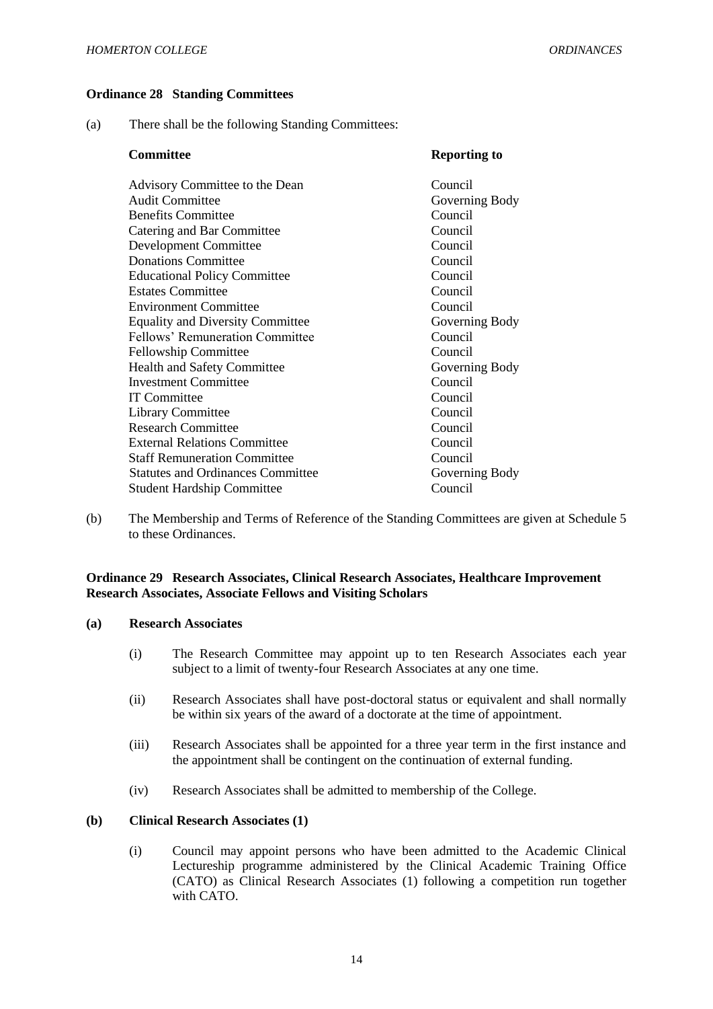### <span id="page-14-0"></span>**Ordinance 28 Standing Committees**

(a) There shall be the following Standing Committees:

| <b>Committee</b>                         | <b>Reporting to</b> |
|------------------------------------------|---------------------|
| Advisory Committee to the Dean           | Council             |
| <b>Audit Committee</b>                   | Governing Body      |
| <b>Benefits Committee</b>                | Council             |
| Catering and Bar Committee               | Council             |
| Development Committee                    | Council             |
| <b>Donations Committee</b>               | Council             |
| <b>Educational Policy Committee</b>      | Council             |
| <b>Estates Committee</b>                 | Council             |
| <b>Environment Committee</b>             | Council             |
| <b>Equality and Diversity Committee</b>  | Governing Body      |
| Fellows' Remuneration Committee          | Council             |
| Fellowship Committee                     | Council             |
| <b>Health and Safety Committee</b>       | Governing Body      |
| <b>Investment Committee</b>              | Council             |
| <b>IT Committee</b>                      | Council             |
| <b>Library Committee</b>                 | Council             |
| <b>Research Committee</b>                | Council             |
| <b>External Relations Committee</b>      | Council             |
| <b>Staff Remuneration Committee</b>      | Council             |
| <b>Statutes and Ordinances Committee</b> | Governing Body      |
| <b>Student Hardship Committee</b>        | Council             |

(b) The Membership and Terms of Reference of the Standing Committees are given at Schedule 5 to these Ordinances.

### <span id="page-14-1"></span>**Ordinance 29 Research Associates, Clinical Research Associates, Healthcare Improvement Research Associates, Associate Fellows and Visiting Scholars**

#### **(a) Research Associates**

- (i) The Research Committee may appoint up to ten Research Associates each year subject to a limit of twenty-four Research Associates at any one time.
- (ii) Research Associates shall have post-doctoral status or equivalent and shall normally be within six years of the award of a doctorate at the time of appointment.
- (iii) Research Associates shall be appointed for a three year term in the first instance and the appointment shall be contingent on the continuation of external funding.
- (iv) Research Associates shall be admitted to membership of the College.

## **(b) Clinical Research Associates (1)**

(i) Council may appoint persons who have been admitted to the Academic Clinical Lectureship programme administered by the Clinical Academic Training Office (CATO) as Clinical Research Associates (1) following a competition run together with CATO.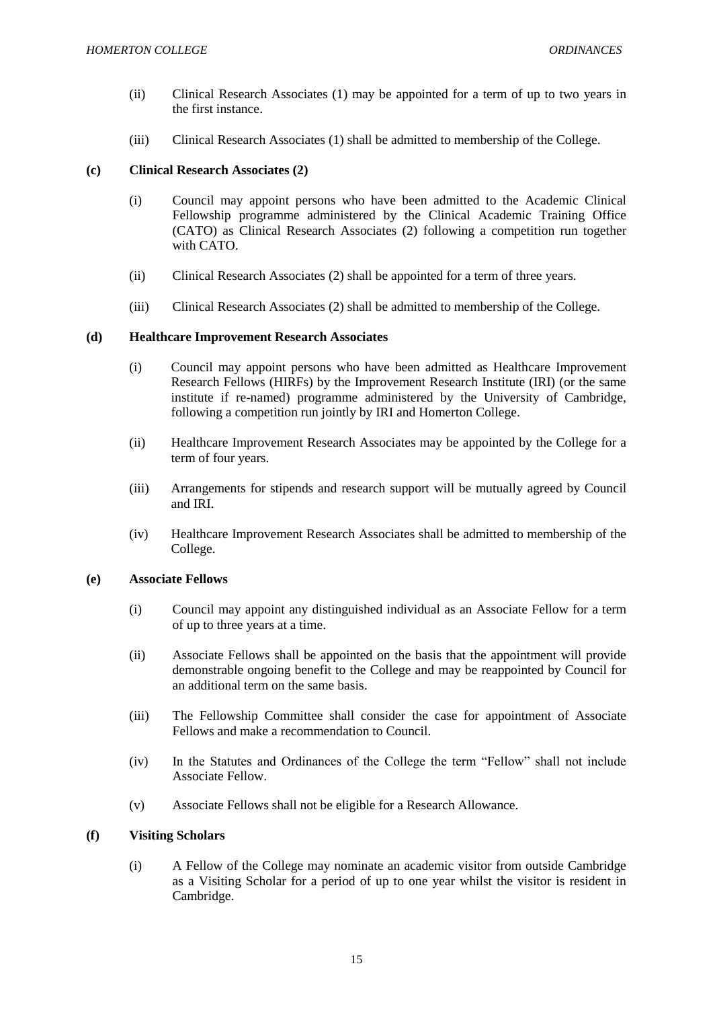- (ii) Clinical Research Associates (1) may be appointed for a term of up to two years in the first instance.
- (iii) Clinical Research Associates (1) shall be admitted to membership of the College.

## **(c) Clinical Research Associates (2)**

- (i) Council may appoint persons who have been admitted to the Academic Clinical Fellowship programme administered by the Clinical Academic Training Office (CATO) as Clinical Research Associates (2) following a competition run together with CATO.
- (ii) Clinical Research Associates (2) shall be appointed for a term of three years.
- (iii) Clinical Research Associates (2) shall be admitted to membership of the College.

### **(d) Healthcare Improvement Research Associates**

- (i) Council may appoint persons who have been admitted as Healthcare Improvement Research Fellows (HIRFs) by the Improvement Research Institute (IRI) (or the same institute if re-named) programme administered by the University of Cambridge, following a competition run jointly by IRI and Homerton College.
- (ii) Healthcare Improvement Research Associates may be appointed by the College for a term of four years.
- (iii) Arrangements for stipends and research support will be mutually agreed by Council and IRI.
- (iv) Healthcare Improvement Research Associates shall be admitted to membership of the College.

#### **(e) Associate Fellows**

- (i) Council may appoint any distinguished individual as an Associate Fellow for a term of up to three years at a time.
- (ii) Associate Fellows shall be appointed on the basis that the appointment will provide demonstrable ongoing benefit to the College and may be reappointed by Council for an additional term on the same basis.
- (iii) The Fellowship Committee shall consider the case for appointment of Associate Fellows and make a recommendation to Council.
- (iv) In the Statutes and Ordinances of the College the term "Fellow" shall not include Associate Fellow.
- (v) Associate Fellows shall not be eligible for a Research Allowance.

## **(f) Visiting Scholars**

(i) A Fellow of the College may nominate an academic visitor from outside Cambridge as a Visiting Scholar for a period of up to one year whilst the visitor is resident in Cambridge.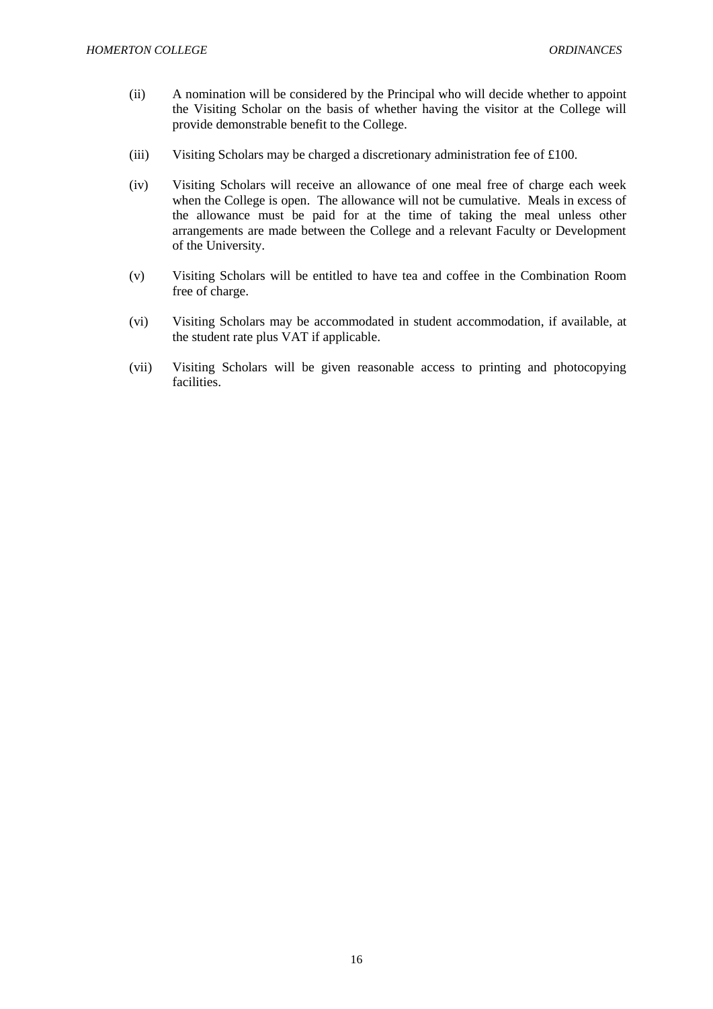- (ii) A nomination will be considered by the Principal who will decide whether to appoint the Visiting Scholar on the basis of whether having the visitor at the College will provide demonstrable benefit to the College.
- (iii) Visiting Scholars may be charged a discretionary administration fee of £100.
- (iv) Visiting Scholars will receive an allowance of one meal free of charge each week when the College is open. The allowance will not be cumulative. Meals in excess of the allowance must be paid for at the time of taking the meal unless other arrangements are made between the College and a relevant Faculty or Development of the University.
- (v) Visiting Scholars will be entitled to have tea and coffee in the Combination Room free of charge.
- (vi) Visiting Scholars may be accommodated in student accommodation, if available, at the student rate plus VAT if applicable.
- (vii) Visiting Scholars will be given reasonable access to printing and photocopying facilities.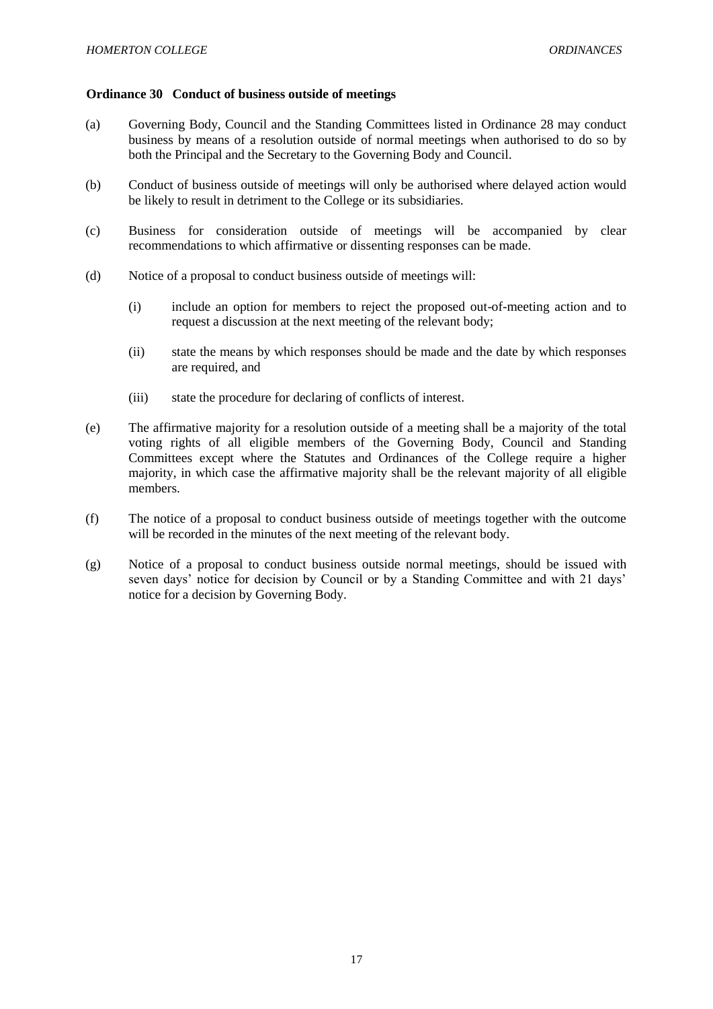### <span id="page-17-0"></span>**Ordinance 30 Conduct of business outside of meetings**

- (a) Governing Body, Council and the Standing Committees listed in Ordinance 28 may conduct business by means of a resolution outside of normal meetings when authorised to do so by both the Principal and the Secretary to the Governing Body and Council.
- (b) Conduct of business outside of meetings will only be authorised where delayed action would be likely to result in detriment to the College or its subsidiaries.
- (c) Business for consideration outside of meetings will be accompanied by clear recommendations to which affirmative or dissenting responses can be made.
- (d) Notice of a proposal to conduct business outside of meetings will:
	- (i) include an option for members to reject the proposed out-of-meeting action and to request a discussion at the next meeting of the relevant body;
	- (ii) state the means by which responses should be made and the date by which responses are required, and
	- (iii) state the procedure for declaring of conflicts of interest.
- (e) The affirmative majority for a resolution outside of a meeting shall be a majority of the total voting rights of all eligible members of the Governing Body, Council and Standing Committees except where the Statutes and Ordinances of the College require a higher majority, in which case the affirmative majority shall be the relevant majority of all eligible members.
- (f) The notice of a proposal to conduct business outside of meetings together with the outcome will be recorded in the minutes of the next meeting of the relevant body.
- (g) Notice of a proposal to conduct business outside normal meetings, should be issued with seven days' notice for decision by Council or by a Standing Committee and with 21 days' notice for a decision by Governing Body.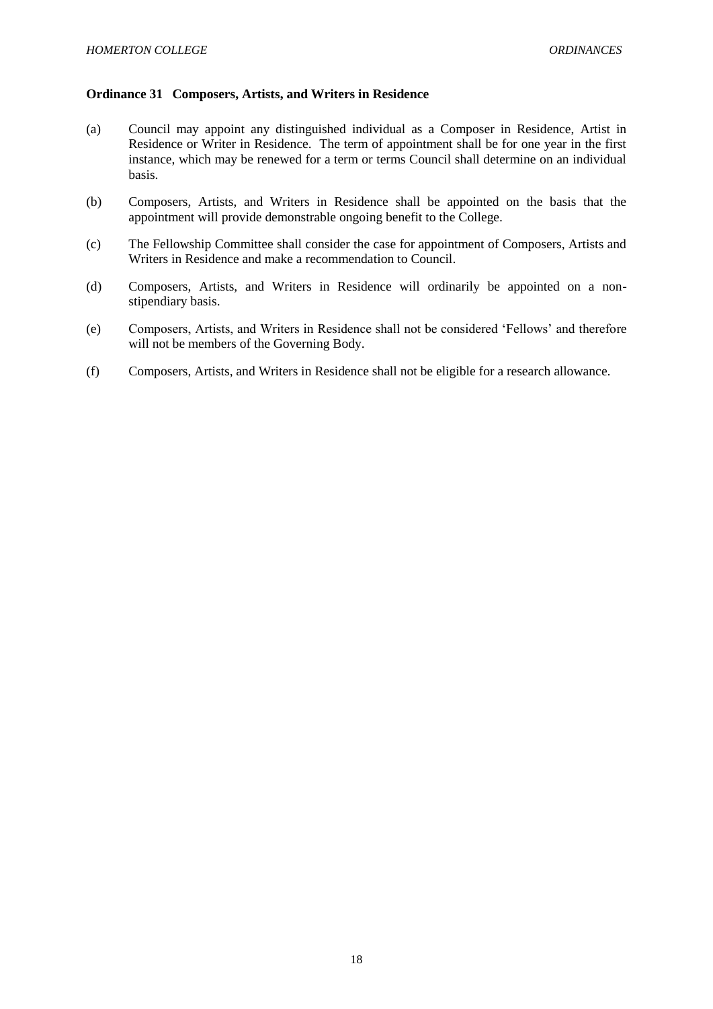### <span id="page-18-0"></span>**Ordinance 31 Composers, Artists, and Writers in Residence**

- (a) Council may appoint any distinguished individual as a Composer in Residence, Artist in Residence or Writer in Residence. The term of appointment shall be for one year in the first instance, which may be renewed for a term or terms Council shall determine on an individual basis.
- (b) Composers, Artists, and Writers in Residence shall be appointed on the basis that the appointment will provide demonstrable ongoing benefit to the College.
- (c) The Fellowship Committee shall consider the case for appointment of Composers, Artists and Writers in Residence and make a recommendation to Council.
- (d) Composers, Artists, and Writers in Residence will ordinarily be appointed on a nonstipendiary basis.
- (e) Composers, Artists, and Writers in Residence shall not be considered 'Fellows' and therefore will not be members of the Governing Body.
- (f) Composers, Artists, and Writers in Residence shall not be eligible for a research allowance.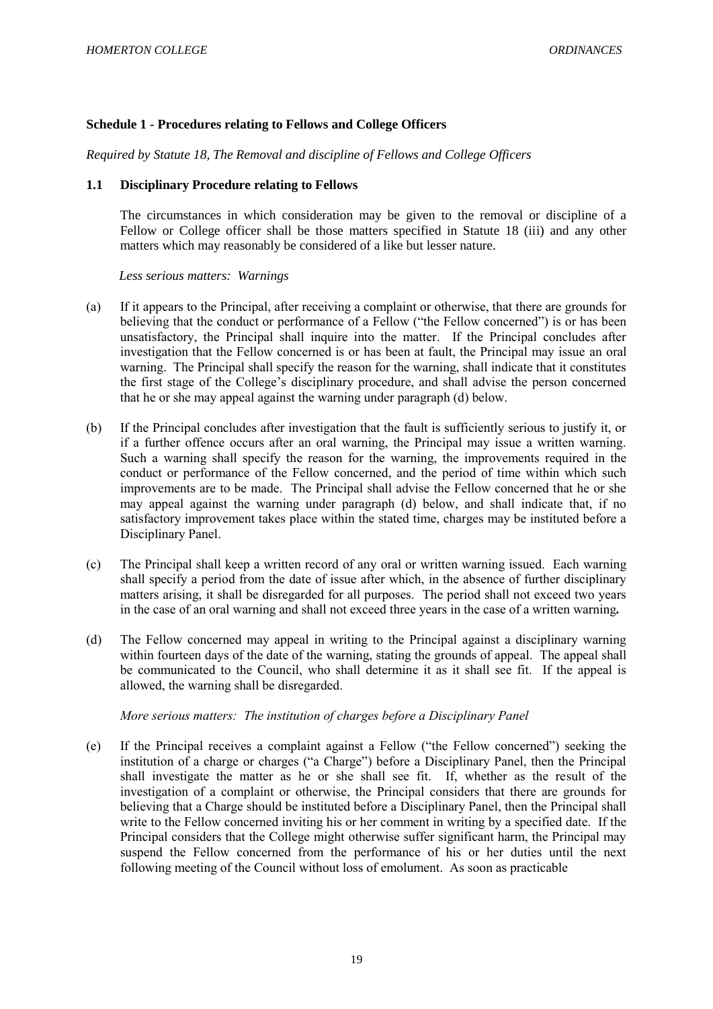## <span id="page-19-0"></span>**Schedule 1 - Procedures relating to Fellows and College Officers**

*Required by Statute 18, The Removal and discipline of Fellows and College Officers*

## <span id="page-19-1"></span>**1.1 Disciplinary Procedure relating to Fellows**

The circumstances in which consideration may be given to the removal or discipline of a Fellow or College officer shall be those matters specified in Statute 18 (iii) and any other matters which may reasonably be considered of a like but lesser nature.

 *Less serious matters: Warnings*

- (a) If it appears to the Principal, after receiving a complaint or otherwise, that there are grounds for believing that the conduct or performance of a Fellow ("the Fellow concerned") is or has been unsatisfactory, the Principal shall inquire into the matter. If the Principal concludes after investigation that the Fellow concerned is or has been at fault, the Principal may issue an oral warning. The Principal shall specify the reason for the warning, shall indicate that it constitutes the first stage of the College's disciplinary procedure, and shall advise the person concerned that he or she may appeal against the warning under paragraph (d) below.
- (b) If the Principal concludes after investigation that the fault is sufficiently serious to justify it, or if a further offence occurs after an oral warning, the Principal may issue a written warning. Such a warning shall specify the reason for the warning, the improvements required in the conduct or performance of the Fellow concerned, and the period of time within which such improvements are to be made. The Principal shall advise the Fellow concerned that he or she may appeal against the warning under paragraph (d) below, and shall indicate that, if no satisfactory improvement takes place within the stated time, charges may be instituted before a Disciplinary Panel.
- (c) The Principal shall keep a written record of any oral or written warning issued. Each warning shall specify a period from the date of issue after which, in the absence of further disciplinary matters arising, it shall be disregarded for all purposes. The period shall not exceed two years in the case of an oral warning and shall not exceed three years in the case of a written warning*.*
- (d) The Fellow concerned may appeal in writing to the Principal against a disciplinary warning within fourteen days of the date of the warning, stating the grounds of appeal. The appeal shall be communicated to the Council, who shall determine it as it shall see fit. If the appeal is allowed, the warning shall be disregarded.

## *More serious matters: The institution of charges before a Disciplinary Panel*

(e) If the Principal receives a complaint against a Fellow ("the Fellow concerned") seeking the institution of a charge or charges ("a Charge") before a Disciplinary Panel, then the Principal shall investigate the matter as he or she shall see fit. If, whether as the result of the investigation of a complaint or otherwise, the Principal considers that there are grounds for believing that a Charge should be instituted before a Disciplinary Panel, then the Principal shall write to the Fellow concerned inviting his or her comment in writing by a specified date. If the Principal considers that the College might otherwise suffer significant harm, the Principal may suspend the Fellow concerned from the performance of his or her duties until the next following meeting of the Council without loss of emolument. As soon as practicable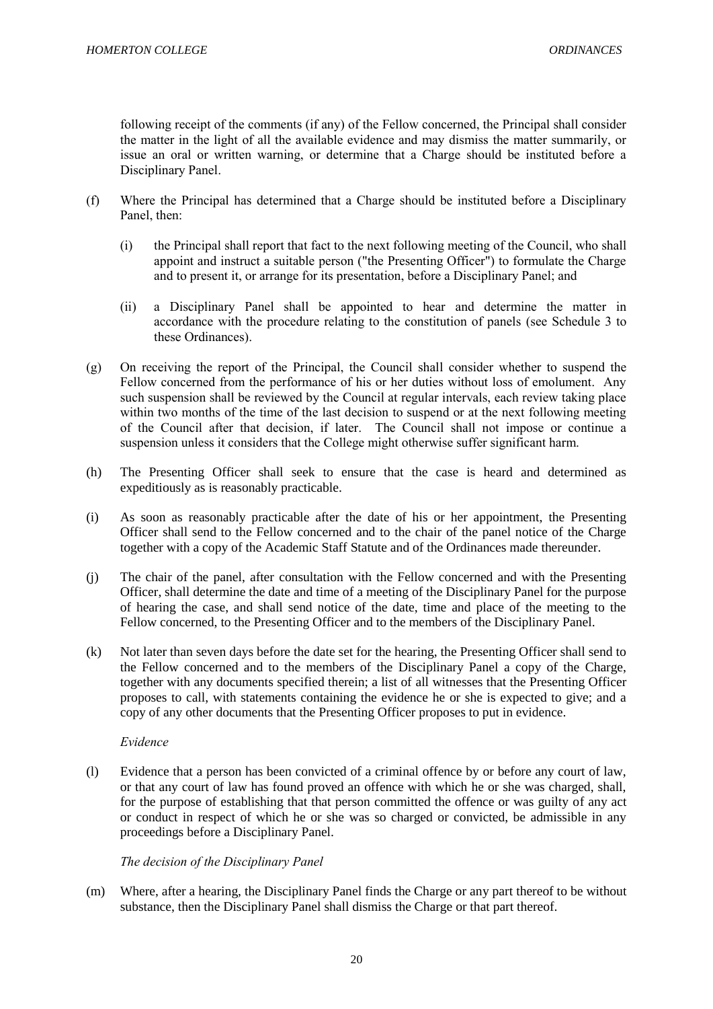following receipt of the comments (if any) of the Fellow concerned, the Principal shall consider the matter in the light of all the available evidence and may dismiss the matter summarily, or issue an oral or written warning, or determine that a Charge should be instituted before a Disciplinary Panel.

- (f) Where the Principal has determined that a Charge should be instituted before a Disciplinary Panel, then:
	- (i) the Principal shall report that fact to the next following meeting of the Council, who shall appoint and instruct a suitable person ("the Presenting Officer") to formulate the Charge and to present it, or arrange for its presentation, before a Disciplinary Panel; and
	- (ii) a Disciplinary Panel shall be appointed to hear and determine the matter in accordance with the procedure relating to the constitution of panels (see Schedule 3 to these Ordinances).
- (g) On receiving the report of the Principal, the Council shall consider whether to suspend the Fellow concerned from the performance of his or her duties without loss of emolument. Any such suspension shall be reviewed by the Council at regular intervals, each review taking place within two months of the time of the last decision to suspend or at the next following meeting of the Council after that decision, if later. The Council shall not impose or continue a suspension unless it considers that the College might otherwise suffer significant harm.
- (h) The Presenting Officer shall seek to ensure that the case is heard and determined as expeditiously as is reasonably practicable.
- (i) As soon as reasonably practicable after the date of his or her appointment, the Presenting Officer shall send to the Fellow concerned and to the chair of the panel notice of the Charge together with a copy of the Academic Staff Statute and of the Ordinances made thereunder.
- (j) The chair of the panel, after consultation with the Fellow concerned and with the Presenting Officer, shall determine the date and time of a meeting of the Disciplinary Panel for the purpose of hearing the case, and shall send notice of the date, time and place of the meeting to the Fellow concerned, to the Presenting Officer and to the members of the Disciplinary Panel.
- (k) Not later than seven days before the date set for the hearing, the Presenting Officer shall send to the Fellow concerned and to the members of the Disciplinary Panel a copy of the Charge, together with any documents specified therein; a list of all witnesses that the Presenting Officer proposes to call, with statements containing the evidence he or she is expected to give; and a copy of any other documents that the Presenting Officer proposes to put in evidence.

## *Evidence*

(l) Evidence that a person has been convicted of a criminal offence by or before any court of law, or that any court of law has found proved an offence with which he or she was charged, shall, for the purpose of establishing that that person committed the offence or was guilty of any act or conduct in respect of which he or she was so charged or convicted, be admissible in any proceedings before a Disciplinary Panel.

## *The decision of the Disciplinary Panel*

(m) Where, after a hearing, the Disciplinary Panel finds the Charge or any part thereof to be without substance, then the Disciplinary Panel shall dismiss the Charge or that part thereof.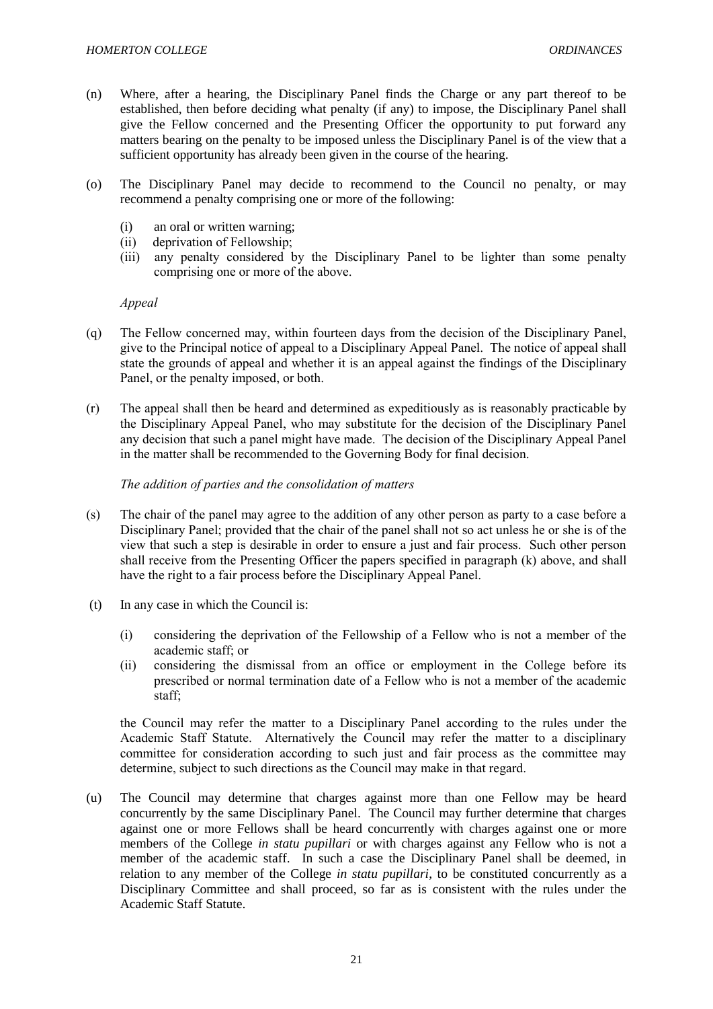- (n) Where, after a hearing, the Disciplinary Panel finds the Charge or any part thereof to be established, then before deciding what penalty (if any) to impose, the Disciplinary Panel shall give the Fellow concerned and the Presenting Officer the opportunity to put forward any matters bearing on the penalty to be imposed unless the Disciplinary Panel is of the view that a sufficient opportunity has already been given in the course of the hearing.
- (o) The Disciplinary Panel may decide to recommend to the Council no penalty, or may recommend a penalty comprising one or more of the following:
	- (i) an oral or written warning;
	- (ii) deprivation of Fellowship;
	- (iii) any penalty considered by the Disciplinary Panel to be lighter than some penalty comprising one or more of the above.

#### *Appeal*

- (q) The Fellow concerned may, within fourteen days from the decision of the Disciplinary Panel, give to the Principal notice of appeal to a Disciplinary Appeal Panel. The notice of appeal shall state the grounds of appeal and whether it is an appeal against the findings of the Disciplinary Panel, or the penalty imposed, or both.
- (r) The appeal shall then be heard and determined as expeditiously as is reasonably practicable by the Disciplinary Appeal Panel, who may substitute for the decision of the Disciplinary Panel any decision that such a panel might have made. The decision of the Disciplinary Appeal Panel in the matter shall be recommended to the Governing Body for final decision.

### *The addition of parties and the consolidation of matters*

- (s) The chair of the panel may agree to the addition of any other person as party to a case before a Disciplinary Panel; provided that the chair of the panel shall not so act unless he or she is of the view that such a step is desirable in order to ensure a just and fair process. Such other person shall receive from the Presenting Officer the papers specified in paragraph (k) above, and shall have the right to a fair process before the Disciplinary Appeal Panel.
- (t) In any case in which the Council is:
	- (i) considering the deprivation of the Fellowship of a Fellow who is not a member of the academic staff; or
	- (ii) considering the dismissal from an office or employment in the College before its prescribed or normal termination date of a Fellow who is not a member of the academic staff;

the Council may refer the matter to a Disciplinary Panel according to the rules under the Academic Staff Statute. Alternatively the Council may refer the matter to a disciplinary committee for consideration according to such just and fair process as the committee may determine, subject to such directions as the Council may make in that regard.

(u) The Council may determine that charges against more than one Fellow may be heard concurrently by the same Disciplinary Panel. The Council may further determine that charges against one or more Fellows shall be heard concurrently with charges against one or more members of the College *in statu pupillari* or with charges against any Fellow who is not a member of the academic staff. In such a case the Disciplinary Panel shall be deemed, in relation to any member of the College *in statu pupillari*, to be constituted concurrently as a Disciplinary Committee and shall proceed, so far as is consistent with the rules under the Academic Staff Statute.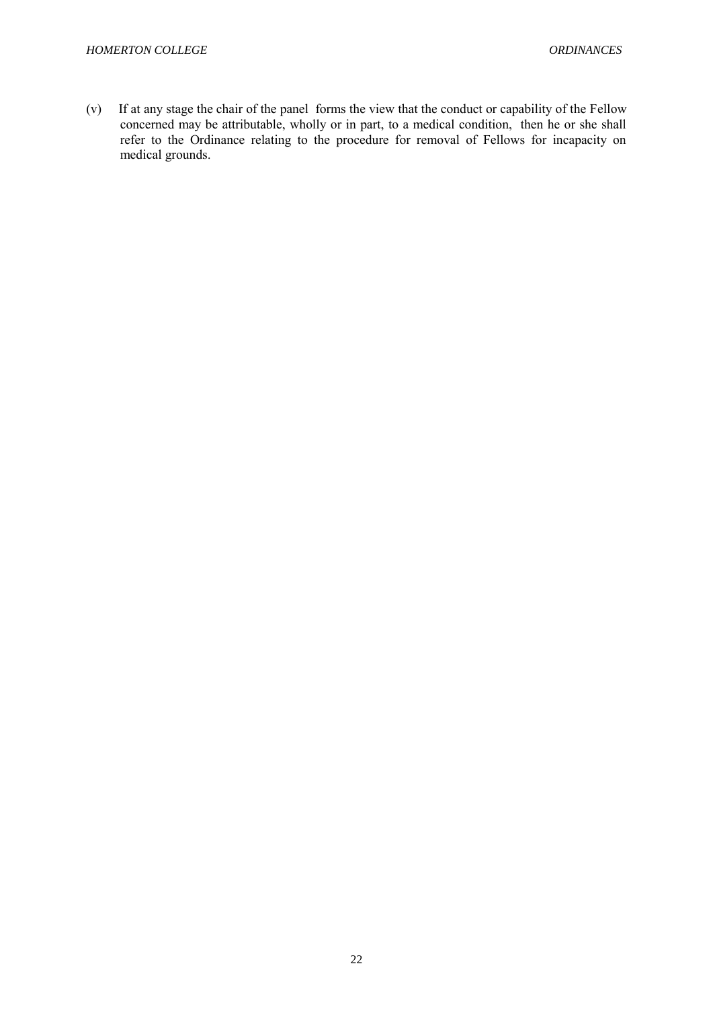(v) If at any stage the chair of the panel forms the view that the conduct or capability of the Fellow concerned may be attributable, wholly or in part, to a medical condition, then he or she shall refer to the Ordinance relating to the procedure for removal of Fellows for incapacity on medical grounds.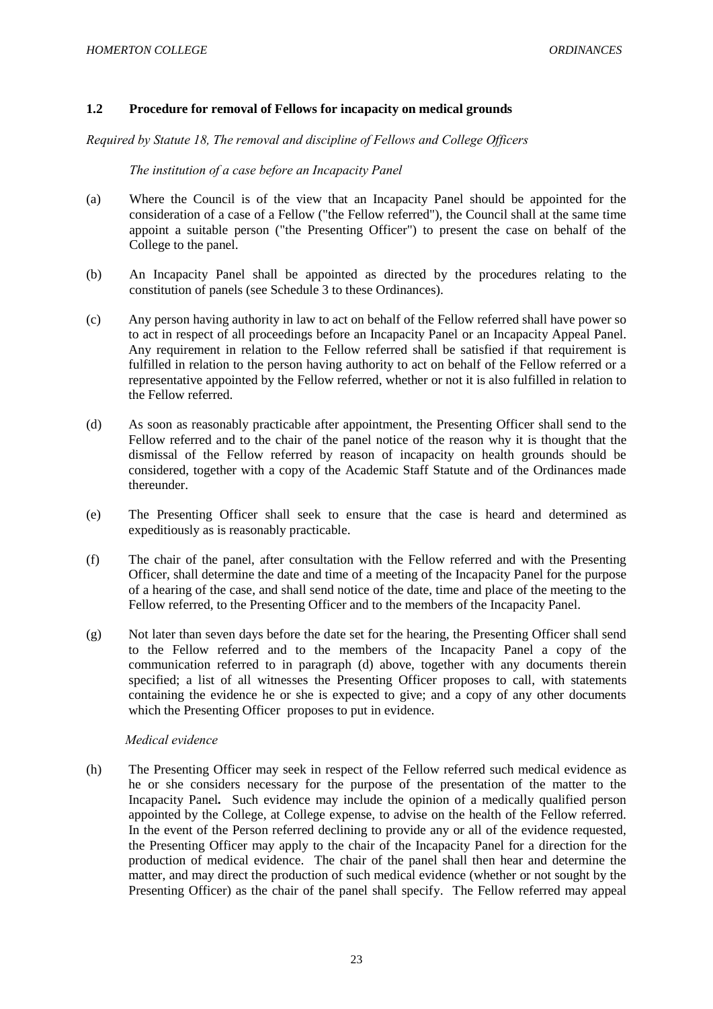## <span id="page-23-0"></span>**1.2 Procedure for removal of Fellows for incapacity on medical grounds**

*Required by Statute 18, The removal and discipline of Fellows and College Officers*

## *The institution of a case before an Incapacity Panel*

- (a) Where the Council is of the view that an Incapacity Panel should be appointed for the consideration of a case of a Fellow ("the Fellow referred"), the Council shall at the same time appoint a suitable person ("the Presenting Officer") to present the case on behalf of the College to the panel.
- (b) An Incapacity Panel shall be appointed as directed by the procedures relating to the constitution of panels (see Schedule 3 to these Ordinances).
- (c) Any person having authority in law to act on behalf of the Fellow referred shall have power so to act in respect of all proceedings before an Incapacity Panel or an Incapacity Appeal Panel. Any requirement in relation to the Fellow referred shall be satisfied if that requirement is fulfilled in relation to the person having authority to act on behalf of the Fellow referred or a representative appointed by the Fellow referred, whether or not it is also fulfilled in relation to the Fellow referred.
- (d) As soon as reasonably practicable after appointment, the Presenting Officer shall send to the Fellow referred and to the chair of the panel notice of the reason why it is thought that the dismissal of the Fellow referred by reason of incapacity on health grounds should be considered, together with a copy of the Academic Staff Statute and of the Ordinances made thereunder.
- (e) The Presenting Officer shall seek to ensure that the case is heard and determined as expeditiously as is reasonably practicable.
- (f) The chair of the panel, after consultation with the Fellow referred and with the Presenting Officer, shall determine the date and time of a meeting of the Incapacity Panel for the purpose of a hearing of the case, and shall send notice of the date, time and place of the meeting to the Fellow referred, to the Presenting Officer and to the members of the Incapacity Panel.
- (g) Not later than seven days before the date set for the hearing, the Presenting Officer shall send to the Fellow referred and to the members of the Incapacity Panel a copy of the communication referred to in paragraph (d) above, together with any documents therein specified; a list of all witnesses the Presenting Officer proposes to call, with statements containing the evidence he or she is expected to give; and a copy of any other documents which the Presenting Officer proposes to put in evidence.

## *Medical evidence*

(h) The Presenting Officer may seek in respect of the Fellow referred such medical evidence as he or she considers necessary for the purpose of the presentation of the matter to the Incapacity Panel*.* Such evidence may include the opinion of a medically qualified person appointed by the College, at College expense, to advise on the health of the Fellow referred. In the event of the Person referred declining to provide any or all of the evidence requested, the Presenting Officer may apply to the chair of the Incapacity Panel for a direction for the production of medical evidence. The chair of the panel shall then hear and determine the matter, and may direct the production of such medical evidence (whether or not sought by the Presenting Officer) as the chair of the panel shall specify. The Fellow referred may appeal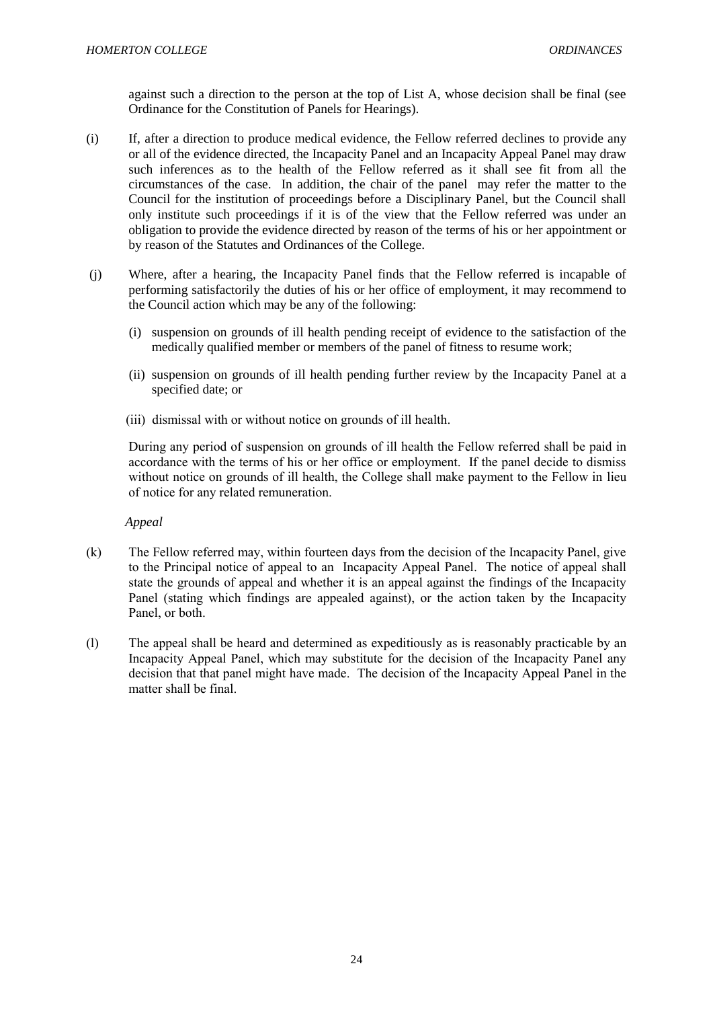against such a direction to the person at the top of List A, whose decision shall be final (see Ordinance for the Constitution of Panels for Hearings).

- (i) If, after a direction to produce medical evidence, the Fellow referred declines to provide any or all of the evidence directed, the Incapacity Panel and an Incapacity Appeal Panel may draw such inferences as to the health of the Fellow referred as it shall see fit from all the circumstances of the case. In addition, the chair of the panel may refer the matter to the Council for the institution of proceedings before a Disciplinary Panel, but the Council shall only institute such proceedings if it is of the view that the Fellow referred was under an obligation to provide the evidence directed by reason of the terms of his or her appointment or by reason of the Statutes and Ordinances of the College.
- (j) Where, after a hearing, the Incapacity Panel finds that the Fellow referred is incapable of performing satisfactorily the duties of his or her office of employment, it may recommend to the Council action which may be any of the following:
	- (i) suspension on grounds of ill health pending receipt of evidence to the satisfaction of the medically qualified member or members of the panel of fitness to resume work;
	- (ii) suspension on grounds of ill health pending further review by the Incapacity Panel at a specified date; or
	- (iii) dismissal with or without notice on grounds of ill health.

During any period of suspension on grounds of ill health the Fellow referred shall be paid in accordance with the terms of his or her office or employment. If the panel decide to dismiss without notice on grounds of ill health, the College shall make payment to the Fellow in lieu of notice for any related remuneration.

 *Appeal*

- (k) The Fellow referred may, within fourteen days from the decision of the Incapacity Panel, give to the Principal notice of appeal to an Incapacity Appeal Panel. The notice of appeal shall state the grounds of appeal and whether it is an appeal against the findings of the Incapacity Panel (stating which findings are appealed against), or the action taken by the Incapacity Panel, or both.
- (l) The appeal shall be heard and determined as expeditiously as is reasonably practicable by an Incapacity Appeal Panel, which may substitute for the decision of the Incapacity Panel any decision that that panel might have made. The decision of the Incapacity Appeal Panel in the matter shall be final.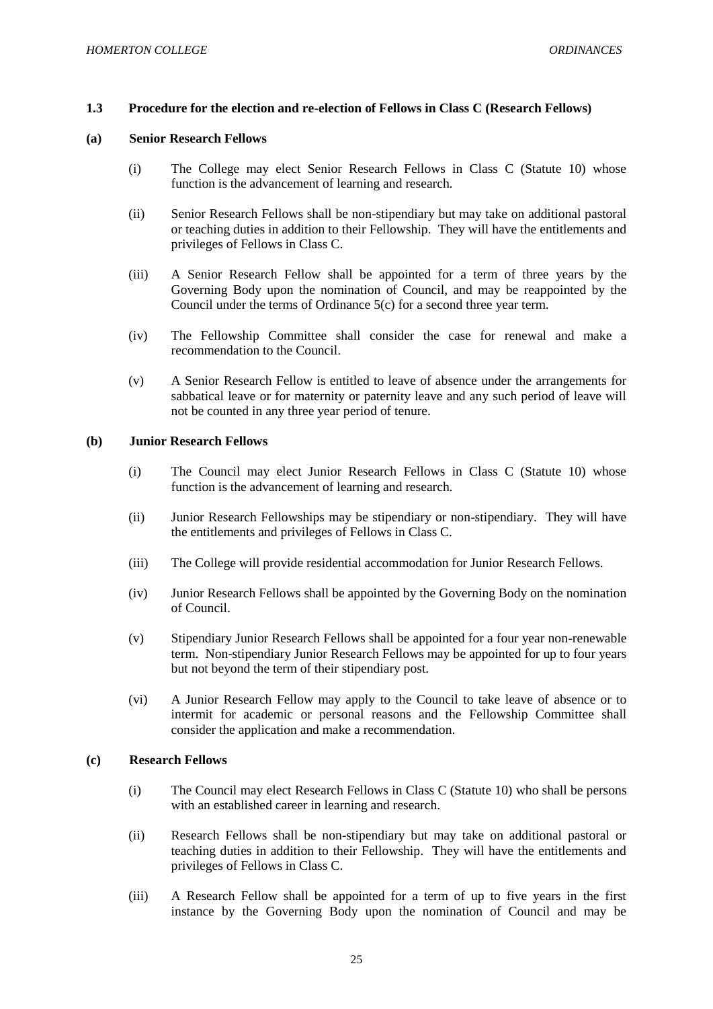### <span id="page-25-0"></span>**1.3 Procedure for the election and re-election of Fellows in Class C (Research Fellows)**

### **(a) Senior Research Fellows**

- (i) The College may elect Senior Research Fellows in Class C (Statute 10) whose function is the advancement of learning and research.
- (ii) Senior Research Fellows shall be non-stipendiary but may take on additional pastoral or teaching duties in addition to their Fellowship. They will have the entitlements and privileges of Fellows in Class C.
- (iii) A Senior Research Fellow shall be appointed for a term of three years by the Governing Body upon the nomination of Council, and may be reappointed by the Council under the terms of Ordinance 5(c) for a second three year term.
- (iv) The Fellowship Committee shall consider the case for renewal and make a recommendation to the Council.
- (v) A Senior Research Fellow is entitled to leave of absence under the arrangements for sabbatical leave or for maternity or paternity leave and any such period of leave will not be counted in any three year period of tenure.

#### **(b) Junior Research Fellows**

- (i) The Council may elect Junior Research Fellows in Class C (Statute 10) whose function is the advancement of learning and research.
- (ii) Junior Research Fellowships may be stipendiary or non-stipendiary. They will have the entitlements and privileges of Fellows in Class C.
- (iii) The College will provide residential accommodation for Junior Research Fellows.
- (iv) Junior Research Fellows shall be appointed by the Governing Body on the nomination of Council.
- (v) Stipendiary Junior Research Fellows shall be appointed for a four year non-renewable term. Non-stipendiary Junior Research Fellows may be appointed for up to four years but not beyond the term of their stipendiary post.
- (vi) A Junior Research Fellow may apply to the Council to take leave of absence or to intermit for academic or personal reasons and the Fellowship Committee shall consider the application and make a recommendation.

#### **(c) Research Fellows**

- (i) The Council may elect Research Fellows in Class C (Statute 10) who shall be persons with an established career in learning and research.
- (ii) Research Fellows shall be non-stipendiary but may take on additional pastoral or teaching duties in addition to their Fellowship. They will have the entitlements and privileges of Fellows in Class C.
- (iii) A Research Fellow shall be appointed for a term of up to five years in the first instance by the Governing Body upon the nomination of Council and may be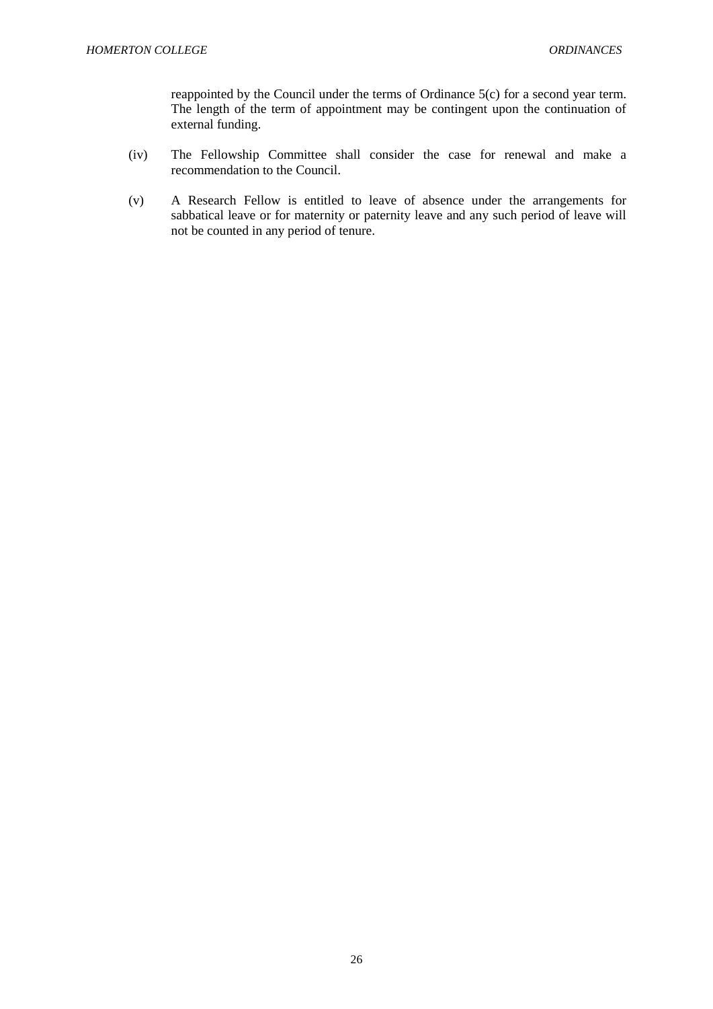reappointed by the Council under the terms of Ordinance 5(c) for a second year term. The length of the term of appointment may be contingent upon the continuation of external funding.

- (iv) The Fellowship Committee shall consider the case for renewal and make a recommendation to the Council.
- (v) A Research Fellow is entitled to leave of absence under the arrangements for sabbatical leave or for maternity or paternity leave and any such period of leave will not be counted in any period of tenure.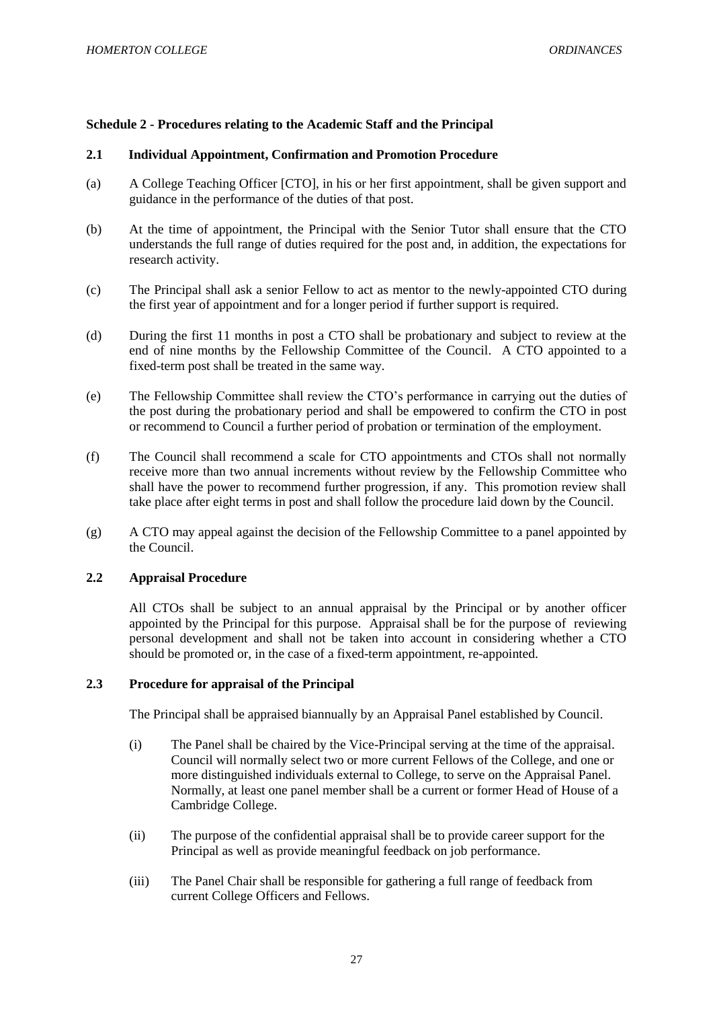## <span id="page-27-0"></span>**Schedule 2 - Procedures relating to the Academic Staff and the Principal**

## <span id="page-27-1"></span>**2.1 Individual Appointment, Confirmation and Promotion Procedure**

- (a) A College Teaching Officer [CTO], in his or her first appointment, shall be given support and guidance in the performance of the duties of that post.
- (b) At the time of appointment, the Principal with the Senior Tutor shall ensure that the CTO understands the full range of duties required for the post and, in addition, the expectations for research activity.
- (c) The Principal shall ask a senior Fellow to act as mentor to the newly-appointed CTO during the first year of appointment and for a longer period if further support is required.
- (d) During the first 11 months in post a CTO shall be probationary and subject to review at the end of nine months by the Fellowship Committee of the Council. A CTO appointed to a fixed-term post shall be treated in the same way.
- (e) The Fellowship Committee shall review the CTO's performance in carrying out the duties of the post during the probationary period and shall be empowered to confirm the CTO in post or recommend to Council a further period of probation or termination of the employment.
- (f) The Council shall recommend a scale for CTO appointments and CTOs shall not normally receive more than two annual increments without review by the Fellowship Committee who shall have the power to recommend further progression, if any. This promotion review shall take place after eight terms in post and shall follow the procedure laid down by the Council.
- (g) A CTO may appeal against the decision of the Fellowship Committee to a panel appointed by the Council.

## <span id="page-27-2"></span>**2.2 Appraisal Procedure**

All CTOs shall be subject to an annual appraisal by the Principal or by another officer appointed by the Principal for this purpose. Appraisal shall be for the purpose of reviewing personal development and shall not be taken into account in considering whether a CTO should be promoted or, in the case of a fixed-term appointment, re-appointed.

## <span id="page-27-3"></span>**2.3 Procedure for appraisal of the Principal**

The Principal shall be appraised biannually by an Appraisal Panel established by Council.

- (i) The Panel shall be chaired by the Vice-Principal serving at the time of the appraisal. Council will normally select two or more current Fellows of the College, and one or more distinguished individuals external to College, to serve on the Appraisal Panel. Normally, at least one panel member shall be a current or former Head of House of a Cambridge College.
- (ii) The purpose of the confidential appraisal shall be to provide career support for the Principal as well as provide meaningful feedback on job performance.
- (iii) The Panel Chair shall be responsible for gathering a full range of feedback from current College Officers and Fellows.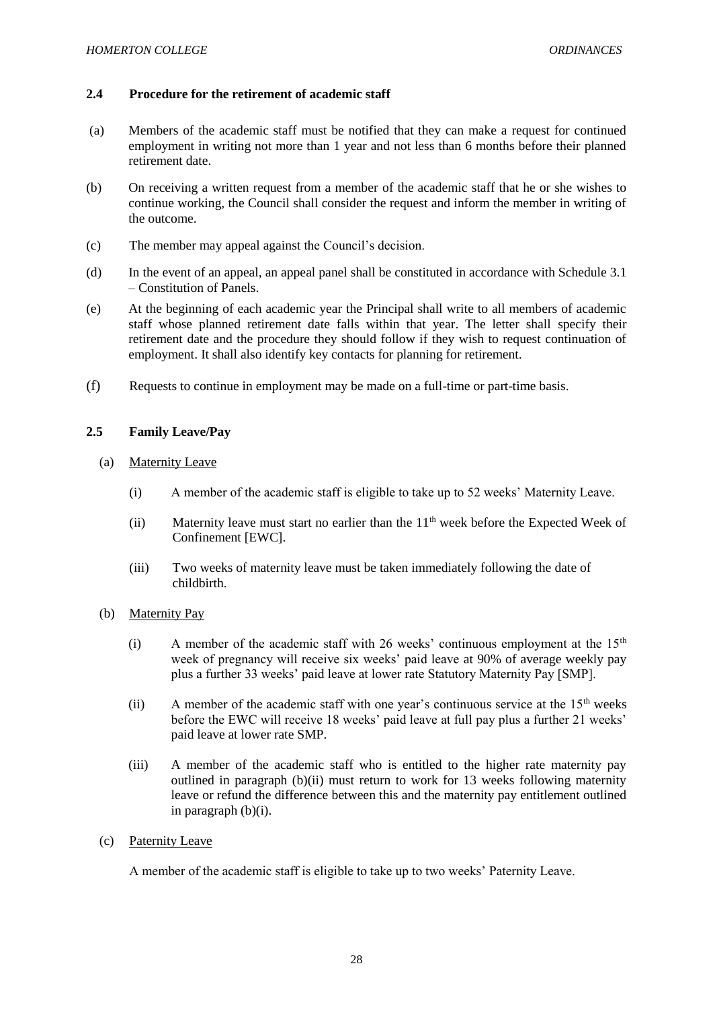## <span id="page-28-0"></span>**2.4 Procedure for the retirement of academic staff**

- (a) Members of the academic staff must be notified that they can make a request for continued employment in writing not more than 1 year and not less than 6 months before their planned retirement date.
- (b) On receiving a written request from a member of the academic staff that he or she wishes to continue working, the Council shall consider the request and inform the member in writing of the outcome.
- (c) The member may appeal against the Council's decision.
- (d) In the event of an appeal, an appeal panel shall be constituted in accordance with Schedule 3.1 – Constitution of Panels.
- (e) At the beginning of each academic year the Principal shall write to all members of academic staff whose planned retirement date falls within that year. The letter shall specify their retirement date and the procedure they should follow if they wish to request continuation of employment. It shall also identify key contacts for planning for retirement.
- (f) Requests to continue in employment may be made on a full-time or part-time basis.

## <span id="page-28-1"></span>**2.5 Family Leave/Pay**

- (a) Maternity Leave
	- (i) A member of the academic staff is eligible to take up to 52 weeks' Maternity Leave.
	- (ii) Maternity leave must start no earlier than the  $11<sup>th</sup>$  week before the Expected Week of Confinement [EWC].
	- (iii) Two weeks of maternity leave must be taken immediately following the date of childbirth.
- (b) Maternity Pay
	- (i) A member of the academic staff with 26 weeks' continuous employment at the  $15<sup>th</sup>$ week of pregnancy will receive six weeks' paid leave at 90% of average weekly pay plus a further 33 weeks' paid leave at lower rate Statutory Maternity Pay [SMP].
	- (ii) A member of the academic staff with one year's continuous service at the  $15<sup>th</sup>$  weeks before the EWC will receive 18 weeks' paid leave at full pay plus a further 21 weeks' paid leave at lower rate SMP.
	- (iii) A member of the academic staff who is entitled to the higher rate maternity pay outlined in paragraph (b)(ii) must return to work for 13 weeks following maternity leave or refund the difference between this and the maternity pay entitlement outlined in paragraph (b)(i).
- (c) Paternity Leave

A member of the academic staff is eligible to take up to two weeks' Paternity Leave.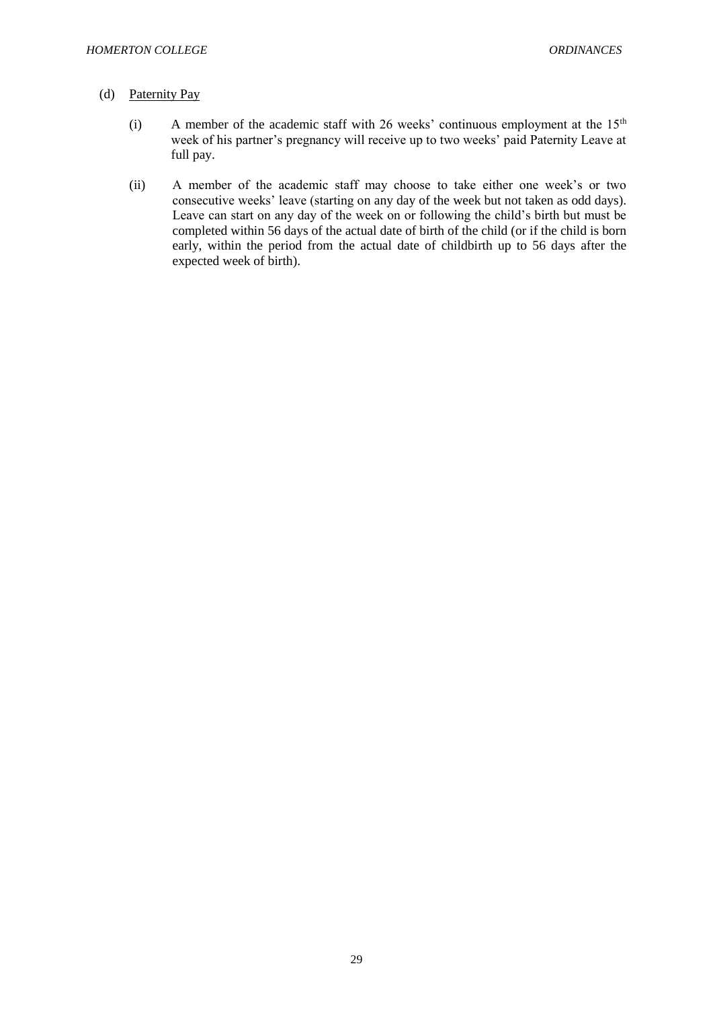### (d) Paternity Pay

- (i) A member of the academic staff with 26 weeks' continuous employment at the  $15<sup>th</sup>$ week of his partner's pregnancy will receive up to two weeks' paid Paternity Leave at full pay.
- (ii) A member of the academic staff may choose to take either one week's or two consecutive weeks' leave (starting on any day of the week but not taken as odd days). Leave can start on any day of the week on or following the child's birth but must be completed within 56 days of the actual date of birth of the child (or if the child is born early, within the period from the actual date of childbirth up to 56 days after the expected week of birth).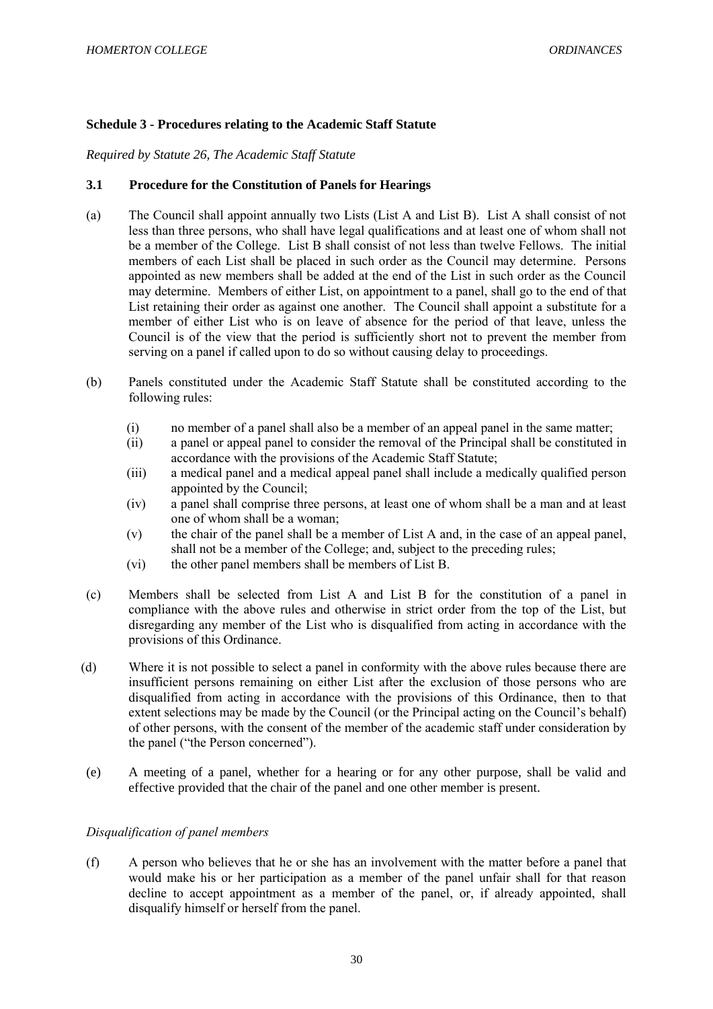## <span id="page-30-0"></span>**Schedule 3 - Procedures relating to the Academic Staff Statute**

*Required by Statute 26, The Academic Staff Statute*

## <span id="page-30-1"></span>**3.1 Procedure for the Constitution of Panels for Hearings**

- (a) The Council shall appoint annually two Lists (List A and List B). List A shall consist of not less than three persons, who shall have legal qualifications and at least one of whom shall not be a member of the College. List B shall consist of not less than twelve Fellows. The initial members of each List shall be placed in such order as the Council may determine. Persons appointed as new members shall be added at the end of the List in such order as the Council may determine. Members of either List, on appointment to a panel, shall go to the end of that List retaining their order as against one another. The Council shall appoint a substitute for a member of either List who is on leave of absence for the period of that leave, unless the Council is of the view that the period is sufficiently short not to prevent the member from serving on a panel if called upon to do so without causing delay to proceedings.
- (b) Panels constituted under the Academic Staff Statute shall be constituted according to the following rules:
	- (i) no member of a panel shall also be a member of an appeal panel in the same matter;
	- (ii) a panel or appeal panel to consider the removal of the Principal shall be constituted in accordance with the provisions of the Academic Staff Statute;
	- (iii) a medical panel and a medical appeal panel shall include a medically qualified person appointed by the Council;
	- (iv) a panel shall comprise three persons, at least one of whom shall be a man and at least one of whom shall be a woman;
	- (v) the chair of the panel shall be a member of List A and, in the case of an appeal panel, shall not be a member of the College; and, subject to the preceding rules;
	- (vi) the other panel members shall be members of List B.
- (c) Members shall be selected from List A and List B for the constitution of a panel in compliance with the above rules and otherwise in strict order from the top of the List, but disregarding any member of the List who is disqualified from acting in accordance with the provisions of this Ordinance.
- (d) Where it is not possible to select a panel in conformity with the above rules because there are insufficient persons remaining on either List after the exclusion of those persons who are disqualified from acting in accordance with the provisions of this Ordinance, then to that extent selections may be made by the Council (or the Principal acting on the Council's behalf) of other persons, with the consent of the member of the academic staff under consideration by the panel ("the Person concerned").
- (e) A meeting of a panel, whether for a hearing or for any other purpose, shall be valid and effective provided that the chair of the panel and one other member is present.

# *Disqualification of panel members*

(f) A person who believes that he or she has an involvement with the matter before a panel that would make his or her participation as a member of the panel unfair shall for that reason decline to accept appointment as a member of the panel, or, if already appointed, shall disqualify himself or herself from the panel.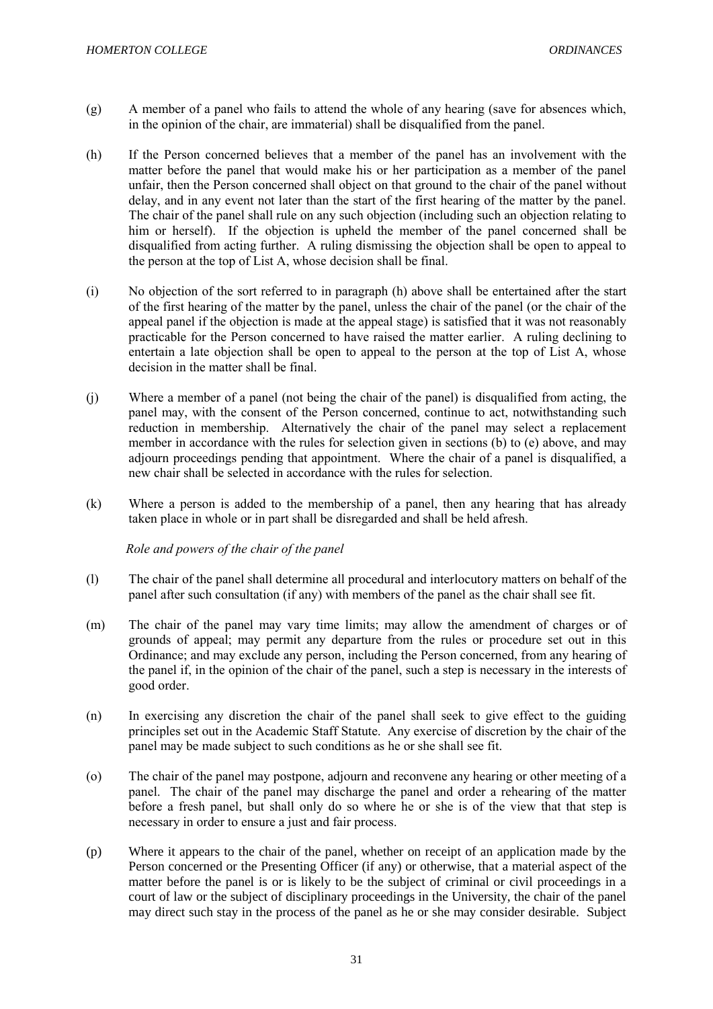- (g) A member of a panel who fails to attend the whole of any hearing (save for absences which, in the opinion of the chair, are immaterial) shall be disqualified from the panel.
- (h) If the Person concerned believes that a member of the panel has an involvement with the matter before the panel that would make his or her participation as a member of the panel unfair, then the Person concerned shall object on that ground to the chair of the panel without delay, and in any event not later than the start of the first hearing of the matter by the panel. The chair of the panel shall rule on any such objection (including such an objection relating to him or herself). If the objection is upheld the member of the panel concerned shall be disqualified from acting further. A ruling dismissing the objection shall be open to appeal to the person at the top of List A, whose decision shall be final.
- (i) No objection of the sort referred to in paragraph (h) above shall be entertained after the start of the first hearing of the matter by the panel, unless the chair of the panel (or the chair of the appeal panel if the objection is made at the appeal stage) is satisfied that it was not reasonably practicable for the Person concerned to have raised the matter earlier. A ruling declining to entertain a late objection shall be open to appeal to the person at the top of List A, whose decision in the matter shall be final.
- (j) Where a member of a panel (not being the chair of the panel) is disqualified from acting, the panel may, with the consent of the Person concerned, continue to act, notwithstanding such reduction in membership. Alternatively the chair of the panel may select a replacement member in accordance with the rules for selection given in sections (b) to (e) above, and may adjourn proceedings pending that appointment. Where the chair of a panel is disqualified, a new chair shall be selected in accordance with the rules for selection.
- (k) Where a person is added to the membership of a panel, then any hearing that has already taken place in whole or in part shall be disregarded and shall be held afresh.

 *Role and powers of the chair of the panel*

- (l) The chair of the panel shall determine all procedural and interlocutory matters on behalf of the panel after such consultation (if any) with members of the panel as the chair shall see fit.
- (m) The chair of the panel may vary time limits; may allow the amendment of charges or of grounds of appeal; may permit any departure from the rules or procedure set out in this Ordinance; and may exclude any person, including the Person concerned, from any hearing of the panel if, in the opinion of the chair of the panel, such a step is necessary in the interests of good order.
- (n) In exercising any discretion the chair of the panel shall seek to give effect to the guiding principles set out in the Academic Staff Statute. Any exercise of discretion by the chair of the panel may be made subject to such conditions as he or she shall see fit.
- (o) The chair of the panel may postpone, adjourn and reconvene any hearing or other meeting of a panel. The chair of the panel may discharge the panel and order a rehearing of the matter before a fresh panel, but shall only do so where he or she is of the view that that step is necessary in order to ensure a just and fair process.
- (p) Where it appears to the chair of the panel, whether on receipt of an application made by the Person concerned or the Presenting Officer (if any) or otherwise, that a material aspect of the matter before the panel is or is likely to be the subject of criminal or civil proceedings in a court of law or the subject of disciplinary proceedings in the University, the chair of the panel may direct such stay in the process of the panel as he or she may consider desirable. Subject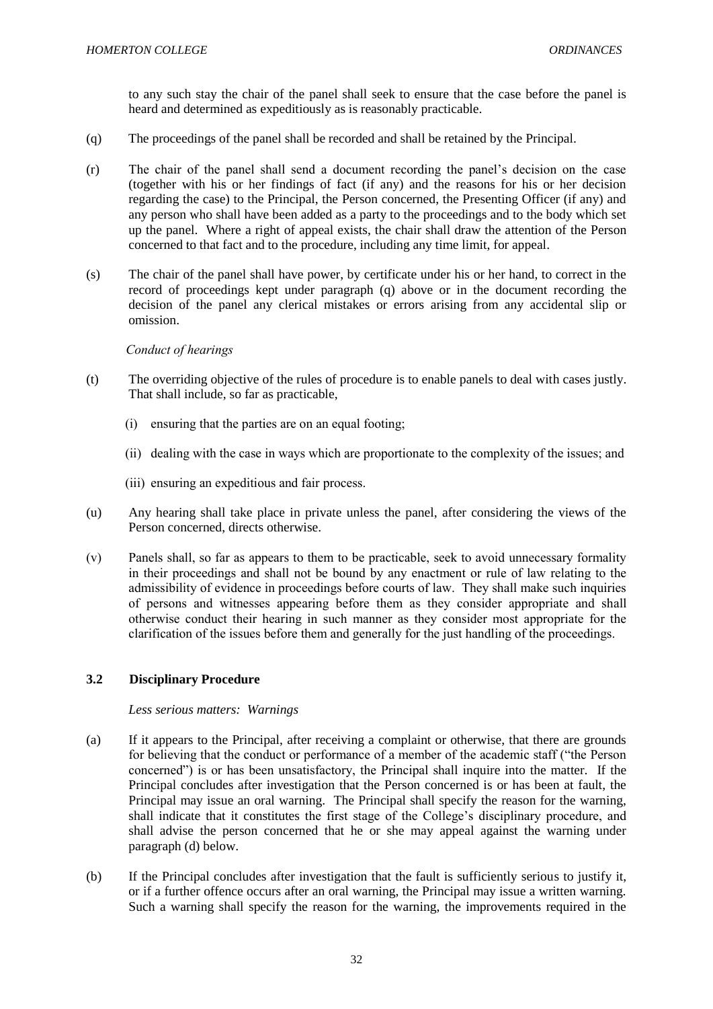to any such stay the chair of the panel shall seek to ensure that the case before the panel is heard and determined as expeditiously as is reasonably practicable.

- (q) The proceedings of the panel shall be recorded and shall be retained by the Principal.
- (r) The chair of the panel shall send a document recording the panel's decision on the case (together with his or her findings of fact (if any) and the reasons for his or her decision regarding the case) to the Principal, the Person concerned, the Presenting Officer (if any) and any person who shall have been added as a party to the proceedings and to the body which set up the panel. Where a right of appeal exists, the chair shall draw the attention of the Person concerned to that fact and to the procedure, including any time limit, for appeal.
- (s) The chair of the panel shall have power, by certificate under his or her hand, to correct in the record of proceedings kept under paragraph (q) above or in the document recording the decision of the panel any clerical mistakes or errors arising from any accidental slip or omission.

## *Conduct of hearings*

- (t) The overriding objective of the rules of procedure is to enable panels to deal with cases justly. That shall include, so far as practicable,
	- (i) ensuring that the parties are on an equal footing;
	- (ii) dealing with the case in ways which are proportionate to the complexity of the issues; and
	- (iii) ensuring an expeditious and fair process.
- (u) Any hearing shall take place in private unless the panel, after considering the views of the Person concerned, directs otherwise.
- (v) Panels shall, so far as appears to them to be practicable, seek to avoid unnecessary formality in their proceedings and shall not be bound by any enactment or rule of law relating to the admissibility of evidence in proceedings before courts of law. They shall make such inquiries of persons and witnesses appearing before them as they consider appropriate and shall otherwise conduct their hearing in such manner as they consider most appropriate for the clarification of the issues before them and generally for the just handling of the proceedings.

# <span id="page-32-0"></span>**3.2 Disciplinary Procedure**

## *Less serious matters: Warnings*

- (a) If it appears to the Principal, after receiving a complaint or otherwise, that there are grounds for believing that the conduct or performance of a member of the academic staff ("the Person concerned") is or has been unsatisfactory, the Principal shall inquire into the matter. If the Principal concludes after investigation that the Person concerned is or has been at fault, the Principal may issue an oral warning. The Principal shall specify the reason for the warning, shall indicate that it constitutes the first stage of the College's disciplinary procedure, and shall advise the person concerned that he or she may appeal against the warning under paragraph (d) below.
- (b) If the Principal concludes after investigation that the fault is sufficiently serious to justify it, or if a further offence occurs after an oral warning, the Principal may issue a written warning. Such a warning shall specify the reason for the warning, the improvements required in the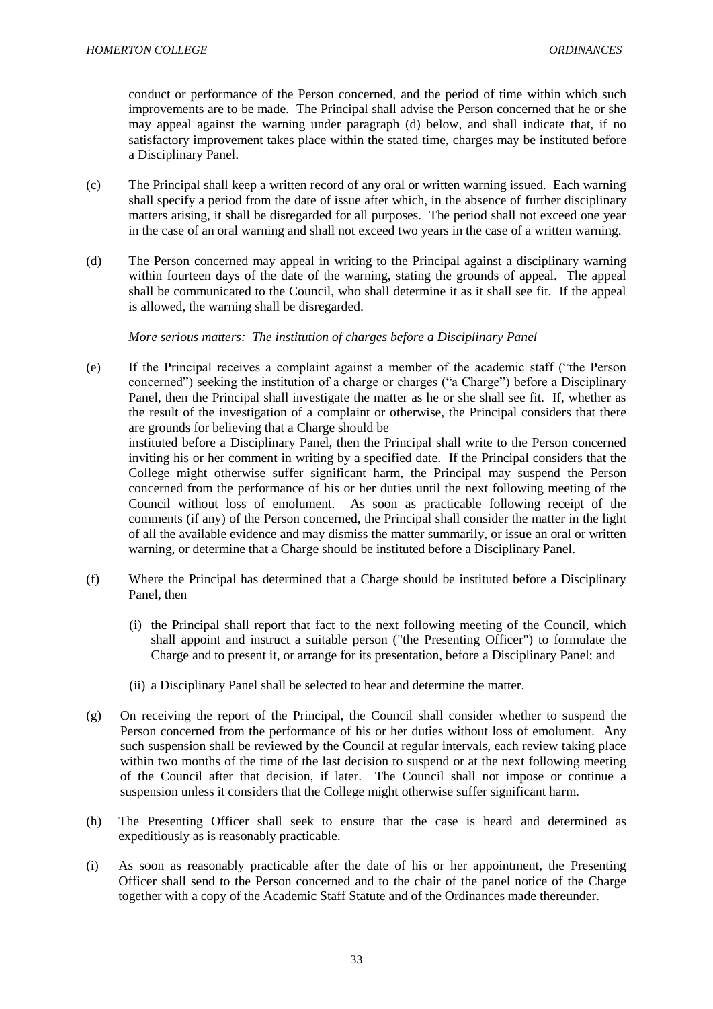conduct or performance of the Person concerned, and the period of time within which such improvements are to be made. The Principal shall advise the Person concerned that he or she may appeal against the warning under paragraph (d) below, and shall indicate that, if no satisfactory improvement takes place within the stated time, charges may be instituted before a Disciplinary Panel.

- (c) The Principal shall keep a written record of any oral or written warning issued. Each warning shall specify a period from the date of issue after which, in the absence of further disciplinary matters arising, it shall be disregarded for all purposes. The period shall not exceed one year in the case of an oral warning and shall not exceed two years in the case of a written warning.
- (d) The Person concerned may appeal in writing to the Principal against a disciplinary warning within fourteen days of the date of the warning, stating the grounds of appeal. The appeal shall be communicated to the Council, who shall determine it as it shall see fit. If the appeal is allowed, the warning shall be disregarded.

*More serious matters: The institution of charges before a Disciplinary Panel*

- (e) If the Principal receives a complaint against a member of the academic staff ("the Person concerned") seeking the institution of a charge or charges ("a Charge") before a Disciplinary Panel, then the Principal shall investigate the matter as he or she shall see fit. If, whether as the result of the investigation of a complaint or otherwise, the Principal considers that there are grounds for believing that a Charge should be instituted before a Disciplinary Panel, then the Principal shall write to the Person concerned inviting his or her comment in writing by a specified date. If the Principal considers that the College might otherwise suffer significant harm, the Principal may suspend the Person concerned from the performance of his or her duties until the next following meeting of the Council without loss of emolument. As soon as practicable following receipt of the comments (if any) of the Person concerned, the Principal shall consider the matter in the light of all the available evidence and may dismiss the matter summarily, or issue an oral or written warning, or determine that a Charge should be instituted before a Disciplinary Panel.
- (f) Where the Principal has determined that a Charge should be instituted before a Disciplinary Panel, then
	- (i) the Principal shall report that fact to the next following meeting of the Council, which shall appoint and instruct a suitable person ("the Presenting Officer") to formulate the Charge and to present it, or arrange for its presentation, before a Disciplinary Panel; and
	- (ii) a Disciplinary Panel shall be selected to hear and determine the matter.
- (g) On receiving the report of the Principal, the Council shall consider whether to suspend the Person concerned from the performance of his or her duties without loss of emolument. Any such suspension shall be reviewed by the Council at regular intervals, each review taking place within two months of the time of the last decision to suspend or at the next following meeting of the Council after that decision, if later. The Council shall not impose or continue a suspension unless it considers that the College might otherwise suffer significant harm.
- (h) The Presenting Officer shall seek to ensure that the case is heard and determined as expeditiously as is reasonably practicable.
- (i) As soon as reasonably practicable after the date of his or her appointment, the Presenting Officer shall send to the Person concerned and to the chair of the panel notice of the Charge together with a copy of the Academic Staff Statute and of the Ordinances made thereunder.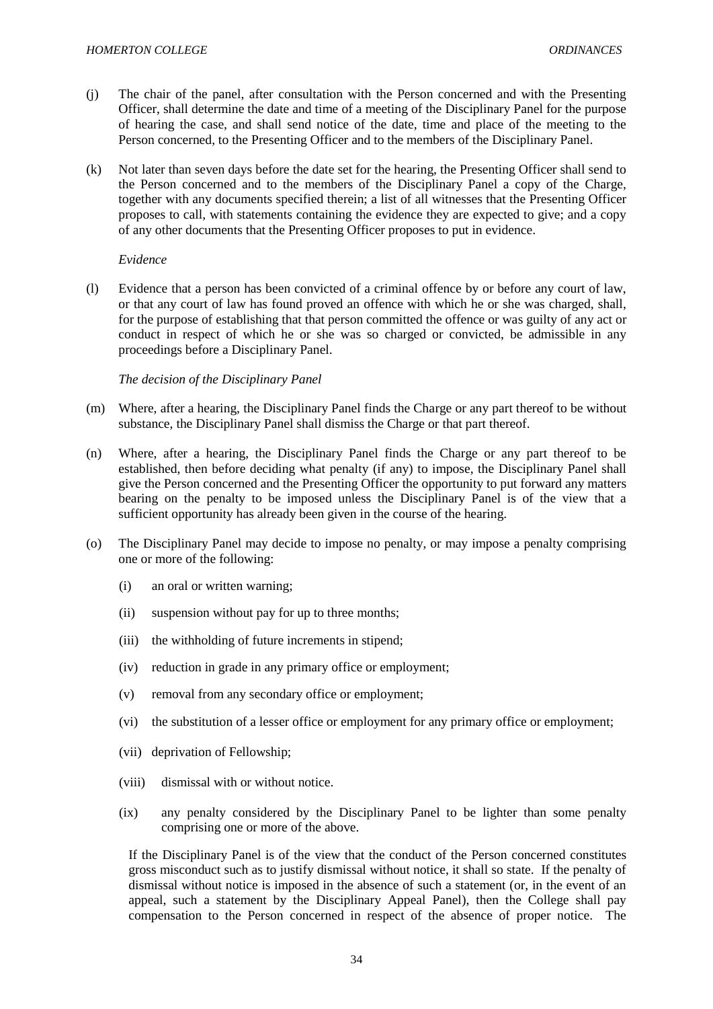- (j) The chair of the panel, after consultation with the Person concerned and with the Presenting Officer, shall determine the date and time of a meeting of the Disciplinary Panel for the purpose of hearing the case, and shall send notice of the date, time and place of the meeting to the Person concerned, to the Presenting Officer and to the members of the Disciplinary Panel.
- (k) Not later than seven days before the date set for the hearing, the Presenting Officer shall send to the Person concerned and to the members of the Disciplinary Panel a copy of the Charge, together with any documents specified therein; a list of all witnesses that the Presenting Officer proposes to call, with statements containing the evidence they are expected to give; and a copy of any other documents that the Presenting Officer proposes to put in evidence.

## *Evidence*

(l) Evidence that a person has been convicted of a criminal offence by or before any court of law, or that any court of law has found proved an offence with which he or she was charged, shall, for the purpose of establishing that that person committed the offence or was guilty of any act or conduct in respect of which he or she was so charged or convicted, be admissible in any proceedings before a Disciplinary Panel.

## *The decision of the Disciplinary Panel*

- (m) Where, after a hearing, the Disciplinary Panel finds the Charge or any part thereof to be without substance, the Disciplinary Panel shall dismiss the Charge or that part thereof.
- (n) Where, after a hearing, the Disciplinary Panel finds the Charge or any part thereof to be established, then before deciding what penalty (if any) to impose, the Disciplinary Panel shall give the Person concerned and the Presenting Officer the opportunity to put forward any matters bearing on the penalty to be imposed unless the Disciplinary Panel is of the view that a sufficient opportunity has already been given in the course of the hearing.
- (o) The Disciplinary Panel may decide to impose no penalty, or may impose a penalty comprising one or more of the following:
	- (i) an oral or written warning;
	- (ii) suspension without pay for up to three months;
	- (iii) the withholding of future increments in stipend;
	- (iv) reduction in grade in any primary office or employment;
	- (v) removal from any secondary office or employment;
	- (vi) the substitution of a lesser office or employment for any primary office or employment;
	- (vii) deprivation of Fellowship;
	- (viii) dismissal with or without notice.
	- (ix) any penalty considered by the Disciplinary Panel to be lighter than some penalty comprising one or more of the above.

If the Disciplinary Panel is of the view that the conduct of the Person concerned constitutes gross misconduct such as to justify dismissal without notice, it shall so state. If the penalty of dismissal without notice is imposed in the absence of such a statement (or, in the event of an appeal, such a statement by the Disciplinary Appeal Panel), then the College shall pay compensation to the Person concerned in respect of the absence of proper notice. The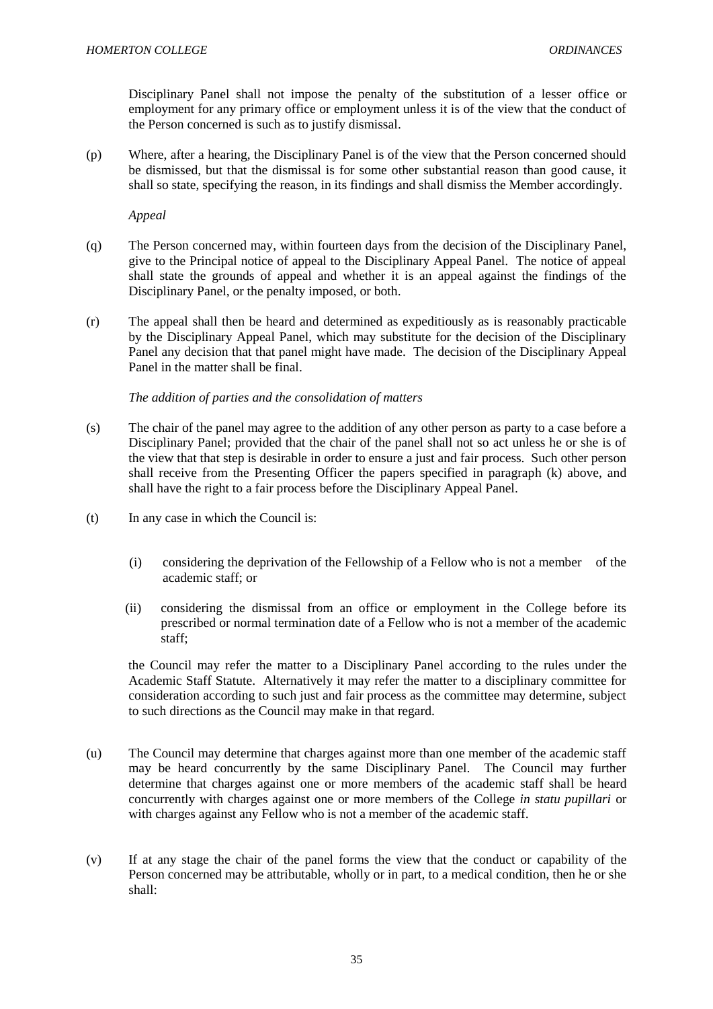Disciplinary Panel shall not impose the penalty of the substitution of a lesser office or employment for any primary office or employment unless it is of the view that the conduct of the Person concerned is such as to justify dismissal.

(p) Where, after a hearing, the Disciplinary Panel is of the view that the Person concerned should be dismissed, but that the dismissal is for some other substantial reason than good cause, it shall so state, specifying the reason, in its findings and shall dismiss the Member accordingly.

*Appeal*

- (q) The Person concerned may, within fourteen days from the decision of the Disciplinary Panel, give to the Principal notice of appeal to the Disciplinary Appeal Panel. The notice of appeal shall state the grounds of appeal and whether it is an appeal against the findings of the Disciplinary Panel, or the penalty imposed, or both.
- (r) The appeal shall then be heard and determined as expeditiously as is reasonably practicable by the Disciplinary Appeal Panel, which may substitute for the decision of the Disciplinary Panel any decision that that panel might have made. The decision of the Disciplinary Appeal Panel in the matter shall be final.

## *The addition of parties and the consolidation of matters*

- (s) The chair of the panel may agree to the addition of any other person as party to a case before a Disciplinary Panel; provided that the chair of the panel shall not so act unless he or she is of the view that that step is desirable in order to ensure a just and fair process. Such other person shall receive from the Presenting Officer the papers specified in paragraph (k) above, and shall have the right to a fair process before the Disciplinary Appeal Panel.
- (t) In any case in which the Council is:
	- (i) considering the deprivation of the Fellowship of a Fellow who is not a member of the academic staff; or
	- (ii) considering the dismissal from an office or employment in the College before its prescribed or normal termination date of a Fellow who is not a member of the academic staff;

 the Council may refer the matter to a Disciplinary Panel according to the rules under the Academic Staff Statute. Alternatively it may refer the matter to a disciplinary committee for consideration according to such just and fair process as the committee may determine, subject to such directions as the Council may make in that regard.

- (u) The Council may determine that charges against more than one member of the academic staff may be heard concurrently by the same Disciplinary Panel. The Council may further determine that charges against one or more members of the academic staff shall be heard concurrently with charges against one or more members of the College *in statu pupillari* or with charges against any Fellow who is not a member of the academic staff.
- (v) If at any stage the chair of the panel forms the view that the conduct or capability of the Person concerned may be attributable, wholly or in part, to a medical condition, then he or she shall: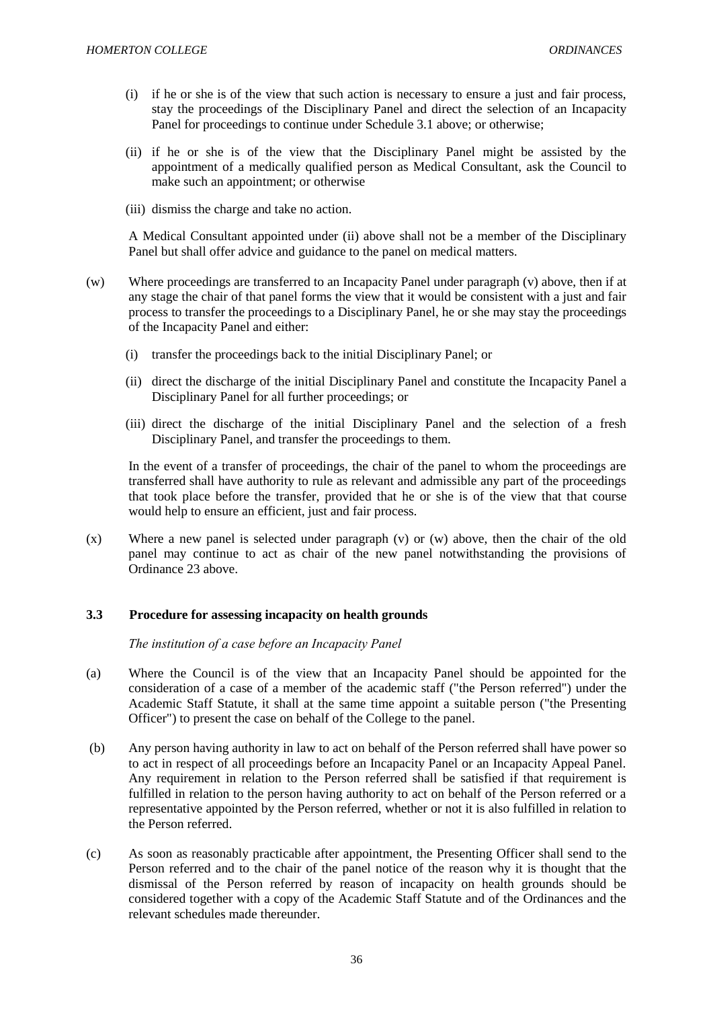- (i) if he or she is of the view that such action is necessary to ensure a just and fair process, stay the proceedings of the Disciplinary Panel and direct the selection of an Incapacity Panel for proceedings to continue under Schedule 3.1 above; or otherwise;
- (ii) if he or she is of the view that the Disciplinary Panel might be assisted by the appointment of a medically qualified person as Medical Consultant, ask the Council to make such an appointment; or otherwise
- (iii) dismiss the charge and take no action.

A Medical Consultant appointed under (ii) above shall not be a member of the Disciplinary Panel but shall offer advice and guidance to the panel on medical matters*.*

- (w) Where proceedings are transferred to an Incapacity Panel under paragraph (v) above, then if at any stage the chair of that panel forms the view that it would be consistent with a just and fair process to transfer the proceedings to a Disciplinary Panel, he or she may stay the proceedings of the Incapacity Panel and either:
	- (i) transfer the proceedings back to the initial Disciplinary Panel; or
	- (ii) direct the discharge of the initial Disciplinary Panel and constitute the Incapacity Panel a Disciplinary Panel for all further proceedings; or
	- (iii) direct the discharge of the initial Disciplinary Panel and the selection of a fresh Disciplinary Panel, and transfer the proceedings to them.

In the event of a transfer of proceedings, the chair of the panel to whom the proceedings are transferred shall have authority to rule as relevant and admissible any part of the proceedings that took place before the transfer, provided that he or she is of the view that that course would help to ensure an efficient, just and fair process.

(x) Where a new panel is selected under paragraph (v) or (w) above, then the chair of the old panel may continue to act as chair of the new panel notwithstanding the provisions of Ordinance 23 above.

### **3.3 Procedure for assessing incapacity on health grounds**

 *The institution of a case before an Incapacity Panel*

- (a) Where the Council is of the view that an Incapacity Panel should be appointed for the consideration of a case of a member of the academic staff ("the Person referred") under the Academic Staff Statute, it shall at the same time appoint a suitable person ("the Presenting Officer") to present the case on behalf of the College to the panel.
- (b) Any person having authority in law to act on behalf of the Person referred shall have power so to act in respect of all proceedings before an Incapacity Panel or an Incapacity Appeal Panel. Any requirement in relation to the Person referred shall be satisfied if that requirement is fulfilled in relation to the person having authority to act on behalf of the Person referred or a representative appointed by the Person referred, whether or not it is also fulfilled in relation to the Person referred.
- (c) As soon as reasonably practicable after appointment, the Presenting Officer shall send to the Person referred and to the chair of the panel notice of the reason why it is thought that the dismissal of the Person referred by reason of incapacity on health grounds should be considered together with a copy of the Academic Staff Statute and of the Ordinances and the relevant schedules made thereunder.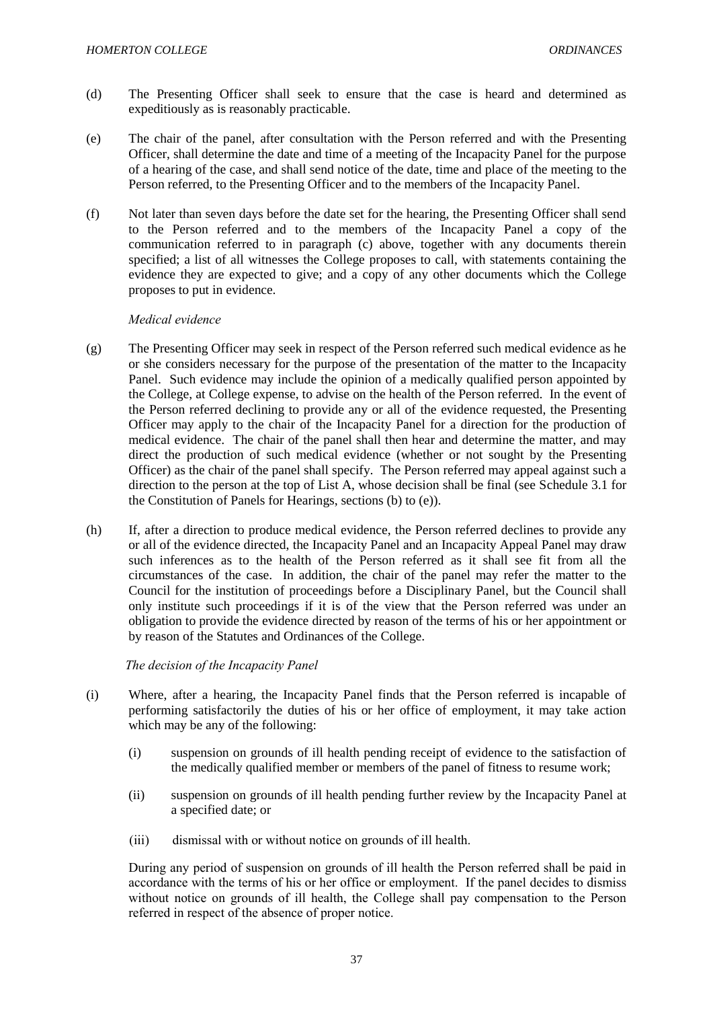- (d) The Presenting Officer shall seek to ensure that the case is heard and determined as expeditiously as is reasonably practicable.
- (e) The chair of the panel, after consultation with the Person referred and with the Presenting Officer, shall determine the date and time of a meeting of the Incapacity Panel for the purpose of a hearing of the case, and shall send notice of the date, time and place of the meeting to the Person referred, to the Presenting Officer and to the members of the Incapacity Panel.
- (f) Not later than seven days before the date set for the hearing, the Presenting Officer shall send to the Person referred and to the members of the Incapacity Panel a copy of the communication referred to in paragraph (c) above, together with any documents therein specified; a list of all witnesses the College proposes to call, with statements containing the evidence they are expected to give; and a copy of any other documents which the College proposes to put in evidence.

### *Medical evidence*

- (g) The Presenting Officer may seek in respect of the Person referred such medical evidence as he or she considers necessary for the purpose of the presentation of the matter to the Incapacity Panel. Such evidence may include the opinion of a medically qualified person appointed by the College, at College expense, to advise on the health of the Person referred. In the event of the Person referred declining to provide any or all of the evidence requested, the Presenting Officer may apply to the chair of the Incapacity Panel for a direction for the production of medical evidence. The chair of the panel shall then hear and determine the matter, and may direct the production of such medical evidence (whether or not sought by the Presenting Officer) as the chair of the panel shall specify. The Person referred may appeal against such a direction to the person at the top of List A, whose decision shall be final (see Schedule 3.1 for the Constitution of Panels for Hearings, sections (b) to (e)).
- (h) If, after a direction to produce medical evidence, the Person referred declines to provide any or all of the evidence directed, the Incapacity Panel and an Incapacity Appeal Panel may draw such inferences as to the health of the Person referred as it shall see fit from all the circumstances of the case. In addition, the chair of the panel may refer the matter to the Council for the institution of proceedings before a Disciplinary Panel, but the Council shall only institute such proceedings if it is of the view that the Person referred was under an obligation to provide the evidence directed by reason of the terms of his or her appointment or by reason of the Statutes and Ordinances of the College.

### *The decision of the Incapacity Panel*

- (i) Where, after a hearing, the Incapacity Panel finds that the Person referred is incapable of performing satisfactorily the duties of his or her office of employment, it may take action which may be any of the following:
	- (i) suspension on grounds of ill health pending receipt of evidence to the satisfaction of the medically qualified member or members of the panel of fitness to resume work;
	- (ii) suspension on grounds of ill health pending further review by the Incapacity Panel at a specified date; or
	- (iii) dismissal with or without notice on grounds of ill health.

During any period of suspension on grounds of ill health the Person referred shall be paid in accordance with the terms of his or her office or employment. If the panel decides to dismiss without notice on grounds of ill health, the College shall pay compensation to the Person referred in respect of the absence of proper notice.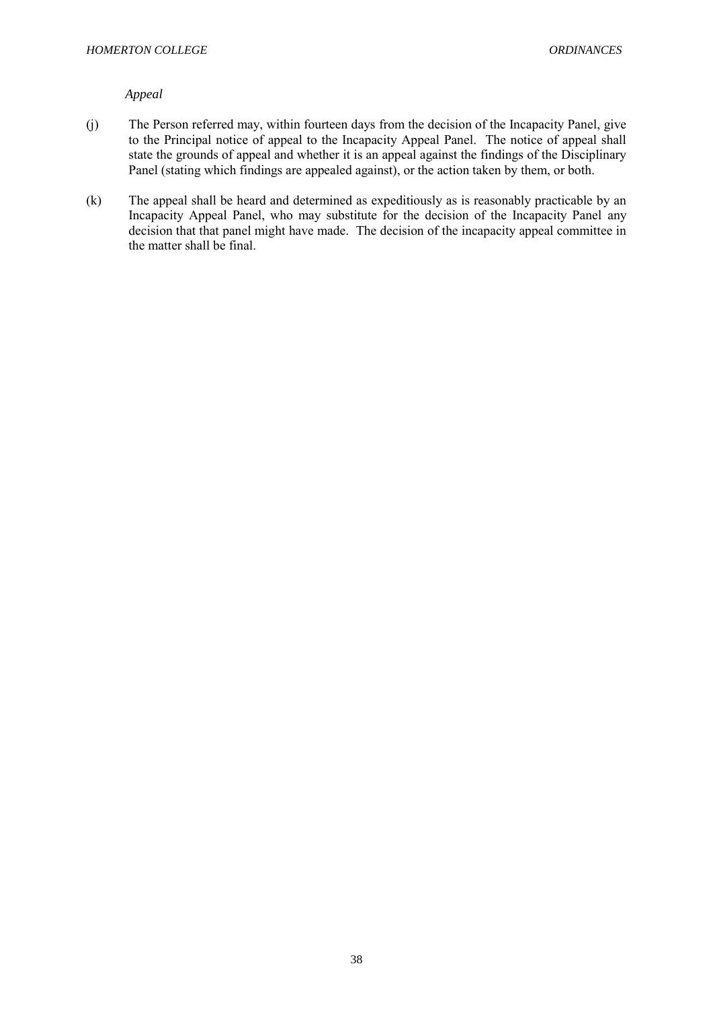# *Appeal*

- (j) The Person referred may, within fourteen days from the decision of the Incapacity Panel, give to the Principal notice of appeal to the Incapacity Appeal Panel. The notice of appeal shall state the grounds of appeal and whether it is an appeal against the findings of the Disciplinary Panel (stating which findings are appealed against), or the action taken by them, or both.
- (k) The appeal shall be heard and determined as expeditiously as is reasonably practicable by an Incapacity Appeal Panel, who may substitute for the decision of the Incapacity Panel any decision that that panel might have made. The decision of the incapacity appeal committee in the matter shall be final.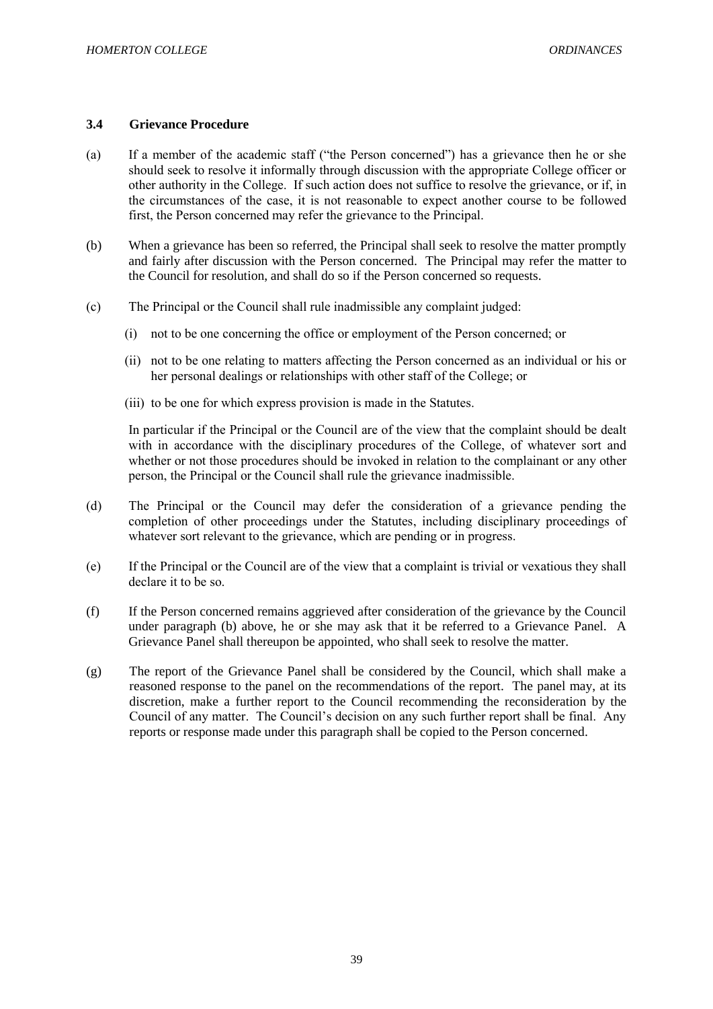### **3.4 Grievance Procedure**

- (a) If a member of the academic staff ("the Person concerned") has a grievance then he or she should seek to resolve it informally through discussion with the appropriate College officer or other authority in the College. If such action does not suffice to resolve the grievance, or if, in the circumstances of the case, it is not reasonable to expect another course to be followed first, the Person concerned may refer the grievance to the Principal.
- (b) When a grievance has been so referred, the Principal shall seek to resolve the matter promptly and fairly after discussion with the Person concerned. The Principal may refer the matter to the Council for resolution, and shall do so if the Person concerned so requests.
- (c) The Principal or the Council shall rule inadmissible any complaint judged:
	- (i) not to be one concerning the office or employment of the Person concerned; or
	- (ii) not to be one relating to matters affecting the Person concerned as an individual or his or her personal dealings or relationships with other staff of the College; or
	- (iii) to be one for which express provision is made in the Statutes.

In particular if the Principal or the Council are of the view that the complaint should be dealt with in accordance with the disciplinary procedures of the College, of whatever sort and whether or not those procedures should be invoked in relation to the complainant or any other person, the Principal or the Council shall rule the grievance inadmissible.

- (d) The Principal or the Council may defer the consideration of a grievance pending the completion of other proceedings under the Statutes, including disciplinary proceedings of whatever sort relevant to the grievance, which are pending or in progress.
- (e) If the Principal or the Council are of the view that a complaint is trivial or vexatious they shall declare it to be so.
- (f) If the Person concerned remains aggrieved after consideration of the grievance by the Council under paragraph (b) above, he or she may ask that it be referred to a Grievance Panel. A Grievance Panel shall thereupon be appointed, who shall seek to resolve the matter.
- (g) The report of the Grievance Panel shall be considered by the Council, which shall make a reasoned response to the panel on the recommendations of the report. The panel may, at its discretion, make a further report to the Council recommending the reconsideration by the Council of any matter. The Council's decision on any such further report shall be final. Any reports or response made under this paragraph shall be copied to the Person concerned.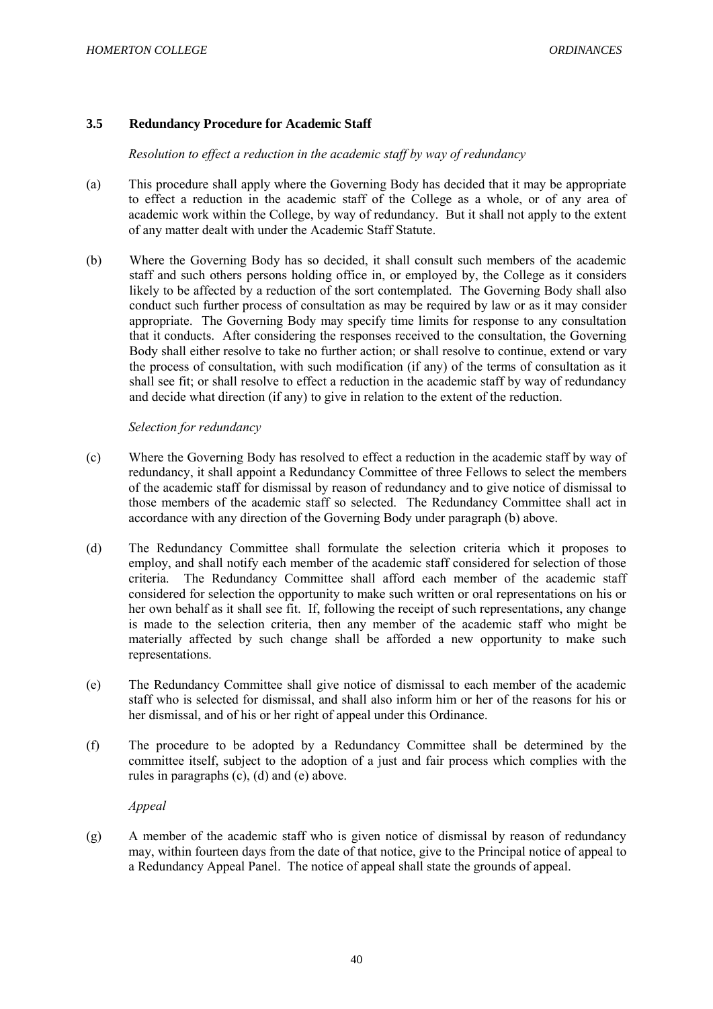# **3.5 Redundancy Procedure for Academic Staff**

*Resolution to effect a reduction in the academic staff by way of redundancy*

- (a) This procedure shall apply where the Governing Body has decided that it may be appropriate to effect a reduction in the academic staff of the College as a whole, or of any area of academic work within the College, by way of redundancy. But it shall not apply to the extent of any matter dealt with under the Academic Staff Statute.
- (b) Where the Governing Body has so decided, it shall consult such members of the academic staff and such others persons holding office in, or employed by, the College as it considers likely to be affected by a reduction of the sort contemplated. The Governing Body shall also conduct such further process of consultation as may be required by law or as it may consider appropriate. The Governing Body may specify time limits for response to any consultation that it conducts. After considering the responses received to the consultation, the Governing Body shall either resolve to take no further action; or shall resolve to continue, extend or vary the process of consultation, with such modification (if any) of the terms of consultation as it shall see fit; or shall resolve to effect a reduction in the academic staff by way of redundancy and decide what direction (if any) to give in relation to the extent of the reduction.

### *Selection for redundancy*

- (c) Where the Governing Body has resolved to effect a reduction in the academic staff by way of redundancy, it shall appoint a Redundancy Committee of three Fellows to select the members of the academic staff for dismissal by reason of redundancy and to give notice of dismissal to those members of the academic staff so selected. The Redundancy Committee shall act in accordance with any direction of the Governing Body under paragraph (b) above.
- (d) The Redundancy Committee shall formulate the selection criteria which it proposes to employ, and shall notify each member of the academic staff considered for selection of those criteria. The Redundancy Committee shall afford each member of the academic staff considered for selection the opportunity to make such written or oral representations on his or her own behalf as it shall see fit. If, following the receipt of such representations, any change is made to the selection criteria, then any member of the academic staff who might be materially affected by such change shall be afforded a new opportunity to make such representations.
- (e) The Redundancy Committee shall give notice of dismissal to each member of the academic staff who is selected for dismissal, and shall also inform him or her of the reasons for his or her dismissal, and of his or her right of appeal under this Ordinance.
- (f) The procedure to be adopted by a Redundancy Committee shall be determined by the committee itself, subject to the adoption of a just and fair process which complies with the rules in paragraphs (c), (d) and (e) above.

*Appeal*

(g) A member of the academic staff who is given notice of dismissal by reason of redundancy may, within fourteen days from the date of that notice, give to the Principal notice of appeal to a Redundancy Appeal Panel. The notice of appeal shall state the grounds of appeal.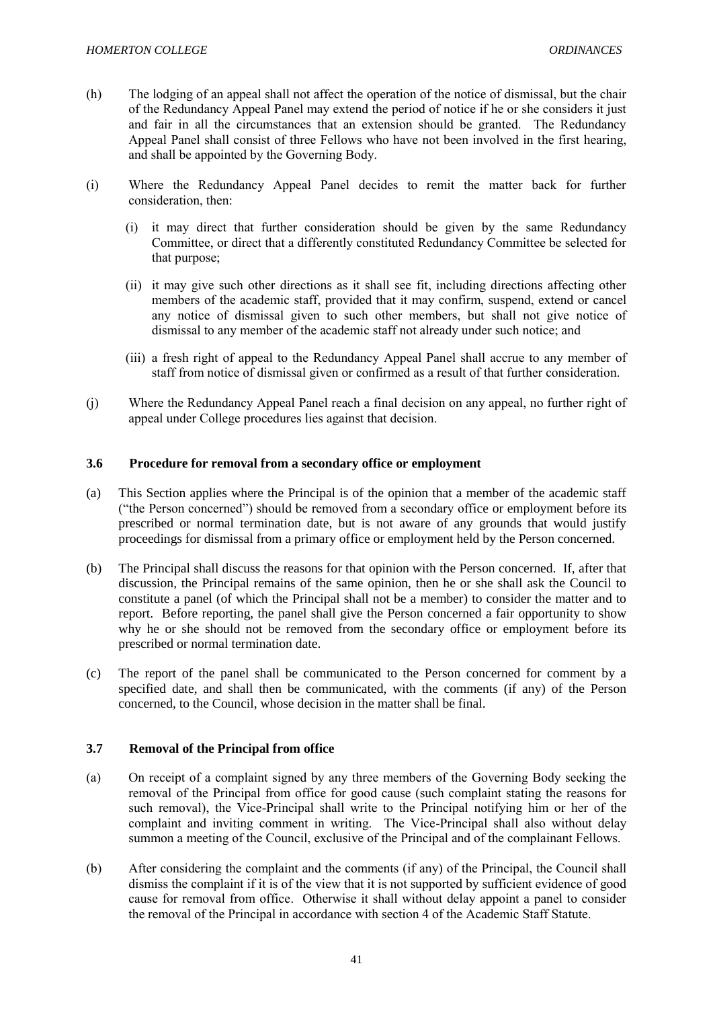- (h) The lodging of an appeal shall not affect the operation of the notice of dismissal, but the chair of the Redundancy Appeal Panel may extend the period of notice if he or she considers it just and fair in all the circumstances that an extension should be granted. The Redundancy Appeal Panel shall consist of three Fellows who have not been involved in the first hearing, and shall be appointed by the Governing Body.
- (i) Where the Redundancy Appeal Panel decides to remit the matter back for further consideration, then:
	- (i) it may direct that further consideration should be given by the same Redundancy Committee, or direct that a differently constituted Redundancy Committee be selected for that purpose;
	- (ii) it may give such other directions as it shall see fit, including directions affecting other members of the academic staff, provided that it may confirm, suspend, extend or cancel any notice of dismissal given to such other members, but shall not give notice of dismissal to any member of the academic staff not already under such notice; and
	- (iii) a fresh right of appeal to the Redundancy Appeal Panel shall accrue to any member of staff from notice of dismissal given or confirmed as a result of that further consideration.
- (j) Where the Redundancy Appeal Panel reach a final decision on any appeal, no further right of appeal under College procedures lies against that decision.

### **3.6 Procedure for removal from a secondary office or employment**

- (a) This Section applies where the Principal is of the opinion that a member of the academic staff ("the Person concerned") should be removed from a secondary office or employment before its prescribed or normal termination date, but is not aware of any grounds that would justify proceedings for dismissal from a primary office or employment held by the Person concerned.
- (b) The Principal shall discuss the reasons for that opinion with the Person concerned. If, after that discussion, the Principal remains of the same opinion, then he or she shall ask the Council to constitute a panel (of which the Principal shall not be a member) to consider the matter and to report. Before reporting, the panel shall give the Person concerned a fair opportunity to show why he or she should not be removed from the secondary office or employment before its prescribed or normal termination date.
- (c) The report of the panel shall be communicated to the Person concerned for comment by a specified date, and shall then be communicated, with the comments (if any) of the Person concerned, to the Council, whose decision in the matter shall be final.

### **3.7 Removal of the Principal from office**

- (a) On receipt of a complaint signed by any three members of the Governing Body seeking the removal of the Principal from office for good cause (such complaint stating the reasons for such removal), the Vice-Principal shall write to the Principal notifying him or her of the complaint and inviting comment in writing. The Vice-Principal shall also without delay summon a meeting of the Council, exclusive of the Principal and of the complainant Fellows.
- (b) After considering the complaint and the comments (if any) of the Principal, the Council shall dismiss the complaint if it is of the view that it is not supported by sufficient evidence of good cause for removal from office. Otherwise it shall without delay appoint a panel to consider the removal of the Principal in accordance with section 4 of the Academic Staff Statute.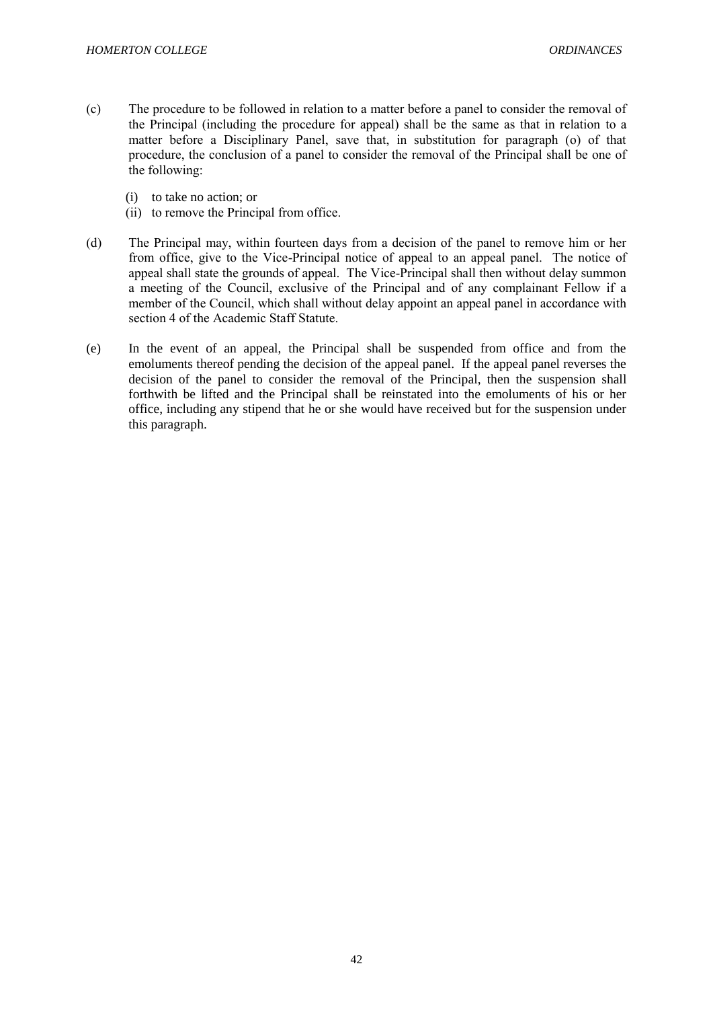- (c) The procedure to be followed in relation to a matter before a panel to consider the removal of the Principal (including the procedure for appeal) shall be the same as that in relation to a matter before a Disciplinary Panel, save that, in substitution for paragraph (o) of that procedure, the conclusion of a panel to consider the removal of the Principal shall be one of the following:
	- (i) to take no action; or
	- (ii) to remove the Principal from office.
- (d) The Principal may, within fourteen days from a decision of the panel to remove him or her from office, give to the Vice-Principal notice of appeal to an appeal panel. The notice of appeal shall state the grounds of appeal. The Vice-Principal shall then without delay summon a meeting of the Council, exclusive of the Principal and of any complainant Fellow if a member of the Council, which shall without delay appoint an appeal panel in accordance with section 4 of the Academic Staff Statute.
- (e) In the event of an appeal, the Principal shall be suspended from office and from the emoluments thereof pending the decision of the appeal panel. If the appeal panel reverses the decision of the panel to consider the removal of the Principal, then the suspension shall forthwith be lifted and the Principal shall be reinstated into the emoluments of his or her office, including any stipend that he or she would have received but for the suspension under this paragraph.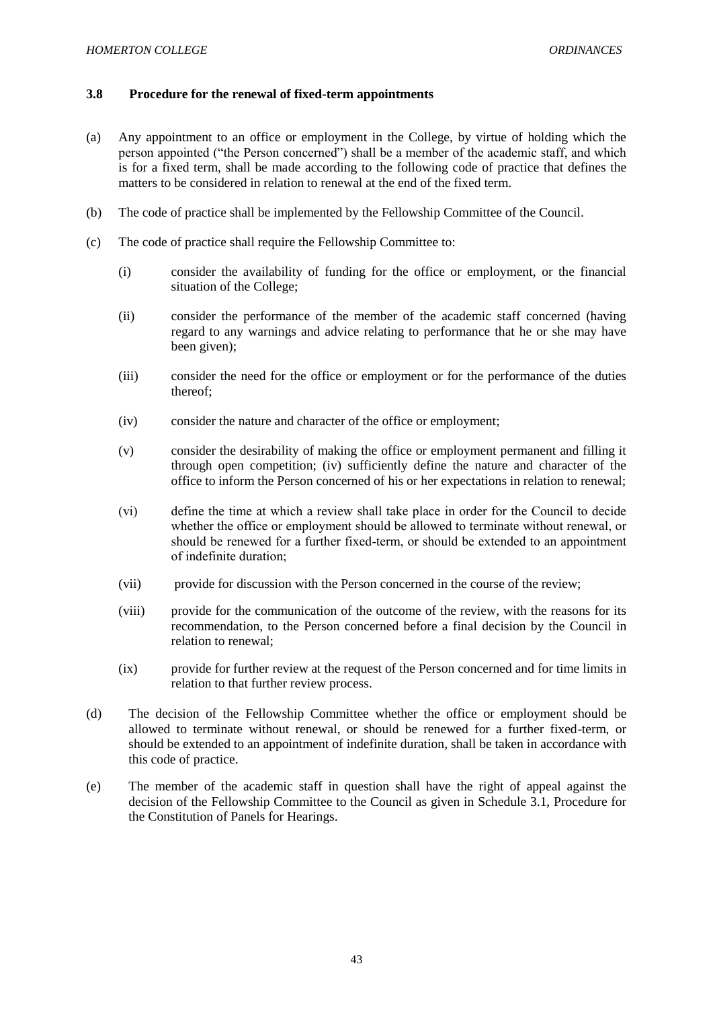### **3.8 Procedure for the renewal of fixed-term appointments**

- (a) Any appointment to an office or employment in the College, by virtue of holding which the person appointed ("the Person concerned") shall be a member of the academic staff, and which is for a fixed term, shall be made according to the following code of practice that defines the matters to be considered in relation to renewal at the end of the fixed term.
- (b) The code of practice shall be implemented by the Fellowship Committee of the Council.
- (c) The code of practice shall require the Fellowship Committee to:
	- (i) consider the availability of funding for the office or employment, or the financial situation of the College;
	- (ii) consider the performance of the member of the academic staff concerned (having regard to any warnings and advice relating to performance that he or she may have been given);
	- (iii) consider the need for the office or employment or for the performance of the duties thereof;
	- (iv) consider the nature and character of the office or employment;
	- (v) consider the desirability of making the office or employment permanent and filling it through open competition; (iv) sufficiently define the nature and character of the office to inform the Person concerned of his or her expectations in relation to renewal;
	- (vi) define the time at which a review shall take place in order for the Council to decide whether the office or employment should be allowed to terminate without renewal, or should be renewed for a further fixed-term, or should be extended to an appointment of indefinite duration;
	- (vii) provide for discussion with the Person concerned in the course of the review;
	- (viii) provide for the communication of the outcome of the review, with the reasons for its recommendation, to the Person concerned before a final decision by the Council in relation to renewal;
	- (ix) provide for further review at the request of the Person concerned and for time limits in relation to that further review process.
- (d) The decision of the Fellowship Committee whether the office or employment should be allowed to terminate without renewal, or should be renewed for a further fixed-term, or should be extended to an appointment of indefinite duration, shall be taken in accordance with this code of practice.
- (e) The member of the academic staff in question shall have the right of appeal against the decision of the Fellowship Committee to the Council as given in Schedule 3.1, Procedure for the Constitution of Panels for Hearings.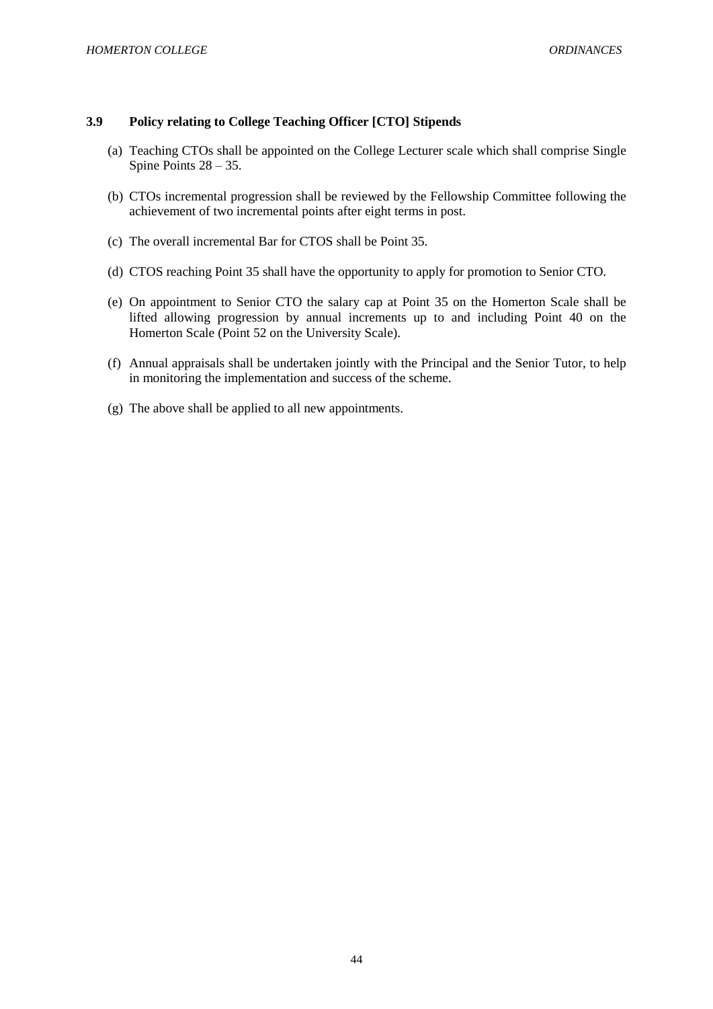### **3.9 Policy relating to College Teaching Officer [CTO] Stipends**

- (a) Teaching CTOs shall be appointed on the College Lecturer scale which shall comprise Single Spine Points 28 – 35.
- (b) CTOs incremental progression shall be reviewed by the Fellowship Committee following the achievement of two incremental points after eight terms in post.
- (c) The overall incremental Bar for CTOS shall be Point 35.
- (d) CTOS reaching Point 35 shall have the opportunity to apply for promotion to Senior CTO.
- (e) On appointment to Senior CTO the salary cap at Point 35 on the Homerton Scale shall be lifted allowing progression by annual increments up to and including Point 40 on the Homerton Scale (Point 52 on the University Scale).
- (f) Annual appraisals shall be undertaken jointly with the Principal and the Senior Tutor, to help in monitoring the implementation and success of the scheme.
- (g) The above shall be applied to all new appointments.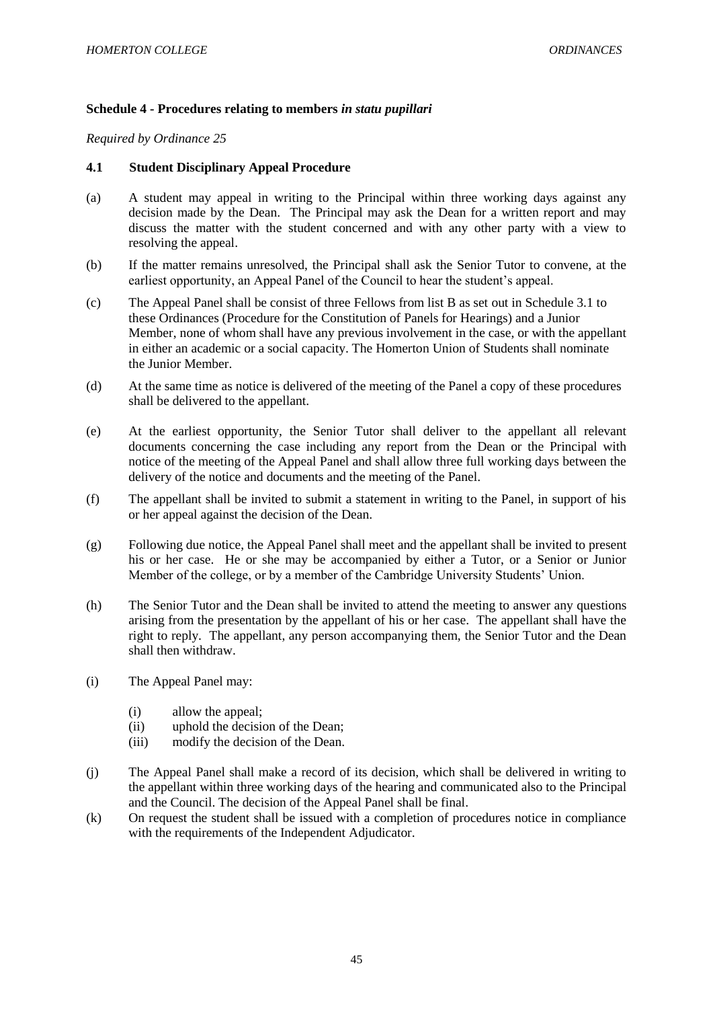# **Schedule 4 - Procedures relating to members** *in statu pupillari*

*Required by Ordinance 25*

### **4.1 Student Disciplinary Appeal Procedure**

- (a) A student may appeal in writing to the Principal within three working days against any decision made by the Dean. The Principal may ask the Dean for a written report and may discuss the matter with the student concerned and with any other party with a view to resolving the appeal.
- (b) If the matter remains unresolved, the Principal shall ask the Senior Tutor to convene, at the earliest opportunity, an Appeal Panel of the Council to hear the student's appeal.
- (c) The Appeal Panel shall be consist of three Fellows from list B as set out in Schedule 3.1 to these Ordinances (Procedure for the Constitution of Panels for Hearings) and a Junior Member, none of whom shall have any previous involvement in the case, or with the appellant in either an academic or a social capacity. The Homerton Union of Students shall nominate the Junior Member.
- (d) At the same time as notice is delivered of the meeting of the Panel a copy of these procedures shall be delivered to the appellant.
- (e) At the earliest opportunity, the Senior Tutor shall deliver to the appellant all relevant documents concerning the case including any report from the Dean or the Principal with notice of the meeting of the Appeal Panel and shall allow three full working days between the delivery of the notice and documents and the meeting of the Panel.
- (f) The appellant shall be invited to submit a statement in writing to the Panel, in support of his or her appeal against the decision of the Dean.
- (g) Following due notice, the Appeal Panel shall meet and the appellant shall be invited to present his or her case. He or she may be accompanied by either a Tutor, or a Senior or Junior Member of the college, or by a member of the Cambridge University Students' Union.
- (h) The Senior Tutor and the Dean shall be invited to attend the meeting to answer any questions arising from the presentation by the appellant of his or her case. The appellant shall have the right to reply. The appellant, any person accompanying them, the Senior Tutor and the Dean shall then withdraw.
- (i) The Appeal Panel may:
	- (i) allow the appeal;
	- (ii) uphold the decision of the Dean;
	- (iii) modify the decision of the Dean.
- (j) The Appeal Panel shall make a record of its decision, which shall be delivered in writing to the appellant within three working days of the hearing and communicated also to the Principal and the Council. The decision of the Appeal Panel shall be final.
- (k) On request the student shall be issued with a completion of procedures notice in compliance with the requirements of the Independent Adjudicator.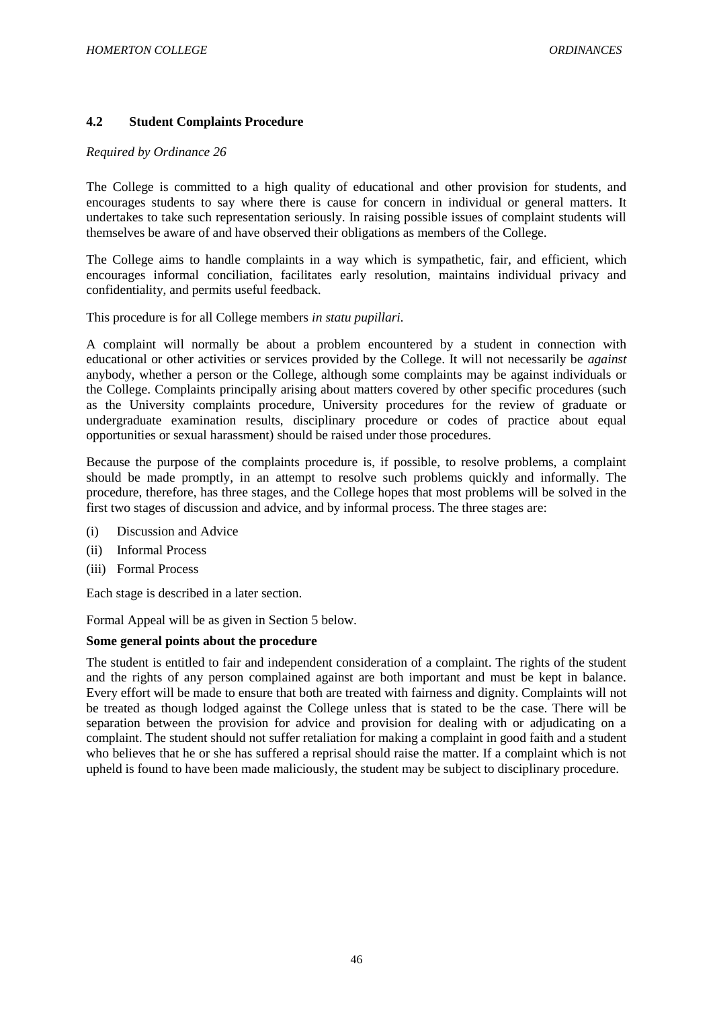# **4.2 Student Complaints Procedure**

### *Required by Ordinance 26*

The College is committed to a high quality of educational and other provision for students, and encourages students to say where there is cause for concern in individual or general matters. It undertakes to take such representation seriously. In raising possible issues of complaint students will themselves be aware of and have observed their obligations as members of the College.

The College aims to handle complaints in a way which is sympathetic, fair, and efficient, which encourages informal conciliation, facilitates early resolution, maintains individual privacy and confidentiality, and permits useful feedback.

This procedure is for all College members *in statu pupillari.* 

A complaint will normally be about a problem encountered by a student in connection with educational or other activities or services provided by the College. It will not necessarily be *against* anybody, whether a person or the College, although some complaints may be against individuals or the College. Complaints principally arising about matters covered by other specific procedures (such as the University complaints procedure, University procedures for the review of graduate or undergraduate examination results, disciplinary procedure or codes of practice about equal opportunities or sexual harassment) should be raised under those procedures.

Because the purpose of the complaints procedure is, if possible, to resolve problems, a complaint should be made promptly, in an attempt to resolve such problems quickly and informally. The procedure, therefore, has three stages, and the College hopes that most problems will be solved in the first two stages of discussion and advice, and by informal process. The three stages are:

- (i) Discussion and Advice
- (ii) Informal Process
- (iii) Formal Process

Each stage is described in a later section.

Formal Appeal will be as given in Section 5 below.

### **Some general points about the procedure**

The student is entitled to fair and independent consideration of a complaint. The rights of the student and the rights of any person complained against are both important and must be kept in balance. Every effort will be made to ensure that both are treated with fairness and dignity. Complaints will not be treated as though lodged against the College unless that is stated to be the case. There will be separation between the provision for advice and provision for dealing with or adjudicating on a complaint. The student should not suffer retaliation for making a complaint in good faith and a student who believes that he or she has suffered a reprisal should raise the matter. If a complaint which is not upheld is found to have been made maliciously, the student may be subject to disciplinary procedure.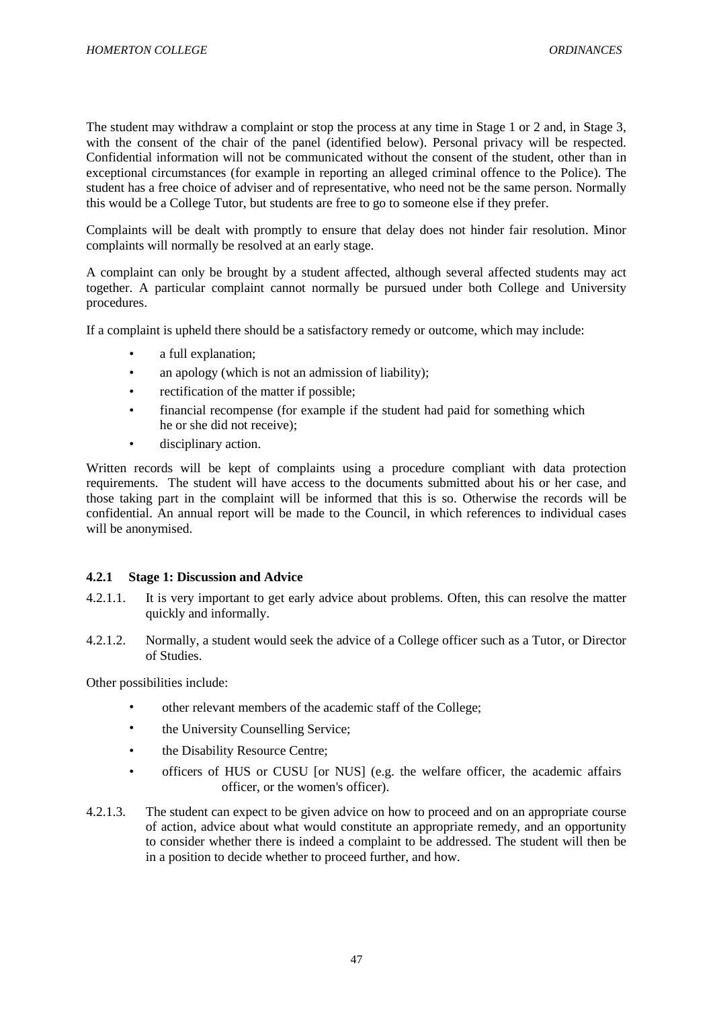The student may withdraw a complaint or stop the process at any time in Stage 1 or 2 and, in Stage 3, with the consent of the chair of the panel (identified below). Personal privacy will be respected. Confidential information will not be communicated without the consent of the student, other than in exceptional circumstances (for example in reporting an alleged criminal offence to the Police). The student has a free choice of adviser and of representative, who need not be the same person. Normally this would be a College Tutor, but students are free to go to someone else if they prefer.

Complaints will be dealt with promptly to ensure that delay does not hinder fair resolution. Minor complaints will normally be resolved at an early stage.

A complaint can only be brought by a student affected, although several affected students may act together. A particular complaint cannot normally be pursued under both College and University procedures.

If a complaint is upheld there should be a satisfactory remedy or outcome, which may include:

- a full explanation;
- an apology (which is not an admission of liability);
- rectification of the matter if possible;
- financial recompense (for example if the student had paid for something which he or she did not receive);
- disciplinary action.

Written records will be kept of complaints using a procedure compliant with data protection requirements. The student will have access to the documents submitted about his or her case, and those taking part in the complaint will be informed that this is so. Otherwise the records will be confidential. An annual report will be made to the Council, in which references to individual cases will be anonymised.

### **4.2.1 Stage 1: Discussion and Advice**

- 4.2.1.1. It is very important to get early advice about problems. Often, this can resolve the matter quickly and informally.
- 4.2.1.2. Normally, a student would seek the advice of a College officer such as a Tutor, or Director of Studies.

Other possibilities include:

- other relevant members of the academic staff of the College;
- the University Counselling Service;
- the Disability Resource Centre;
- officers of HUS or CUSU [or NUS] (e.g. the welfare officer, the academic affairs officer, or the women's officer).
- 4.2.1.3. The student can expect to be given advice on how to proceed and on an appropriate course of action, advice about what would constitute an appropriate remedy, and an opportunity to consider whether there is indeed a complaint to be addressed. The student will then be in a position to decide whether to proceed further, and how.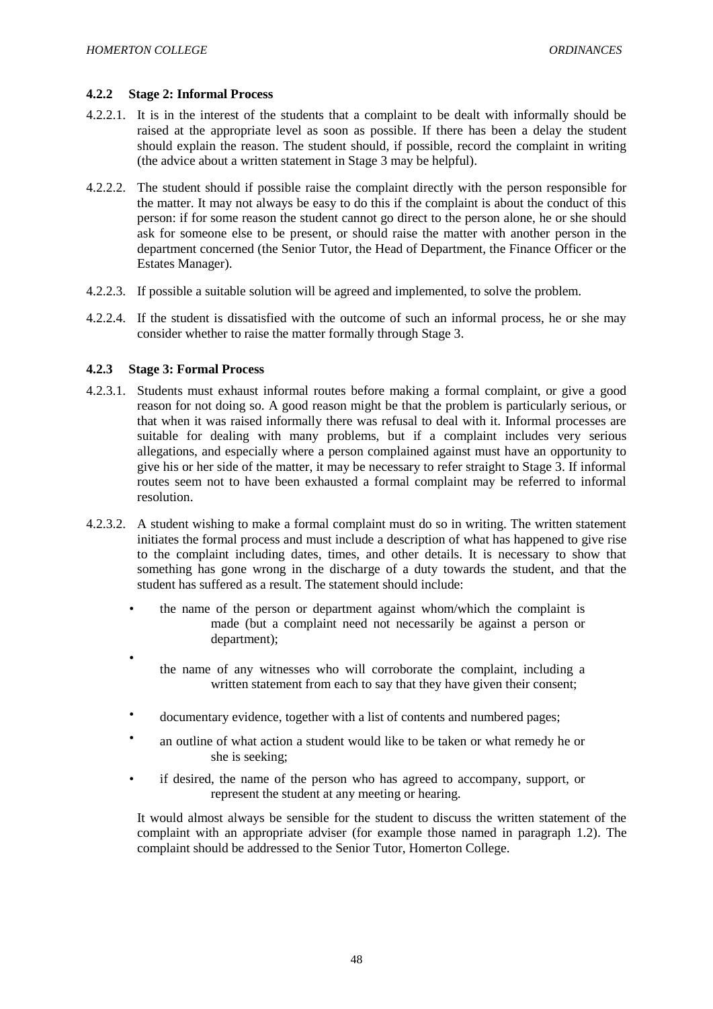### **4.2.2 Stage 2: Informal Process**

- 4.2.2.1. It is in the interest of the students that a complaint to be dealt with informally should be raised at the appropriate level as soon as possible. If there has been a delay the student should explain the reason. The student should, if possible, record the complaint in writing (the advice about a written statement in Stage 3 may be helpful).
- 4.2.2.2. The student should if possible raise the complaint directly with the person responsible for the matter. It may not always be easy to do this if the complaint is about the conduct of this person: if for some reason the student cannot go direct to the person alone, he or she should ask for someone else to be present, or should raise the matter with another person in the department concerned (the Senior Tutor, the Head of Department, the Finance Officer or the Estates Manager).
- 4.2.2.3. If possible a suitable solution will be agreed and implemented, to solve the problem.
- 4.2.2.4. If the student is dissatisfied with the outcome of such an informal process, he or she may consider whether to raise the matter formally through Stage 3.

### **4.2.3 Stage 3: Formal Process**

•

- 4.2.3.1. Students must exhaust informal routes before making a formal complaint, or give a good reason for not doing so. A good reason might be that the problem is particularly serious, or that when it was raised informally there was refusal to deal with it. Informal processes are suitable for dealing with many problems, but if a complaint includes very serious allegations, and especially where a person complained against must have an opportunity to give his or her side of the matter, it may be necessary to refer straight to Stage 3. If informal routes seem not to have been exhausted a formal complaint may be referred to informal resolution.
- 4.2.3.2. A student wishing to make a formal complaint must do so in writing. The written statement initiates the formal process and must include a description of what has happened to give rise to the complaint including dates, times, and other details. It is necessary to show that something has gone wrong in the discharge of a duty towards the student, and that the student has suffered as a result. The statement should include:
	- the name of the person or department against whom/which the complaint is made (but a complaint need not necessarily be against a person or department);
	- the name of any witnesses who will corroborate the complaint, including a written statement from each to say that they have given their consent;
	- documentary evidence, together with a list of contents and numbered pages;
	- an outline of what action a student would like to be taken or what remedy he or she is seeking;
	- if desired, the name of the person who has agreed to accompany, support, or represent the student at any meeting or hearing.

It would almost always be sensible for the student to discuss the written statement of the complaint with an appropriate adviser (for example those named in paragraph 1.2). The complaint should be addressed to the Senior Tutor, Homerton College.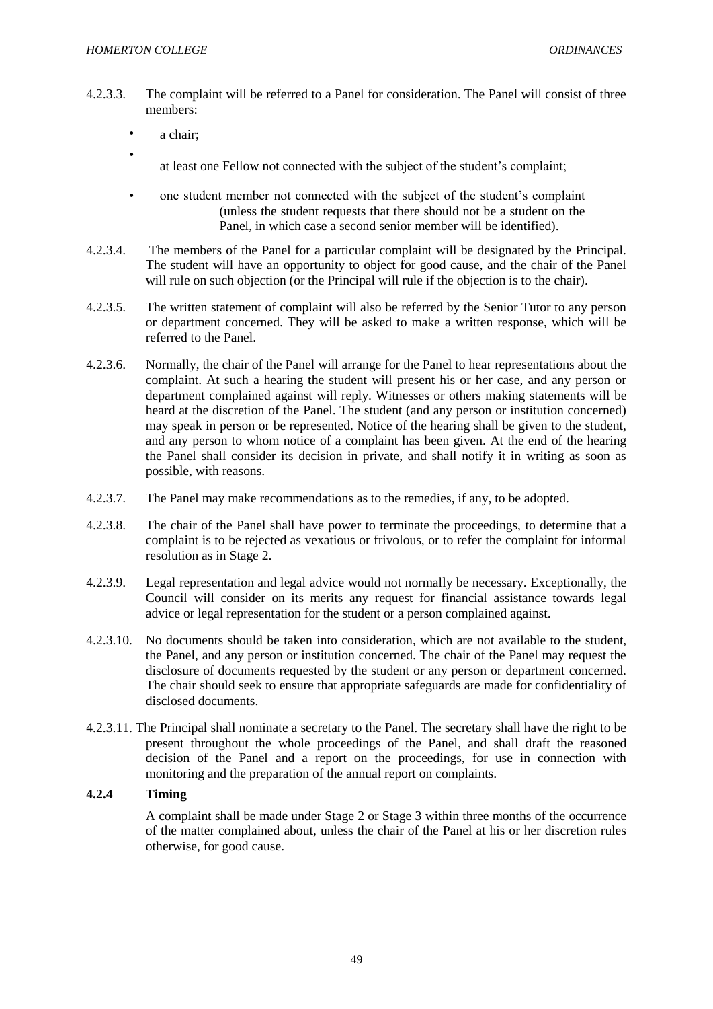•

- 4.2.3.3. The complaint will be referred to a Panel for consideration. The Panel will consist of three members:
	- a chair:
		- at least one Fellow not connected with the subject of the student's complaint;
	- one student member not connected with the subject of the student's complaint (unless the student requests that there should not be a student on the Panel, in which case a second senior member will be identified).
- 4.2.3.4. The members of the Panel for a particular complaint will be designated by the Principal. The student will have an opportunity to object for good cause, and the chair of the Panel will rule on such objection (or the Principal will rule if the objection is to the chair).
- 4.2.3.5. The written statement of complaint will also be referred by the Senior Tutor to any person or department concerned. They will be asked to make a written response, which will be referred to the Panel.
- 4.2.3.6. Normally, the chair of the Panel will arrange for the Panel to hear representations about the complaint. At such a hearing the student will present his or her case, and any person or department complained against will reply. Witnesses or others making statements will be heard at the discretion of the Panel. The student (and any person or institution concerned) may speak in person or be represented. Notice of the hearing shall be given to the student, and any person to whom notice of a complaint has been given. At the end of the hearing the Panel shall consider its decision in private, and shall notify it in writing as soon as possible, with reasons.
- 4.2.3.7. The Panel may make recommendations as to the remedies, if any, to be adopted.
- 4.2.3.8. The chair of the Panel shall have power to terminate the proceedings, to determine that a complaint is to be rejected as vexatious or frivolous, or to refer the complaint for informal resolution as in Stage 2.
- 4.2.3.9. Legal representation and legal advice would not normally be necessary. Exceptionally, the Council will consider on its merits any request for financial assistance towards legal advice or legal representation for the student or a person complained against.
- 4.2.3.10. No documents should be taken into consideration, which are not available to the student, the Panel, and any person or institution concerned. The chair of the Panel may request the disclosure of documents requested by the student or any person or department concerned. The chair should seek to ensure that appropriate safeguards are made for confidentiality of disclosed documents.
- 4.2.3.11. The Principal shall nominate a secretary to the Panel. The secretary shall have the right to be present throughout the whole proceedings of the Panel, and shall draft the reasoned decision of the Panel and a report on the proceedings, for use in connection with monitoring and the preparation of the annual report on complaints.

# **4.2.4 Timing**

A complaint shall be made under Stage 2 or Stage 3 within three months of the occurrence of the matter complained about, unless the chair of the Panel at his or her discretion rules otherwise, for good cause.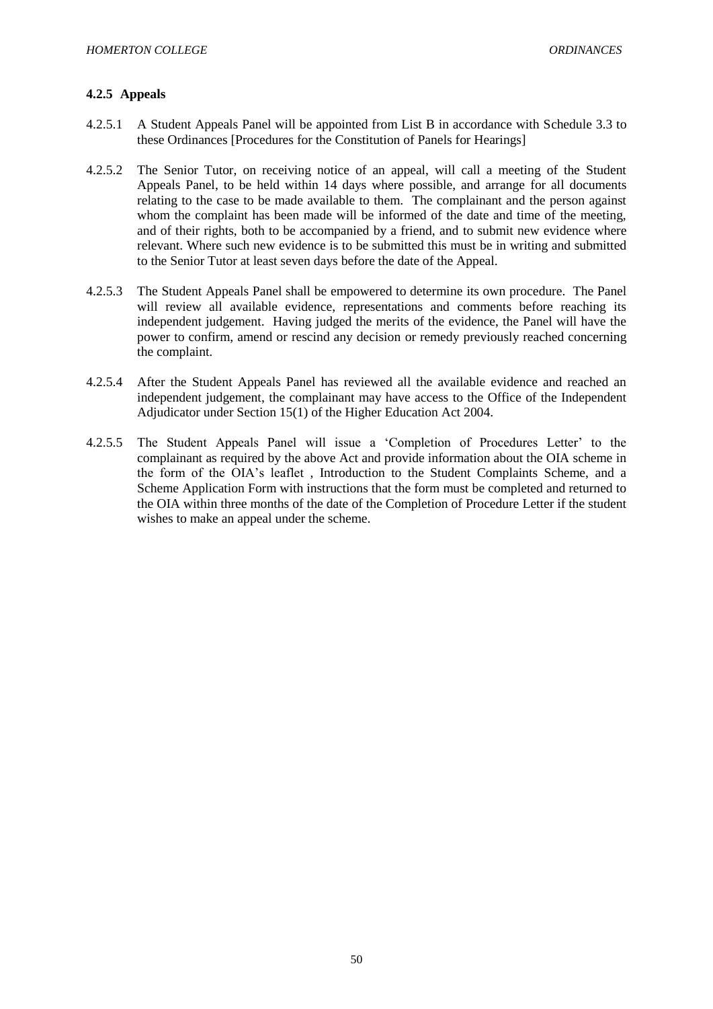# **4.2.5 Appeals**

- 4.2.5.1 A Student Appeals Panel will be appointed from List B in accordance with Schedule 3.3 to these Ordinances [Procedures for the Constitution of Panels for Hearings]
- 4.2.5.2 The Senior Tutor, on receiving notice of an appeal, will call a meeting of the Student Appeals Panel, to be held within 14 days where possible, and arrange for all documents relating to the case to be made available to them. The complainant and the person against whom the complaint has been made will be informed of the date and time of the meeting, and of their rights, both to be accompanied by a friend, and to submit new evidence where relevant. Where such new evidence is to be submitted this must be in writing and submitted to the Senior Tutor at least seven days before the date of the Appeal.
- 4.2.5.3 The Student Appeals Panel shall be empowered to determine its own procedure. The Panel will review all available evidence, representations and comments before reaching its independent judgement. Having judged the merits of the evidence, the Panel will have the power to confirm, amend or rescind any decision or remedy previously reached concerning the complaint.
- 4.2.5.4 After the Student Appeals Panel has reviewed all the available evidence and reached an independent judgement, the complainant may have access to the Office of the Independent Adjudicator under Section 15(1) of the Higher Education Act 2004.
- 4.2.5.5 The Student Appeals Panel will issue a 'Completion of Procedures Letter' to the complainant as required by the above Act and provide information about the OIA scheme in the form of the OIA's leaflet , Introduction to the Student Complaints Scheme, and a Scheme Application Form with instructions that the form must be completed and returned to the OIA within three months of the date of the Completion of Procedure Letter if the student wishes to make an appeal under the scheme.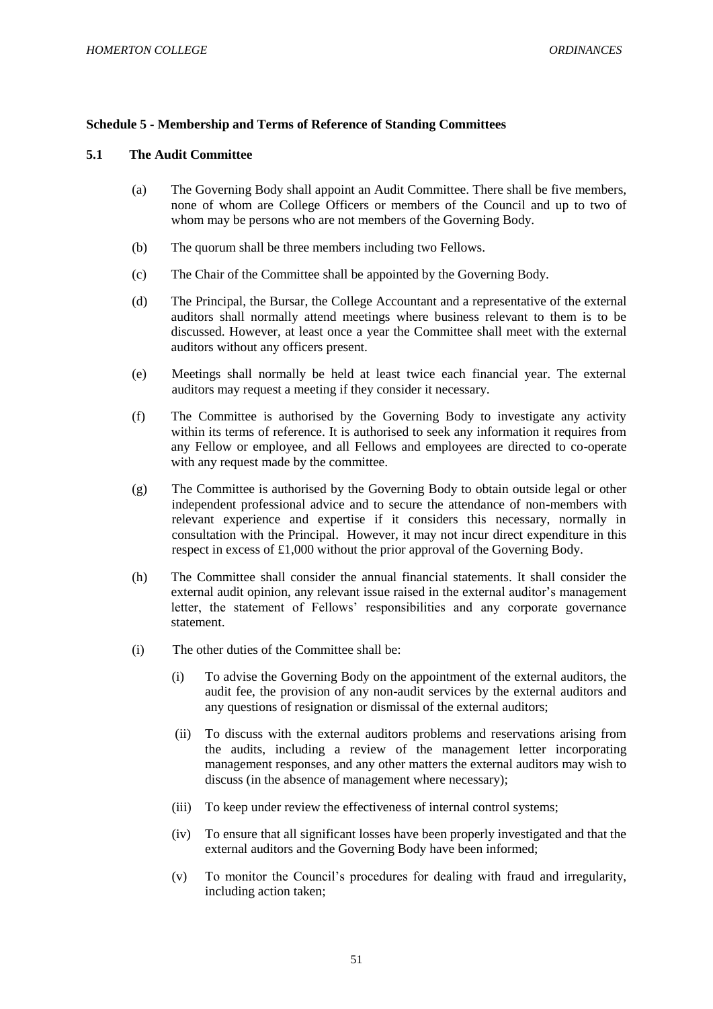#### **Schedule 5 - Membership and Terms of Reference of Standing Committees**

#### **5.1 The Audit Committee**

- (a) The Governing Body shall appoint an Audit Committee. There shall be five members, none of whom are College Officers or members of the Council and up to two of whom may be persons who are not members of the Governing Body.
- (b) The quorum shall be three members including two Fellows.
- (c) The Chair of the Committee shall be appointed by the Governing Body.
- (d) The Principal, the Bursar, the College Accountant and a representative of the external auditors shall normally attend meetings where business relevant to them is to be discussed. However, at least once a year the Committee shall meet with the external auditors without any officers present.
- (e) Meetings shall normally be held at least twice each financial year. The external auditors may request a meeting if they consider it necessary.
- (f) The Committee is authorised by the Governing Body to investigate any activity within its terms of reference. It is authorised to seek any information it requires from any Fellow or employee, and all Fellows and employees are directed to co-operate with any request made by the committee.
- (g) The Committee is authorised by the Governing Body to obtain outside legal or other independent professional advice and to secure the attendance of non-members with relevant experience and expertise if it considers this necessary, normally in consultation with the Principal. However, it may not incur direct expenditure in this respect in excess of £1,000 without the prior approval of the Governing Body.
- (h) The Committee shall consider the annual financial statements. It shall consider the external audit opinion, any relevant issue raised in the external auditor's management letter, the statement of Fellows' responsibilities and any corporate governance statement.
- (i) The other duties of the Committee shall be:
	- (i) To advise the Governing Body on the appointment of the external auditors, the audit fee, the provision of any non-audit services by the external auditors and any questions of resignation or dismissal of the external auditors;
	- (ii) To discuss with the external auditors problems and reservations arising from the audits, including a review of the management letter incorporating management responses, and any other matters the external auditors may wish to discuss (in the absence of management where necessary);
	- (iii) To keep under review the effectiveness of internal control systems;
	- (iv) To ensure that all significant losses have been properly investigated and that the external auditors and the Governing Body have been informed;
	- (v) To monitor the Council's procedures for dealing with fraud and irregularity, including action taken;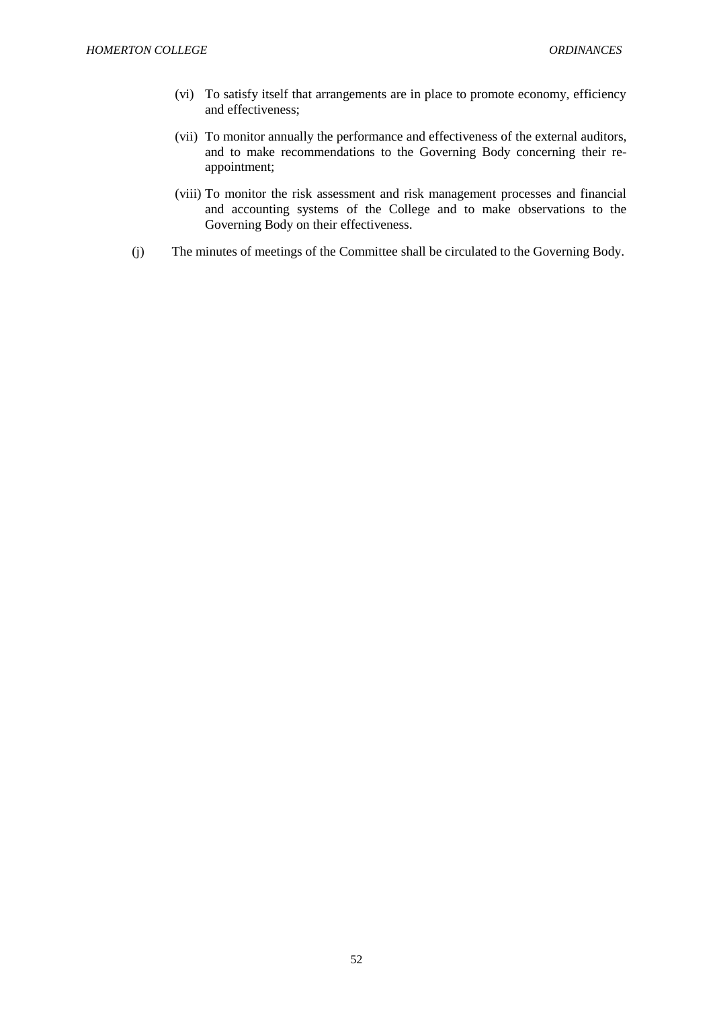- (vi) To satisfy itself that arrangements are in place to promote economy, efficiency and effectiveness;
- (vii) To monitor annually the performance and effectiveness of the external auditors, and to make recommendations to the Governing Body concerning their reappointment;
- (viii) To monitor the risk assessment and risk management processes and financial and accounting systems of the College and to make observations to the Governing Body on their effectiveness.
- (j) The minutes of meetings of the Committee shall be circulated to the Governing Body.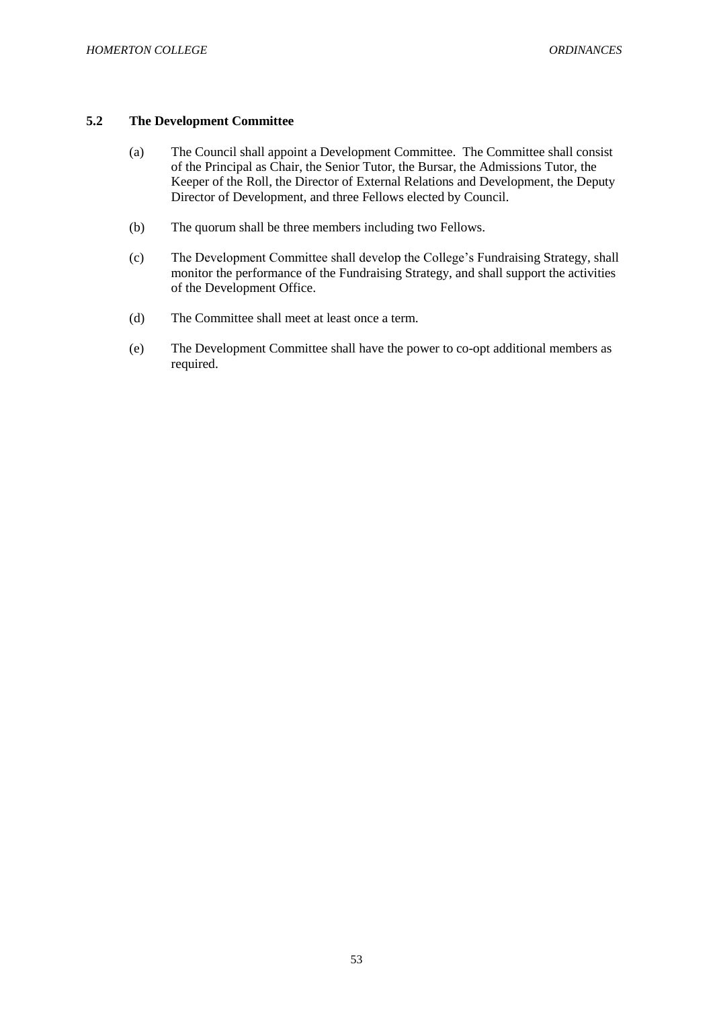# **5.2 The Development Committee**

- (a) The Council shall appoint a Development Committee. The Committee shall consist of the Principal as Chair, the Senior Tutor, the Bursar, the Admissions Tutor, the Keeper of the Roll, the Director of External Relations and Development, the Deputy Director of Development, and three Fellows elected by Council.
- (b) The quorum shall be three members including two Fellows.
- (c) The Development Committee shall develop the College's Fundraising Strategy, shall monitor the performance of the Fundraising Strategy, and shall support the activities of the Development Office.
- (d) The Committee shall meet at least once a term.
- (e) The Development Committee shall have the power to co-opt additional members as required.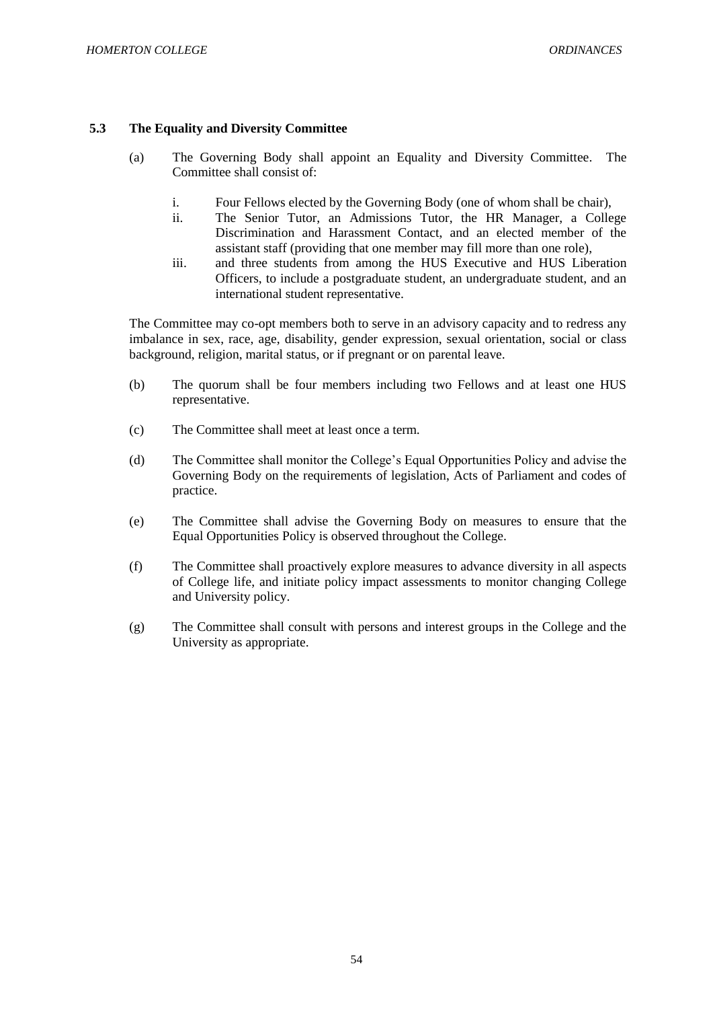# **5.3 The Equality and Diversity Committee**

- (a) The Governing Body shall appoint an Equality and Diversity Committee. The Committee shall consist of:
	- i. Four Fellows elected by the Governing Body (one of whom shall be chair),
	- ii. The Senior Tutor, an Admissions Tutor, the HR Manager, a College Discrimination and Harassment Contact, and an elected member of the assistant staff (providing that one member may fill more than one role),
	- iii. and three students from among the HUS Executive and HUS Liberation Officers, to include a postgraduate student, an undergraduate student, and an international student representative.

The Committee may co-opt members both to serve in an advisory capacity and to redress any imbalance in sex, race, age, disability, gender expression, sexual orientation, social or class background, religion, marital status, or if pregnant or on parental leave.

- (b) The quorum shall be four members including two Fellows and at least one HUS representative.
- (c) The Committee shall meet at least once a term.
- (d) The Committee shall monitor the College's Equal Opportunities Policy and advise the Governing Body on the requirements of legislation, Acts of Parliament and codes of practice.
- (e) The Committee shall advise the Governing Body on measures to ensure that the Equal Opportunities Policy is observed throughout the College.
- (f) The Committee shall proactively explore measures to advance diversity in all aspects of College life, and initiate policy impact assessments to monitor changing College and University policy.
- (g) The Committee shall consult with persons and interest groups in the College and the University as appropriate.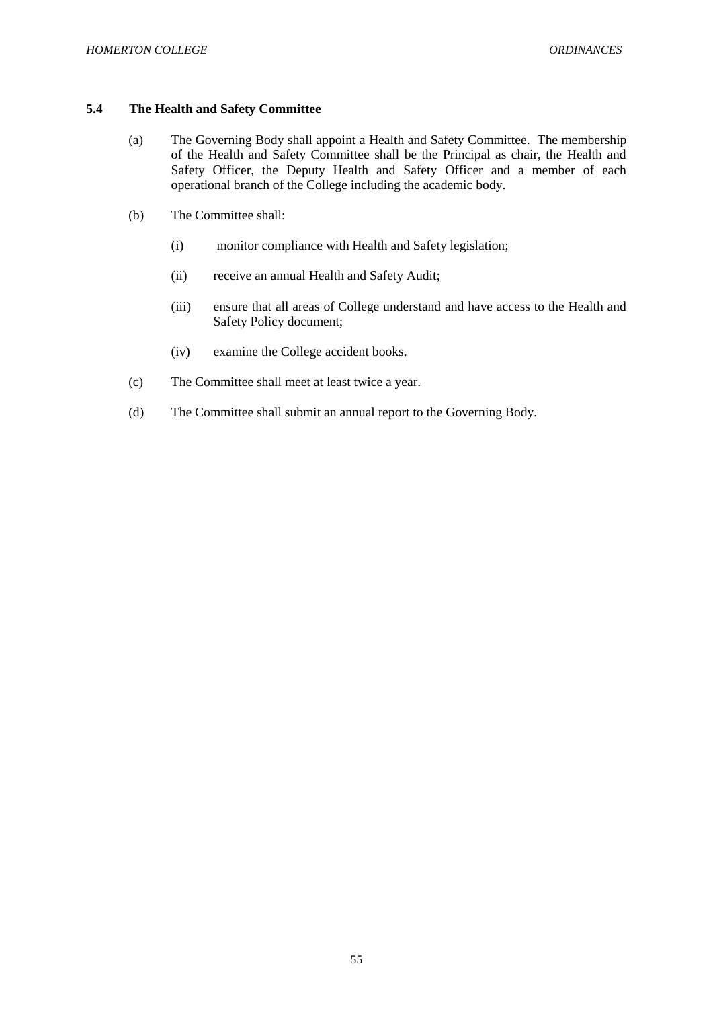# **5.4 The Health and Safety Committee**

- (a) The Governing Body shall appoint a Health and Safety Committee. The membership of the Health and Safety Committee shall be the Principal as chair, the Health and Safety Officer, the Deputy Health and Safety Officer and a member of each operational branch of the College including the academic body.
- (b) The Committee shall:
	- (i) monitor compliance with Health and Safety legislation;
	- (ii) receive an annual Health and Safety Audit;
	- (iii) ensure that all areas of College understand and have access to the Health and Safety Policy document;
	- (iv) examine the College accident books.
- (c) The Committee shall meet at least twice a year.
- (d) The Committee shall submit an annual report to the Governing Body.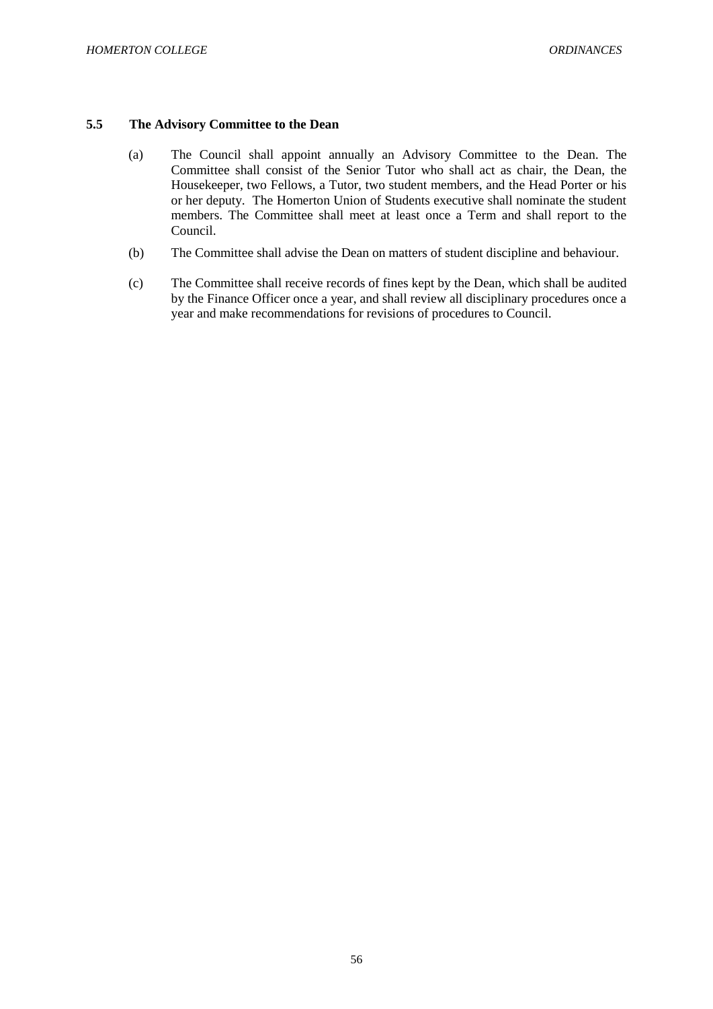## **5.5 The Advisory Committee to the Dean**

- (a) The Council shall appoint annually an Advisory Committee to the Dean. The Committee shall consist of the Senior Tutor who shall act as chair, the Dean, the Housekeeper, two Fellows, a Tutor, two student members, and the Head Porter or his or her deputy. The Homerton Union of Students executive shall nominate the student members. The Committee shall meet at least once a Term and shall report to the Council.
- (b) The Committee shall advise the Dean on matters of student discipline and behaviour.
- (c) The Committee shall receive records of fines kept by the Dean, which shall be audited by the Finance Officer once a year, and shall review all disciplinary procedures once a year and make recommendations for revisions of procedures to Council.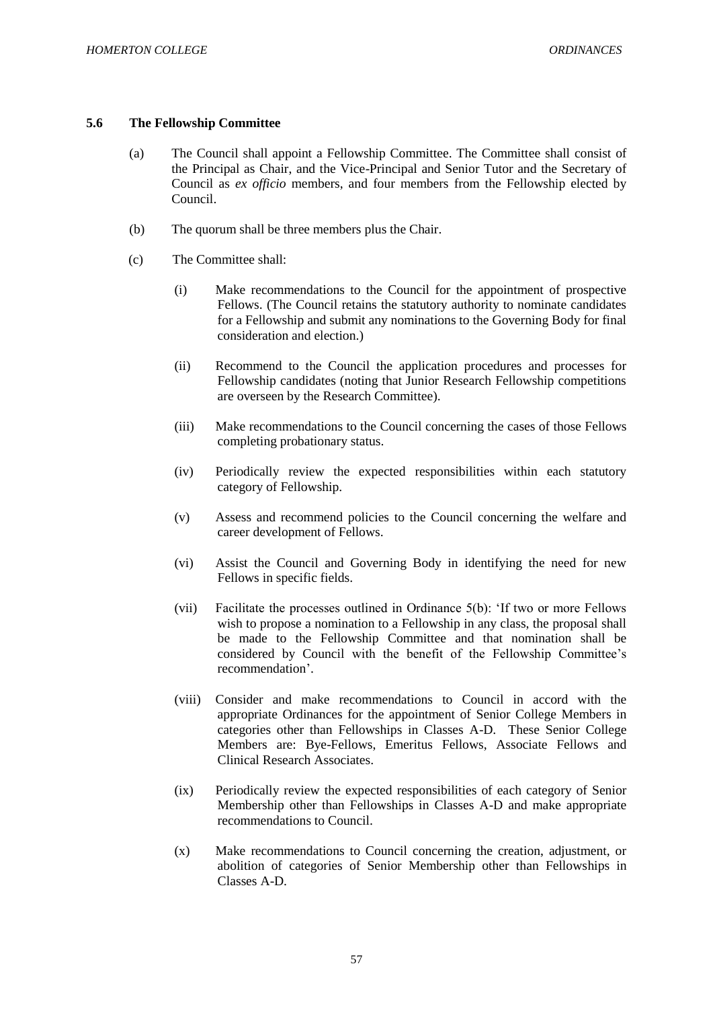#### **5.6 The Fellowship Committee**

- (a) The Council shall appoint a Fellowship Committee. The Committee shall consist of the Principal as Chair, and the Vice-Principal and Senior Tutor and the Secretary of Council as *ex officio* members, and four members from the Fellowship elected by Council.
- (b) The quorum shall be three members plus the Chair.
- (c) The Committee shall:
	- (i) Make recommendations to the Council for the appointment of prospective Fellows. (The Council retains the statutory authority to nominate candidates for a Fellowship and submit any nominations to the Governing Body for final consideration and election.)
	- (ii) Recommend to the Council the application procedures and processes for Fellowship candidates (noting that Junior Research Fellowship competitions are overseen by the Research Committee).
	- (iii) Make recommendations to the Council concerning the cases of those Fellows completing probationary status.
	- (iv) Periodically review the expected responsibilities within each statutory category of Fellowship.
	- (v) Assess and recommend policies to the Council concerning the welfare and career development of Fellows.
	- (vi) Assist the Council and Governing Body in identifying the need for new Fellows in specific fields.
	- (vii) Facilitate the processes outlined in Ordinance 5(b): 'If two or more Fellows wish to propose a nomination to a Fellowship in any class, the proposal shall be made to the Fellowship Committee and that nomination shall be considered by Council with the benefit of the Fellowship Committee's recommendation'.
	- (viii) Consider and make recommendations to Council in accord with the appropriate Ordinances for the appointment of Senior College Members in categories other than Fellowships in Classes A-D. These Senior College Members are: Bye-Fellows, Emeritus Fellows, Associate Fellows and Clinical Research Associates.
	- (ix) Periodically review the expected responsibilities of each category of Senior Membership other than Fellowships in Classes A-D and make appropriate recommendations to Council.
	- (x) Make recommendations to Council concerning the creation, adjustment, or abolition of categories of Senior Membership other than Fellowships in Classes A-D.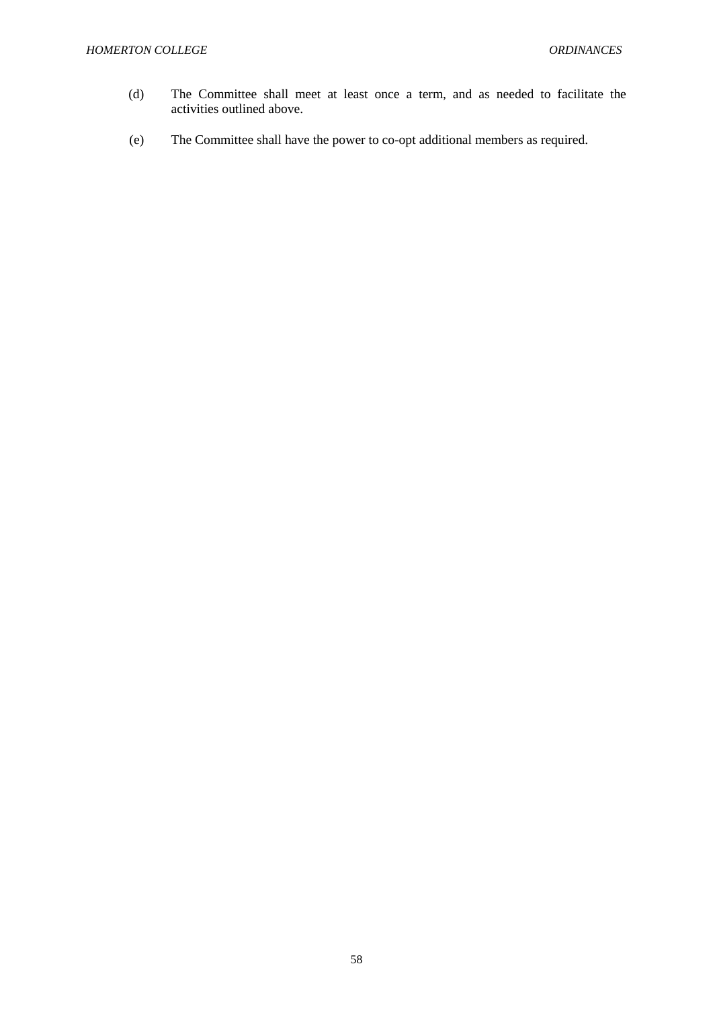- (d) The Committee shall meet at least once a term, and as needed to facilitate the activities outlined above.
- (e) The Committee shall have the power to co-opt additional members as required.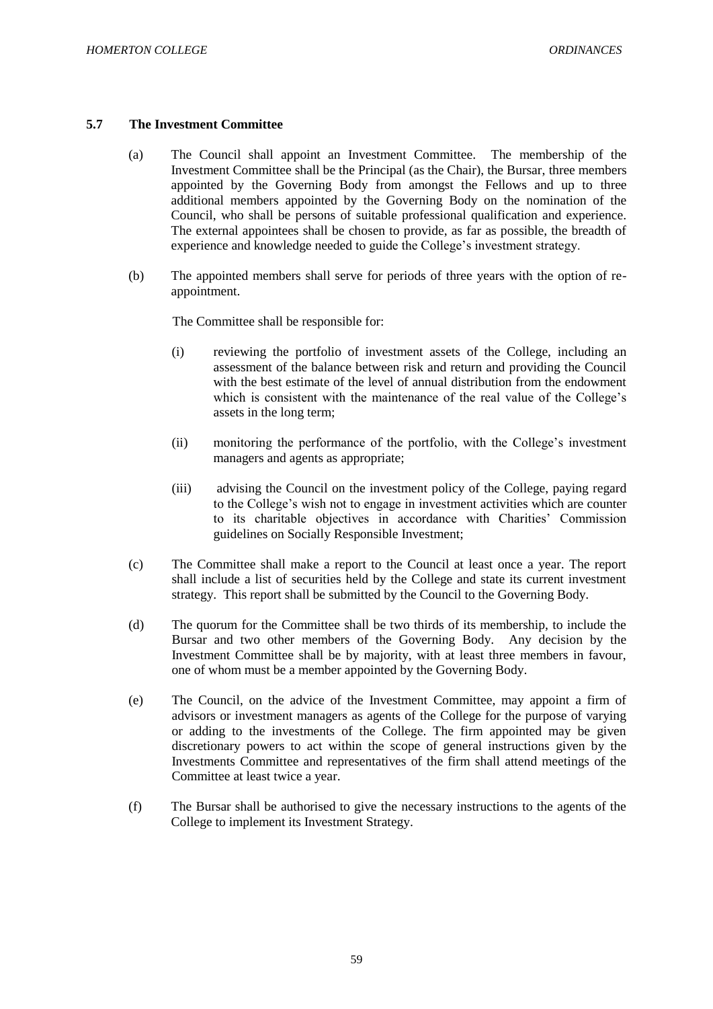### **5.7 The Investment Committee**

- (a) The Council shall appoint an Investment Committee. The membership of the Investment Committee shall be the Principal (as the Chair), the Bursar, three members appointed by the Governing Body from amongst the Fellows and up to three additional members appointed by the Governing Body on the nomination of the Council, who shall be persons of suitable professional qualification and experience. The external appointees shall be chosen to provide, as far as possible, the breadth of experience and knowledge needed to guide the College's investment strategy.
- (b) The appointed members shall serve for periods of three years with the option of reappointment.

The Committee shall be responsible for:

- (i) reviewing the portfolio of investment assets of the College, including an assessment of the balance between risk and return and providing the Council with the best estimate of the level of annual distribution from the endowment which is consistent with the maintenance of the real value of the College's assets in the long term;
- (ii) monitoring the performance of the portfolio, with the College's investment managers and agents as appropriate;
- (iii) advising the Council on the investment policy of the College, paying regard to the College's wish not to engage in investment activities which are counter to its charitable objectives in accordance with Charities' Commission guidelines on Socially Responsible Investment;
- (c) The Committee shall make a report to the Council at least once a year. The report shall include a list of securities held by the College and state its current investment strategy. This report shall be submitted by the Council to the Governing Body.
- (d) The quorum for the Committee shall be two thirds of its membership, to include the Bursar and two other members of the Governing Body. Any decision by the Investment Committee shall be by majority, with at least three members in favour, one of whom must be a member appointed by the Governing Body.
- (e) The Council, on the advice of the Investment Committee, may appoint a firm of advisors or investment managers as agents of the College for the purpose of varying or adding to the investments of the College. The firm appointed may be given discretionary powers to act within the scope of general instructions given by the Investments Committee and representatives of the firm shall attend meetings of the Committee at least twice a year.
- (f) The Bursar shall be authorised to give the necessary instructions to the agents of the College to implement its Investment Strategy.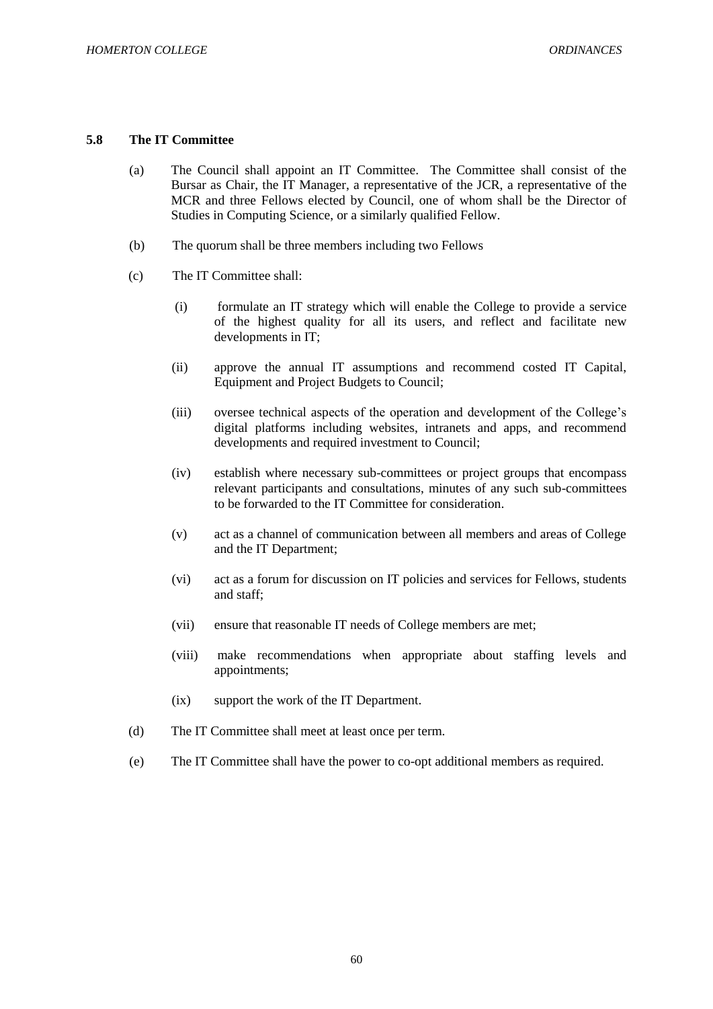# **5.8 The IT Committee**

- (a) The Council shall appoint an IT Committee. The Committee shall consist of the Bursar as Chair, the IT Manager, a representative of the JCR, a representative of the MCR and three Fellows elected by Council, one of whom shall be the Director of Studies in Computing Science, or a similarly qualified Fellow.
- (b) The quorum shall be three members including two Fellows
- (c) The IT Committee shall:
	- (i) formulate an IT strategy which will enable the College to provide a service of the highest quality for all its users, and reflect and facilitate new developments in IT;
	- (ii) approve the annual IT assumptions and recommend costed IT Capital, Equipment and Project Budgets to Council;
	- (iii) oversee technical aspects of the operation and development of the College's digital platforms including websites, intranets and apps, and recommend developments and required investment to Council;
	- (iv) establish where necessary sub-committees or project groups that encompass relevant participants and consultations, minutes of any such sub-committees to be forwarded to the IT Committee for consideration.
	- (v) act as a channel of communication between all members and areas of College and the IT Department;
	- (vi) act as a forum for discussion on IT policies and services for Fellows, students and staff;
	- (vii) ensure that reasonable IT needs of College members are met;
	- (viii) make recommendations when appropriate about staffing levels and appointments;
	- (ix) support the work of the IT Department.
- (d) The IT Committee shall meet at least once per term.
- (e) The IT Committee shall have the power to co-opt additional members as required.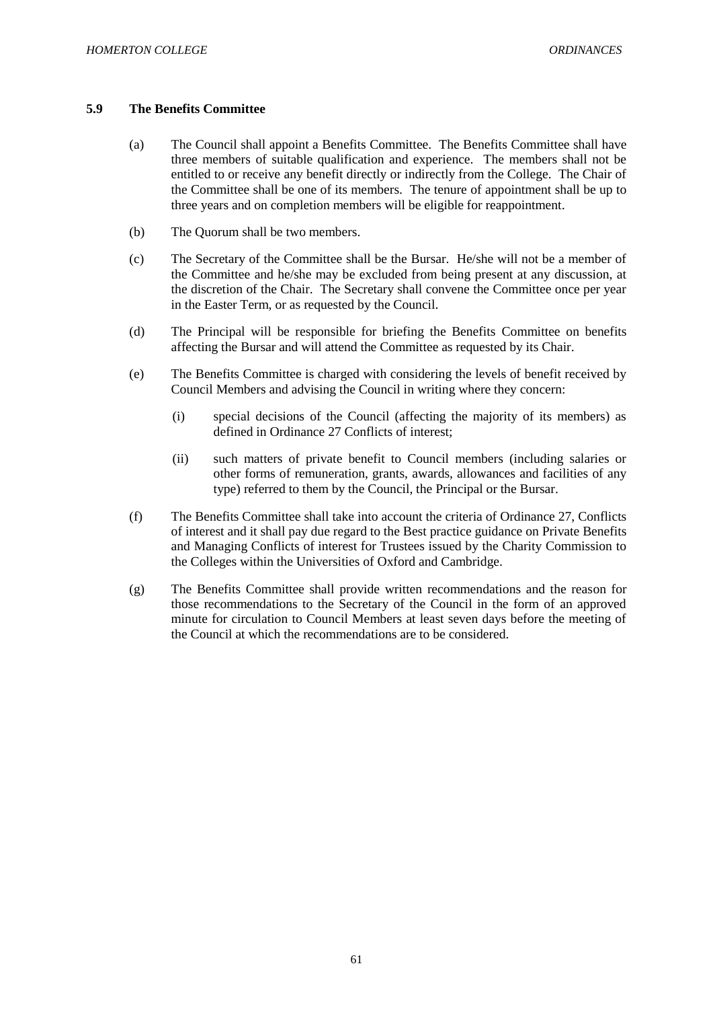# **5.9 The Benefits Committee**

- (a) The Council shall appoint a Benefits Committee. The Benefits Committee shall have three members of suitable qualification and experience. The members shall not be entitled to or receive any benefit directly or indirectly from the College. The Chair of the Committee shall be one of its members. The tenure of appointment shall be up to three years and on completion members will be eligible for reappointment.
- (b) The Quorum shall be two members.
- (c) The Secretary of the Committee shall be the Bursar. He/she will not be a member of the Committee and he/she may be excluded from being present at any discussion, at the discretion of the Chair. The Secretary shall convene the Committee once per year in the Easter Term, or as requested by the Council.
- (d) The Principal will be responsible for briefing the Benefits Committee on benefits affecting the Bursar and will attend the Committee as requested by its Chair.
- (e) The Benefits Committee is charged with considering the levels of benefit received by Council Members and advising the Council in writing where they concern:
	- (i) special decisions of the Council (affecting the majority of its members) as defined in Ordinance 27 Conflicts of interest;
	- (ii) such matters of private benefit to Council members (including salaries or other forms of remuneration, grants, awards, allowances and facilities of any type) referred to them by the Council, the Principal or the Bursar.
- (f) The Benefits Committee shall take into account the criteria of Ordinance 27, Conflicts of interest and it shall pay due regard to the Best practice guidance on Private Benefits and Managing Conflicts of interest for Trustees issued by the Charity Commission to the Colleges within the Universities of Oxford and Cambridge.
- (g) The Benefits Committee shall provide written recommendations and the reason for those recommendations to the Secretary of the Council in the form of an approved minute for circulation to Council Members at least seven days before the meeting of the Council at which the recommendations are to be considered.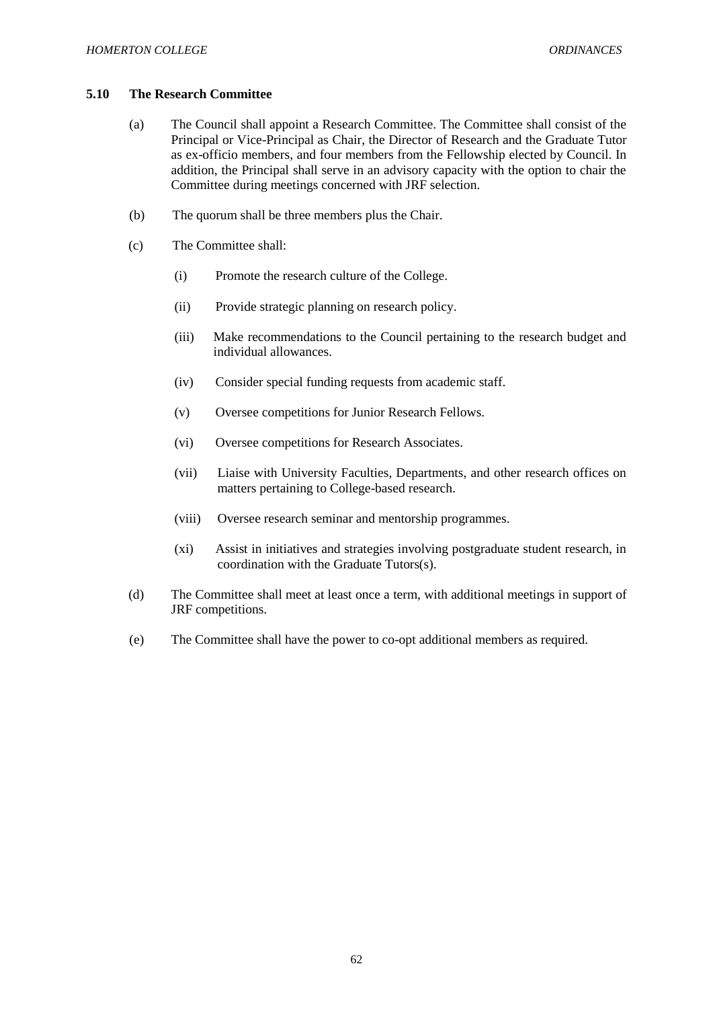#### **5.10 The Research Committee**

- (a) The Council shall appoint a Research Committee. The Committee shall consist of the Principal or Vice-Principal as Chair, the Director of Research and the Graduate Tutor as ex-officio members, and four members from the Fellowship elected by Council. In addition, the Principal shall serve in an advisory capacity with the option to chair the Committee during meetings concerned with JRF selection.
- (b) The quorum shall be three members plus the Chair.
- (c) The Committee shall:
	- (i) Promote the research culture of the College.
	- (ii) Provide strategic planning on research policy.
	- (iii) Make recommendations to the Council pertaining to the research budget and individual allowances.
	- (iv) Consider special funding requests from academic staff.
	- (v) Oversee competitions for Junior Research Fellows.
	- (vi) Oversee competitions for Research Associates.
	- (vii) Liaise with University Faculties, Departments, and other research offices on matters pertaining to College-based research.
	- (viii) Oversee research seminar and mentorship programmes.
	- (xi) Assist in initiatives and strategies involving postgraduate student research, in coordination with the Graduate Tutors(s).
- (d) The Committee shall meet at least once a term, with additional meetings in support of JRF competitions.
- (e) The Committee shall have the power to co-opt additional members as required.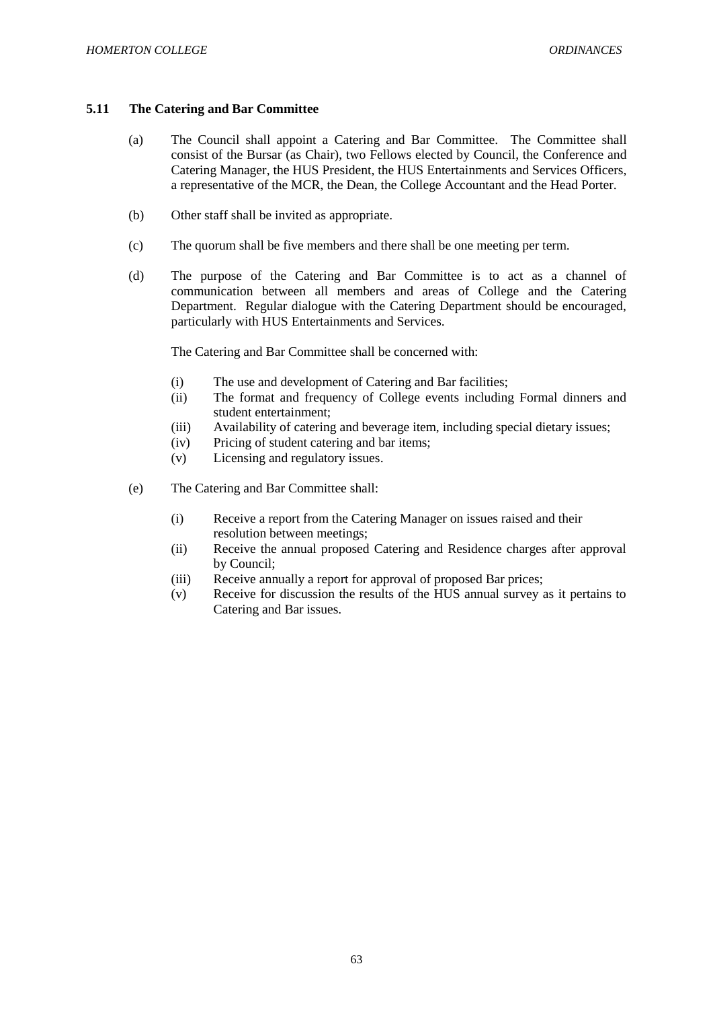# **5.11 The Catering and Bar Committee**

- (a) The Council shall appoint a Catering and Bar Committee. The Committee shall consist of the Bursar (as Chair), two Fellows elected by Council, the Conference and Catering Manager, the HUS President, the HUS Entertainments and Services Officers, a representative of the MCR, the Dean, the College Accountant and the Head Porter.
- (b) Other staff shall be invited as appropriate.
- (c) The quorum shall be five members and there shall be one meeting per term.
- (d) The purpose of the Catering and Bar Committee is to act as a channel of communication between all members and areas of College and the Catering Department. Regular dialogue with the Catering Department should be encouraged, particularly with HUS Entertainments and Services.

The Catering and Bar Committee shall be concerned with:

- (i) The use and development of Catering and Bar facilities;
- (ii) The format and frequency of College events including Formal dinners and student entertainment;
- (iii) Availability of catering and beverage item, including special dietary issues;
- (iv) Pricing of student catering and bar items;
- (v) Licensing and regulatory issues.
- (e) The Catering and Bar Committee shall:
	- (i) Receive a report from the Catering Manager on issues raised and their resolution between meetings;
	- (ii) Receive the annual proposed Catering and Residence charges after approval by Council;
	- (iii) Receive annually a report for approval of proposed Bar prices;
	- (v) Receive for discussion the results of the HUS annual survey as it pertains to Catering and Bar issues.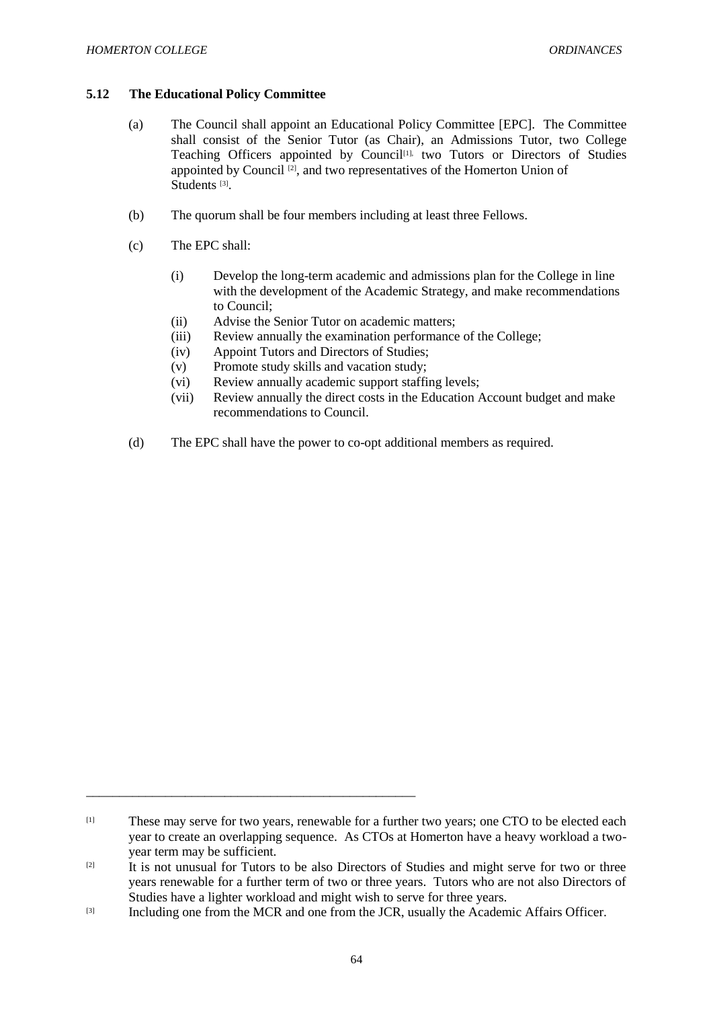# **5.12 The Educational Policy Committee**

- (a) The Council shall appoint an Educational Policy Committee [EPC]. The Committee shall consist of the Senior Tutor (as Chair), an Admissions Tutor, two College Teaching Officers appointed by Council<sup>[1],</sup> two Tutors or Directors of Studies appointed by Council [2], and two representatives of the Homerton Union of Students<sup>[3]</sup>.
- (b) The quorum shall be four members including at least three Fellows.
- (c) The EPC shall:
	- (i) Develop the long-term academic and admissions plan for the College in line with the development of the Academic Strategy, and make recommendations to Council;
	- (ii) Advise the Senior Tutor on academic matters;
	- (iii) Review annually the examination performance of the College;
	- (iv) Appoint Tutors and Directors of Studies;
	- (v) Promote study skills and vacation study;
	- (vi) Review annually academic support staffing levels;
	- (vii) Review annually the direct costs in the Education Account budget and make recommendations to Council.
- (d) The EPC shall have the power to co-opt additional members as required.

\_\_\_\_\_\_\_\_\_\_\_\_\_\_\_\_\_\_\_\_\_\_\_\_\_\_\_\_\_\_\_\_\_\_\_\_\_\_\_\_\_\_\_\_\_\_\_\_\_\_

<sup>[1]</sup> These may serve for two years, renewable for a further two years; one CTO to be elected each year to create an overlapping sequence. As CTOs at Homerton have a heavy workload a twoyear term may be sufficient.

<sup>[2]</sup> It is not unusual for Tutors to be also Directors of Studies and might serve for two or three years renewable for a further term of two or three years. Tutors who are not also Directors of Studies have a lighter workload and might wish to serve for three years.

<sup>[3]</sup> Including one from the MCR and one from the JCR, usually the Academic Affairs Officer.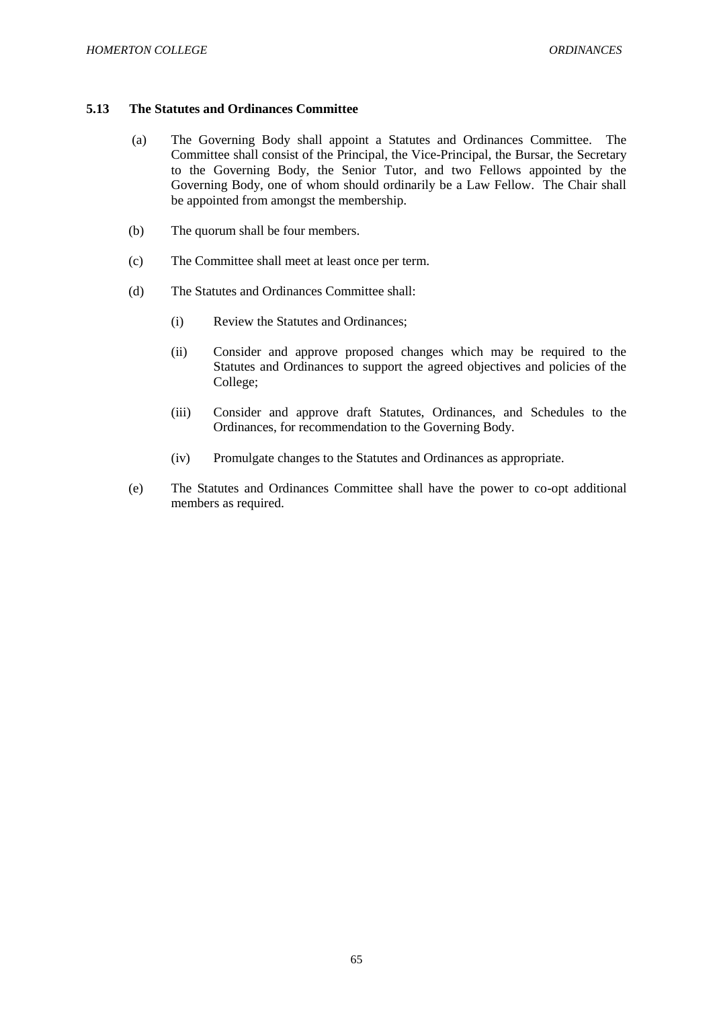### **5.13 The Statutes and Ordinances Committee**

- (a) The Governing Body shall appoint a Statutes and Ordinances Committee. The Committee shall consist of the Principal, the Vice-Principal, the Bursar, the Secretary to the Governing Body, the Senior Tutor, and two Fellows appointed by the Governing Body, one of whom should ordinarily be a Law Fellow. The Chair shall be appointed from amongst the membership.
- (b) The quorum shall be four members.
- (c) The Committee shall meet at least once per term.
- (d) The Statutes and Ordinances Committee shall:
	- (i) Review the Statutes and Ordinances;
	- (ii) Consider and approve proposed changes which may be required to the Statutes and Ordinances to support the agreed objectives and policies of the College;
	- (iii) Consider and approve draft Statutes, Ordinances, and Schedules to the Ordinances, for recommendation to the Governing Body.
	- (iv) Promulgate changes to the Statutes and Ordinances as appropriate.
- (e) The Statutes and Ordinances Committee shall have the power to co-opt additional members as required.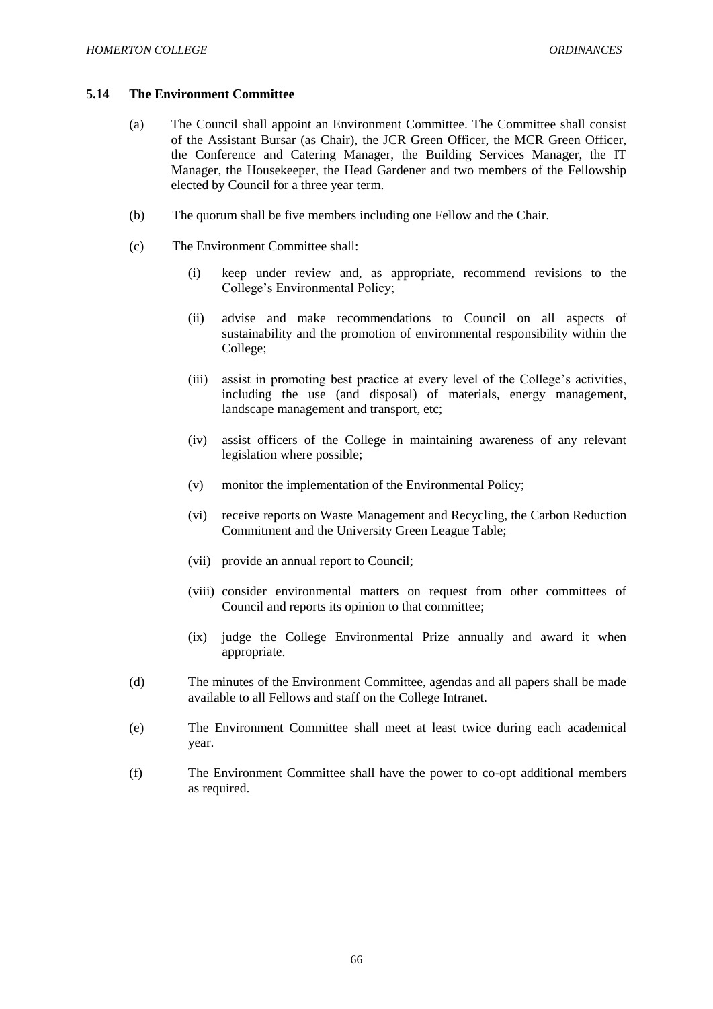### **5.14 The Environment Committee**

- (a) The Council shall appoint an Environment Committee. The Committee shall consist of the Assistant Bursar (as Chair), the JCR Green Officer, the MCR Green Officer, the Conference and Catering Manager, the Building Services Manager, the IT Manager, the Housekeeper, the Head Gardener and two members of the Fellowship elected by Council for a three year term.
- (b) The quorum shall be five members including one Fellow and the Chair.
- (c) The Environment Committee shall:
	- (i) keep under review and, as appropriate, recommend revisions to the College's Environmental Policy;
	- (ii) advise and make recommendations to Council on all aspects of sustainability and the promotion of environmental responsibility within the College;
	- (iii) assist in promoting best practice at every level of the College's activities, including the use (and disposal) of materials, energy management, landscape management and transport, etc;
	- (iv) assist officers of the College in maintaining awareness of any relevant legislation where possible;
	- (v) monitor the implementation of the Environmental Policy;
	- (vi) receive reports on Waste Management and Recycling, the Carbon Reduction Commitment and the University Green League Table;
	- (vii) provide an annual report to Council;
	- (viii) consider environmental matters on request from other committees of Council and reports its opinion to that committee;
	- (ix) judge the College Environmental Prize annually and award it when appropriate.
- (d) The minutes of the Environment Committee, agendas and all papers shall be made available to all Fellows and staff on the College Intranet.
- (e) The Environment Committee shall meet at least twice during each academical year.
- (f) The Environment Committee shall have the power to co-opt additional members as required.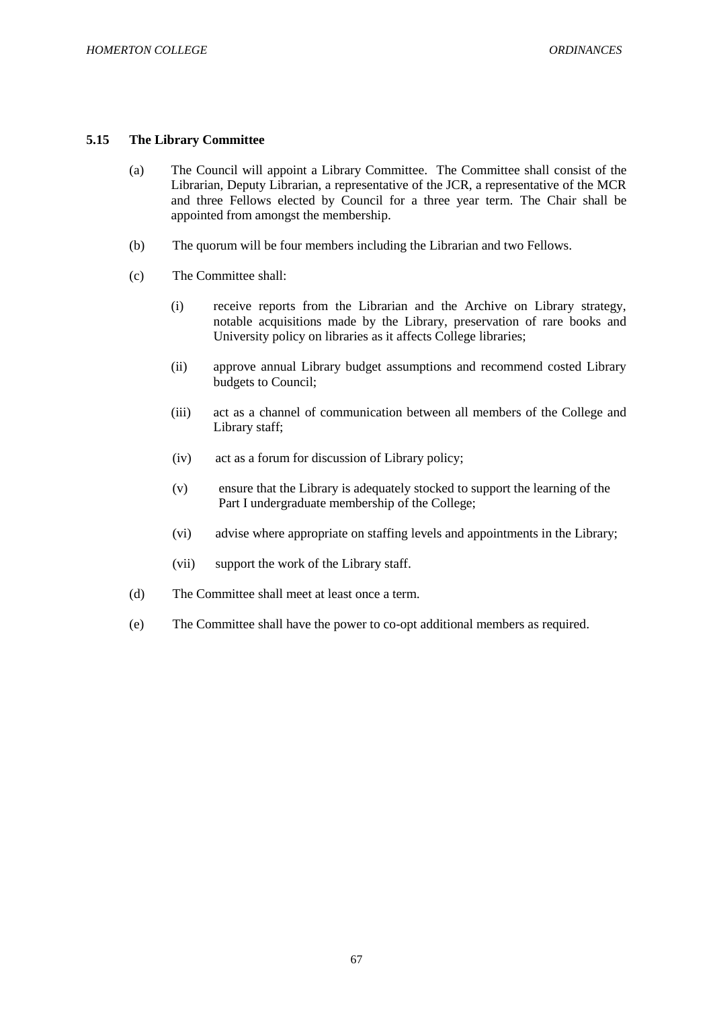### **5.15 The Library Committee**

- (a) The Council will appoint a Library Committee. The Committee shall consist of the Librarian, Deputy Librarian, a representative of the JCR, a representative of the MCR and three Fellows elected by Council for a three year term. The Chair shall be appointed from amongst the membership.
- (b) The quorum will be four members including the Librarian and two Fellows.
- (c) The Committee shall:
	- (i) receive reports from the Librarian and the Archive on Library strategy, notable acquisitions made by the Library, preservation of rare books and University policy on libraries as it affects College libraries:
	- (ii) approve annual Library budget assumptions and recommend costed Library budgets to Council;
	- (iii) act as a channel of communication between all members of the College and Library staff;
	- (iv) act as a forum for discussion of Library policy;
	- (v) ensure that the Library is adequately stocked to support the learning of the Part I undergraduate membership of the College;
	- (vi) advise where appropriate on staffing levels and appointments in the Library;
	- (vii) support the work of the Library staff.
- (d) The Committee shall meet at least once a term.
- (e) The Committee shall have the power to co-opt additional members as required.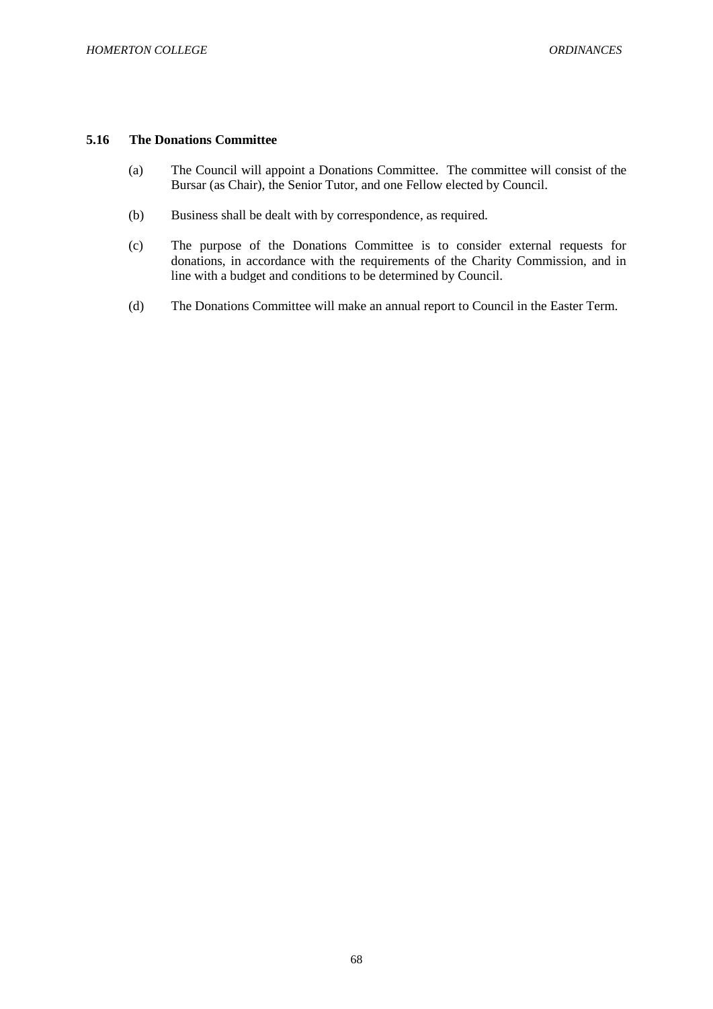# **5.16 The Donations Committee**

- (a) The Council will appoint a Donations Committee. The committee will consist of the Bursar (as Chair), the Senior Tutor, and one Fellow elected by Council.
- (b) Business shall be dealt with by correspondence, as required.
- (c) The purpose of the Donations Committee is to consider external requests for donations, in accordance with the requirements of the Charity Commission, and in line with a budget and conditions to be determined by Council.
- (d) The Donations Committee will make an annual report to Council in the Easter Term.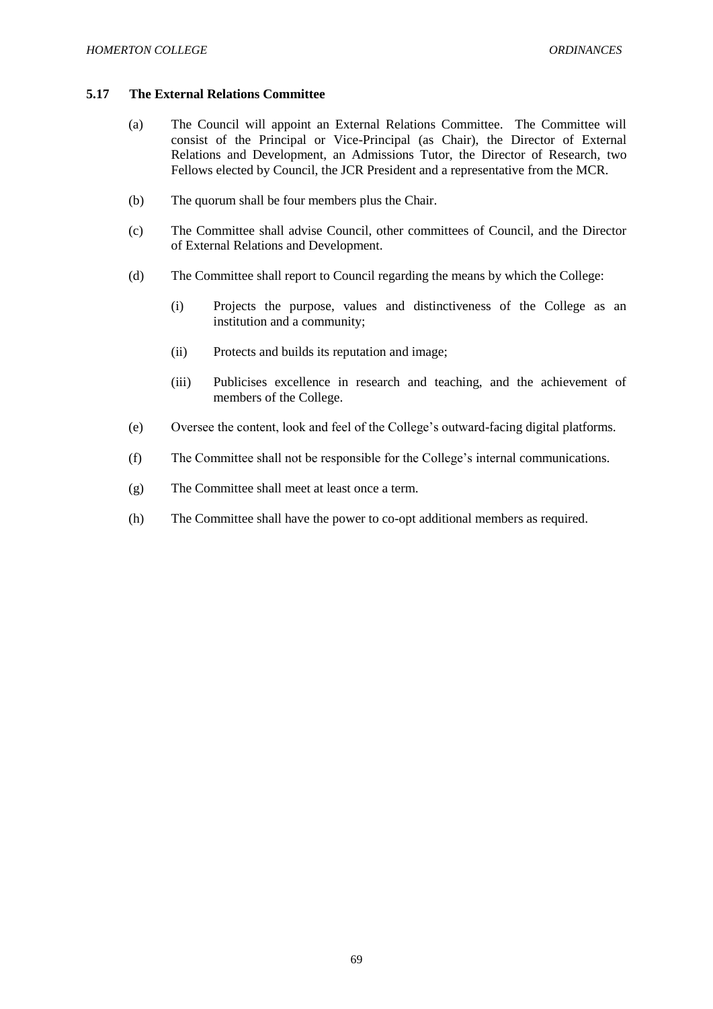### **5.17 The External Relations Committee**

- (a) The Council will appoint an External Relations Committee. The Committee will consist of the Principal or Vice-Principal (as Chair), the Director of External Relations and Development, an Admissions Tutor, the Director of Research, two Fellows elected by Council, the JCR President and a representative from the MCR.
- (b) The quorum shall be four members plus the Chair.
- (c) The Committee shall advise Council, other committees of Council, and the Director of External Relations and Development.
- (d) The Committee shall report to Council regarding the means by which the College:
	- (i) Projects the purpose, values and distinctiveness of the College as an institution and a community;
	- (ii) Protects and builds its reputation and image;
	- (iii) Publicises excellence in research and teaching, and the achievement of members of the College.
- (e) Oversee the content, look and feel of the College's outward-facing digital platforms.
- (f) The Committee shall not be responsible for the College's internal communications.
- (g) The Committee shall meet at least once a term.
- (h) The Committee shall have the power to co-opt additional members as required.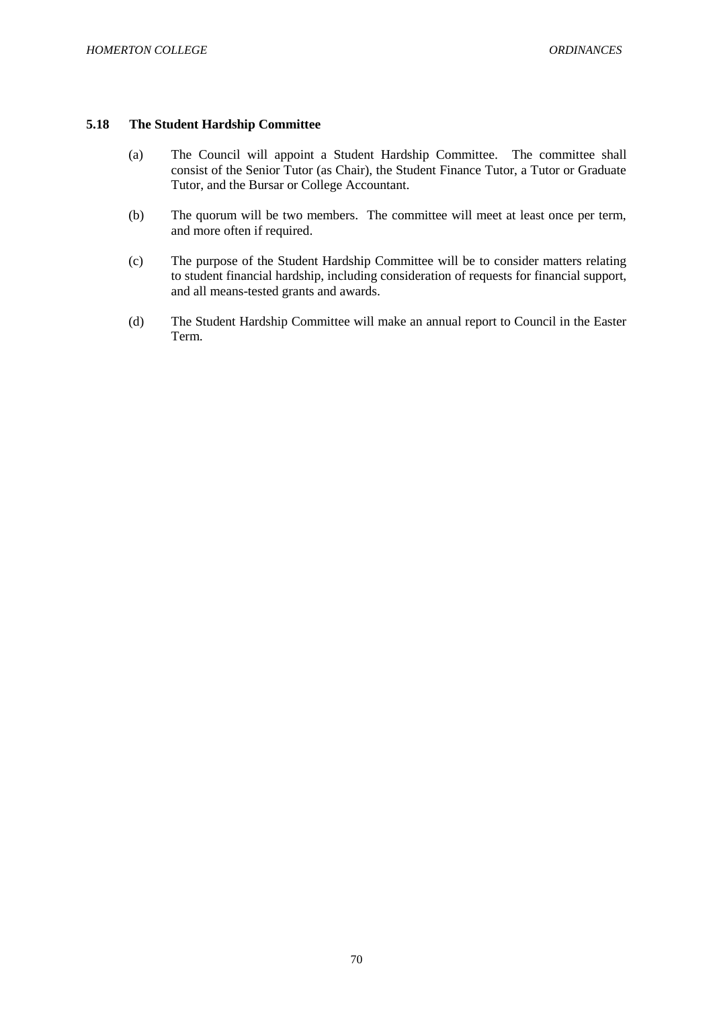### **5.18 The Student Hardship Committee**

- (a) The Council will appoint a Student Hardship Committee. The committee shall consist of the Senior Tutor (as Chair), the Student Finance Tutor, a Tutor or Graduate Tutor, and the Bursar or College Accountant.
- (b) The quorum will be two members. The committee will meet at least once per term, and more often if required.
- (c) The purpose of the Student Hardship Committee will be to consider matters relating to student financial hardship, including consideration of requests for financial support, and all means-tested grants and awards.
- (d) The Student Hardship Committee will make an annual report to Council in the Easter Term.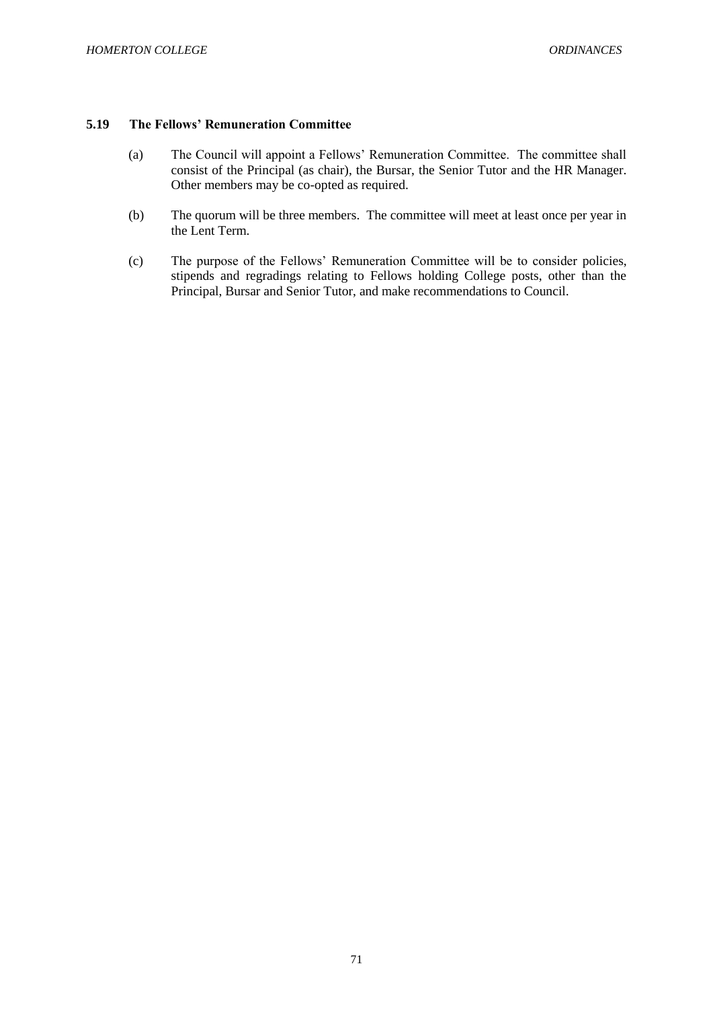### **5.19 The Fellows' Remuneration Committee**

- (a) The Council will appoint a Fellows' Remuneration Committee. The committee shall consist of the Principal (as chair), the Bursar, the Senior Tutor and the HR Manager. Other members may be co-opted as required.
- (b) The quorum will be three members. The committee will meet at least once per year in the Lent Term.
- (c) The purpose of the Fellows' Remuneration Committee will be to consider policies, stipends and regradings relating to Fellows holding College posts, other than the Principal, Bursar and Senior Tutor, and make recommendations to Council.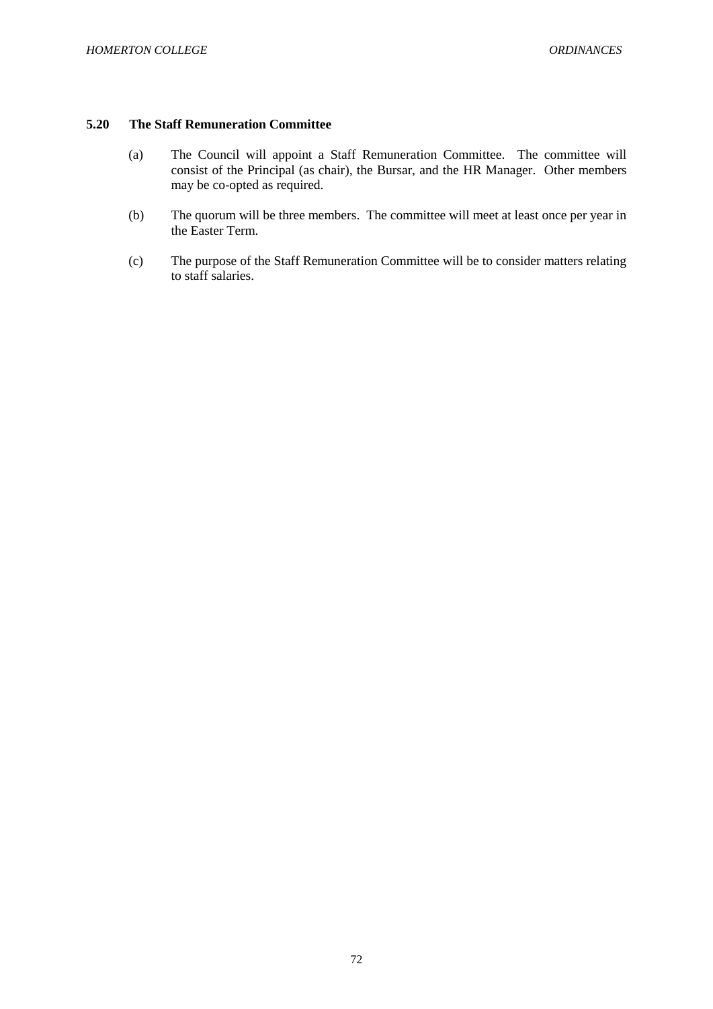# **5.20 The Staff Remuneration Committee**

- (a) The Council will appoint a Staff Remuneration Committee. The committee will consist of the Principal (as chair), the Bursar, and the HR Manager. Other members may be co-opted as required.
- (b) The quorum will be three members. The committee will meet at least once per year in the Easter Term.
- (c) The purpose of the Staff Remuneration Committee will be to consider matters relating to staff salaries.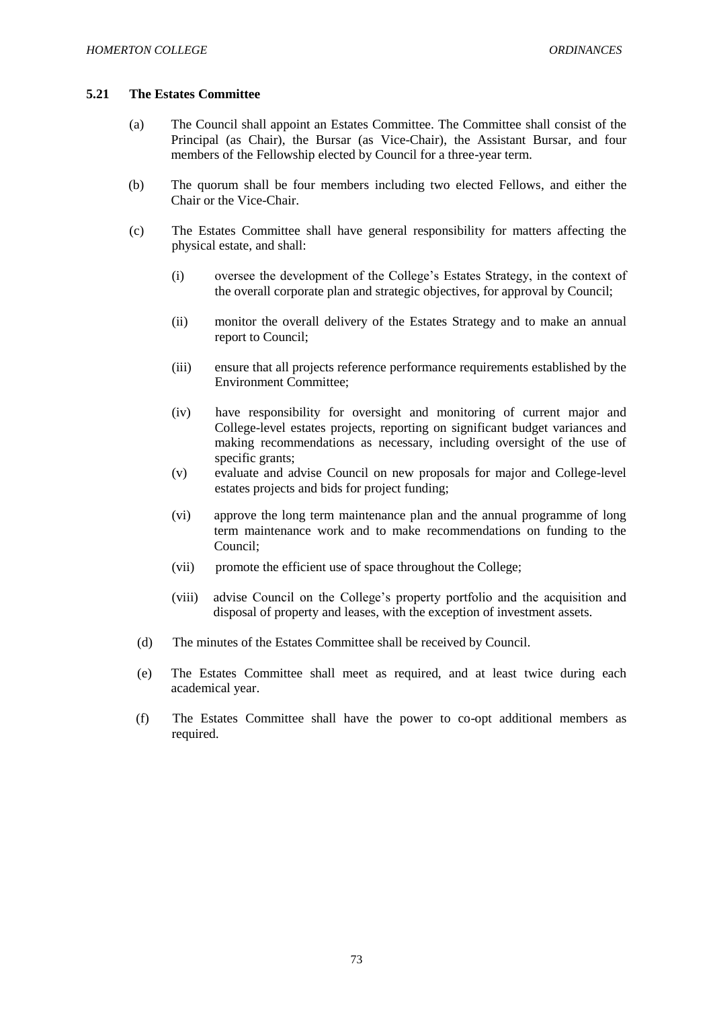#### **5.21 The Estates Committee**

- (a) The Council shall appoint an Estates Committee. The Committee shall consist of the Principal (as Chair), the Bursar (as Vice-Chair), the Assistant Bursar, and four members of the Fellowship elected by Council for a three-year term.
- (b) The quorum shall be four members including two elected Fellows, and either the Chair or the Vice-Chair.
- (c) The Estates Committee shall have general responsibility for matters affecting the physical estate, and shall:
	- (i) oversee the development of the College's Estates Strategy, in the context of the overall corporate plan and strategic objectives, for approval by Council;
	- (ii) monitor the overall delivery of the Estates Strategy and to make an annual report to Council;
	- (iii) ensure that all projects reference performance requirements established by the Environment Committee;
	- (iv) have responsibility for oversight and monitoring of current major and College-level estates projects, reporting on significant budget variances and making recommendations as necessary, including oversight of the use of specific grants;
	- (v) evaluate and advise Council on new proposals for major and College-level estates projects and bids for project funding;
	- (vi) approve the long term maintenance plan and the annual programme of long term maintenance work and to make recommendations on funding to the Council;
	- (vii) promote the efficient use of space throughout the College;
	- (viii) advise Council on the College's property portfolio and the acquisition and disposal of property and leases, with the exception of investment assets.
	- (d) The minutes of the Estates Committee shall be received by Council.
	- (e) The Estates Committee shall meet as required, and at least twice during each academical year.
- (f) The Estates Committee shall have the power to co-opt additional members as required.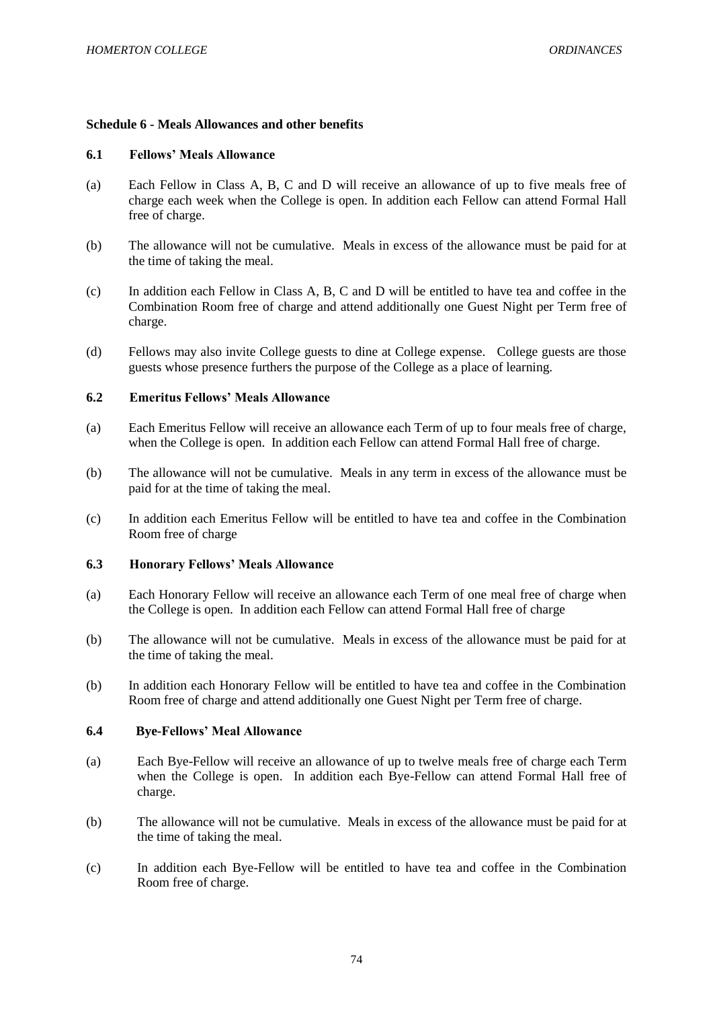## **Schedule 6 - Meals Allowances and other benefits**

#### **6.1 Fellows' Meals Allowance**

- (a) Each Fellow in Class A, B, C and D will receive an allowance of up to five meals free of charge each week when the College is open. In addition each Fellow can attend Formal Hall free of charge.
- (b) The allowance will not be cumulative. Meals in excess of the allowance must be paid for at the time of taking the meal.
- (c) In addition each Fellow in Class A, B, C and D will be entitled to have tea and coffee in the Combination Room free of charge and attend additionally one Guest Night per Term free of charge.
- (d) Fellows may also invite College guests to dine at College expense. College guests are those guests whose presence furthers the purpose of the College as a place of learning.

#### **6.2 Emeritus Fellows' Meals Allowance**

- (a) Each Emeritus Fellow will receive an allowance each Term of up to four meals free of charge, when the College is open. In addition each Fellow can attend Formal Hall free of charge.
- (b) The allowance will not be cumulative. Meals in any term in excess of the allowance must be paid for at the time of taking the meal.
- (c) In addition each Emeritus Fellow will be entitled to have tea and coffee in the Combination Room free of charge

#### **6.3 Honorary Fellows' Meals Allowance**

- (a) Each Honorary Fellow will receive an allowance each Term of one meal free of charge when the College is open. In addition each Fellow can attend Formal Hall free of charge
- (b) The allowance will not be cumulative. Meals in excess of the allowance must be paid for at the time of taking the meal.
- (b) In addition each Honorary Fellow will be entitled to have tea and coffee in the Combination Room free of charge and attend additionally one Guest Night per Term free of charge.

#### **6.4 Bye-Fellows' Meal Allowance**

- (a) Each Bye-Fellow will receive an allowance of up to twelve meals free of charge each Term when the College is open. In addition each Bye-Fellow can attend Formal Hall free of charge.
- (b) The allowance will not be cumulative. Meals in excess of the allowance must be paid for at the time of taking the meal.
- (c) In addition each Bye-Fellow will be entitled to have tea and coffee in the Combination Room free of charge.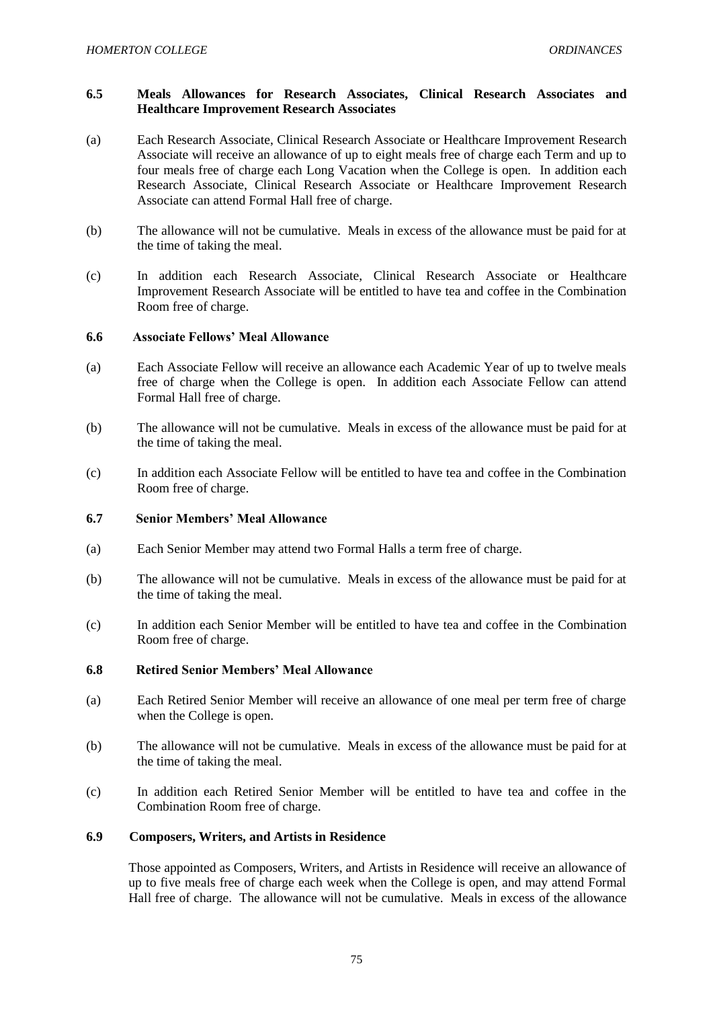### **6.5 Meals Allowances for Research Associates, Clinical Research Associates and Healthcare Improvement Research Associates**

- (a) Each Research Associate, Clinical Research Associate or Healthcare Improvement Research Associate will receive an allowance of up to eight meals free of charge each Term and up to four meals free of charge each Long Vacation when the College is open. In addition each Research Associate, Clinical Research Associate or Healthcare Improvement Research Associate can attend Formal Hall free of charge.
- (b) The allowance will not be cumulative. Meals in excess of the allowance must be paid for at the time of taking the meal.
- (c) In addition each Research Associate, Clinical Research Associate or Healthcare Improvement Research Associate will be entitled to have tea and coffee in the Combination Room free of charge.

### **6.6 Associate Fellows' Meal Allowance**

- (a) Each Associate Fellow will receive an allowance each Academic Year of up to twelve meals free of charge when the College is open. In addition each Associate Fellow can attend Formal Hall free of charge.
- (b) The allowance will not be cumulative. Meals in excess of the allowance must be paid for at the time of taking the meal.
- (c) In addition each Associate Fellow will be entitled to have tea and coffee in the Combination Room free of charge.

### **6.7 Senior Members' Meal Allowance**

- (a) Each Senior Member may attend two Formal Halls a term free of charge.
- (b) The allowance will not be cumulative. Meals in excess of the allowance must be paid for at the time of taking the meal.
- (c) In addition each Senior Member will be entitled to have tea and coffee in the Combination Room free of charge.

### **6.8 Retired Senior Members' Meal Allowance**

- (a) Each Retired Senior Member will receive an allowance of one meal per term free of charge when the College is open.
- (b) The allowance will not be cumulative. Meals in excess of the allowance must be paid for at the time of taking the meal.
- (c) In addition each Retired Senior Member will be entitled to have tea and coffee in the Combination Room free of charge.

# **6.9 Composers, Writers, and Artists in Residence**

Those appointed as Composers, Writers, and Artists in Residence will receive an allowance of up to five meals free of charge each week when the College is open, and may attend Formal Hall free of charge. The allowance will not be cumulative. Meals in excess of the allowance